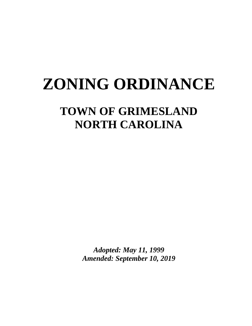# **ZONING ORDINANCE**

## **TOWN OF GRIMESLAND NORTH CAROLINA**

*Adopted: May 11, 1999 Amended: September 10, 2019*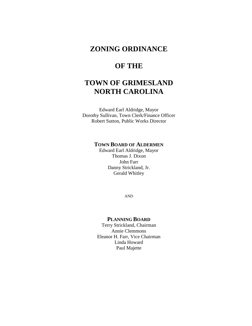## **ZONING ORDINANCE**

## **OF THE**

## **TOWN OF GRIMESLAND NORTH CAROLINA**

Edward Earl Aldridge, Mayor Dorothy Sullivan, Town Clerk/Finance Officer Robert Sutton, Public Works Director

#### **TOWN BOARD OF ALDERMEN**

Edward Earl Aldridge, Mayor Thomas J. Dixon John Farr Danny Strickland, Jr. Gerald Whitley

AND

#### **PLANNING BOARD**

Terry Strickland, Chairman Annie Clemmons Eleanor H. Farr, Vice Chairman Linda Howard Paul Majette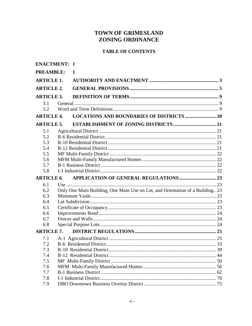## TOWN OF GRIMESLAND **ZONING ORDINANCE**

## **TABLE OF CONTENTS**

| <b>ENACTMENT: 1</b> |                                                                               |  |
|---------------------|-------------------------------------------------------------------------------|--|
| <b>PREAMBLE:</b>    | $\mathbf{1}$                                                                  |  |
| <b>ARTICLE 1.</b>   |                                                                               |  |
| <b>ARTICLE 2.</b>   |                                                                               |  |
| <b>ARTICLE 3.</b>   |                                                                               |  |
| 3.1                 |                                                                               |  |
| 3.2                 |                                                                               |  |
| <b>ARTICLE 4.</b>   | <b>LOCATIONS AND BOUNDARIES OF DISTRICTS  20</b>                              |  |
| <b>ARTICLE 5.</b>   |                                                                               |  |
| 5.1                 |                                                                               |  |
| 5.2                 |                                                                               |  |
| 5.3                 |                                                                               |  |
| 5.4                 |                                                                               |  |
| 5.5                 |                                                                               |  |
| 5.6                 |                                                                               |  |
| 5.7                 |                                                                               |  |
| 5.8                 |                                                                               |  |
|                     |                                                                               |  |
| <b>ARTICLE 6.</b>   |                                                                               |  |
| 6.1                 |                                                                               |  |
| 6.2                 | Only One Main Building, One Main Use on Lot, and Orientation of a Building 23 |  |
| 6.3                 |                                                                               |  |
| 6.4                 |                                                                               |  |
| 6.5                 |                                                                               |  |
| 6.6                 |                                                                               |  |
| 6.7                 |                                                                               |  |
| 6.8                 |                                                                               |  |
| <b>ARTICLE 7.</b>   |                                                                               |  |
| 7.1                 |                                                                               |  |
| 7.2                 |                                                                               |  |
| 7.3                 |                                                                               |  |
| 7.4                 |                                                                               |  |
| 7.5                 |                                                                               |  |
| 7.6                 |                                                                               |  |
| 7.7                 |                                                                               |  |
| 7.8<br>7.9          |                                                                               |  |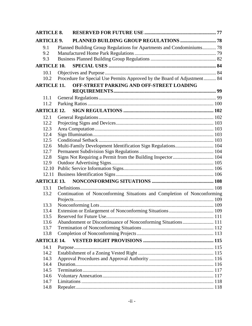| <b>ARTICLE 8.</b>  |                                                                       |                                                                          |  |  |
|--------------------|-----------------------------------------------------------------------|--------------------------------------------------------------------------|--|--|
| <b>ARTICLE 9.</b>  |                                                                       |                                                                          |  |  |
| 9.1                | Planned Building Group Regulations for Apartments and Condominiums 78 |                                                                          |  |  |
| 9.2                |                                                                       |                                                                          |  |  |
| 9.3                |                                                                       |                                                                          |  |  |
| <b>ARTICLE 10.</b> |                                                                       |                                                                          |  |  |
| 10.1               |                                                                       |                                                                          |  |  |
| 10.2               |                                                                       | Procedure for Special Use Permits Approved by the Board of Adjustment 84 |  |  |
| <b>ARTICLE 11.</b> |                                                                       | OFF-STREET PARKING AND OFF-STREET LOADING                                |  |  |
|                    |                                                                       |                                                                          |  |  |
| 11.1               |                                                                       |                                                                          |  |  |
| 11.2               |                                                                       |                                                                          |  |  |
| <b>ARTICLE 12.</b> |                                                                       |                                                                          |  |  |
| 12.1               |                                                                       |                                                                          |  |  |
| 12.2               |                                                                       |                                                                          |  |  |
| 12.3               |                                                                       |                                                                          |  |  |
| 12.4               |                                                                       |                                                                          |  |  |
| 12.5               |                                                                       |                                                                          |  |  |
| 12.6               |                                                                       | Multi-Family Development Identification Sign Regulations 104             |  |  |
| 12.7               |                                                                       |                                                                          |  |  |
| 12.8               |                                                                       | Signs Not Requiring a Permit from the Building Inspector 104             |  |  |
| 12.9               |                                                                       |                                                                          |  |  |
| 12.10              |                                                                       |                                                                          |  |  |
| 12.11              |                                                                       |                                                                          |  |  |
| <b>ARTICLE 13.</b> |                                                                       |                                                                          |  |  |
| 13.1               |                                                                       |                                                                          |  |  |
| 13.2               |                                                                       | Continuation of Nonconforming Situations and Completion of Nonconforming |  |  |
|                    |                                                                       |                                                                          |  |  |
| 13.3               |                                                                       |                                                                          |  |  |
| 13.4               |                                                                       |                                                                          |  |  |
| 13.5               |                                                                       |                                                                          |  |  |
| 13.6               |                                                                       | Abandonment or Discontinuance of Nonconforming Situations 111            |  |  |
| 13.7               |                                                                       |                                                                          |  |  |
| 13.8               |                                                                       |                                                                          |  |  |
| <b>ARTICLE 14.</b> |                                                                       |                                                                          |  |  |
| 14.1               |                                                                       |                                                                          |  |  |
| 14.2               |                                                                       |                                                                          |  |  |
| 14.3               |                                                                       |                                                                          |  |  |
| 14.4               |                                                                       |                                                                          |  |  |
| 14.5               |                                                                       |                                                                          |  |  |
| 14.6               |                                                                       |                                                                          |  |  |
| 14.7               |                                                                       |                                                                          |  |  |
| 14.8               |                                                                       |                                                                          |  |  |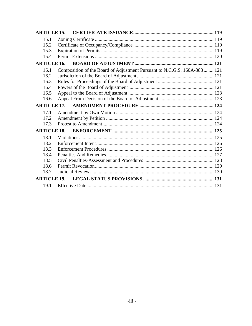| <b>ARTICLE 15.</b> |                                                                           |  |
|--------------------|---------------------------------------------------------------------------|--|
| 15.1               |                                                                           |  |
| 15.2               |                                                                           |  |
| 15.3.              |                                                                           |  |
| 15.4               |                                                                           |  |
| <b>ARTICLE 16.</b> |                                                                           |  |
| 16.1               | Composition of the Board of Adjustment Pursuant to N.C.G.S. 160A-388  121 |  |
| 16.2               |                                                                           |  |
| 16.3               |                                                                           |  |
| 16.4               |                                                                           |  |
| 16.5               |                                                                           |  |
| 16.6               |                                                                           |  |
|                    |                                                                           |  |
| 17.1               |                                                                           |  |
| 17.2               |                                                                           |  |
| 17.3               |                                                                           |  |
| <b>ARTICLE 18.</b> |                                                                           |  |
| 18.1               |                                                                           |  |
| 18.2               |                                                                           |  |
| 18.3               |                                                                           |  |
| 18.4               |                                                                           |  |
| 18.5               |                                                                           |  |
| 18.6               |                                                                           |  |
| 18.7               |                                                                           |  |
| <b>ARTICLE 19.</b> |                                                                           |  |
| 19.1               |                                                                           |  |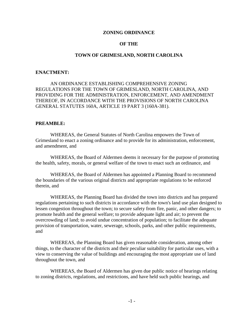#### **ZONING ORDINANCE**

#### **OF THE**

#### **TOWN OF GRIMESLAND, NORTH CAROLINA**

#### **ENACTMENT:**

 AN ORDINANCE ESTABLISHING COMPREHENSIVE ZONING REGULATIONS FOR THE TOWN OF GRIMESLAND, NORTH CAROLINA, AND PROVIDING FOR THE ADMINISTRATION, ENFORCEMENT, AND AMENDMENT THEREOF, IN ACCORDANCE WITH THE PROVISIONS OF NORTH CAROLINA GENERAL STATUTES 160A, ARTICLE 19 PART 3 (160A-381).

#### **PREAMBLE:**

 WHEREAS, the General Statutes of North Carolina empowers the Town of Grimesland to enact a zoning ordinance and to provide for its administration, enforcement, and amendment, and

 WHEREAS, the Board of Aldermen deems it necessary for the purpose of promoting the health, safety, morals, or general welfare of the town to enact such an ordinance, and

 WHEREAS, the Board of Aldermen has appointed a Planning Board to recommend the boundaries of the various original districts and appropriate regulations to be enforced therein, and

 WHEREAS, the Planning Board has divided the town into districts and has prepared regulations pertaining to such districts in accordance with the town's land use plan designed to lessen congestion throughout the town; to secure safety from fire, panic, and other dangers; to promote health and the general welfare; to provide adequate light and air; to prevent the overcrowding of land; to avoid undue concentration of population; to facilitate the adequate provision of transportation, water, sewerage, schools, parks, and other public requirements, and

 WHEREAS, the Planning Board has given reasonable consideration, among other things, to the character of the districts and their peculiar suitability for particular uses, with a view to conserving the value of buildings and encouraging the most appropriate use of land throughout the town, and

 WHEREAS, the Board of Aldermen has given due public notice of hearings relating to zoning districts, regulations, and restrictions, and have held such public hearings, and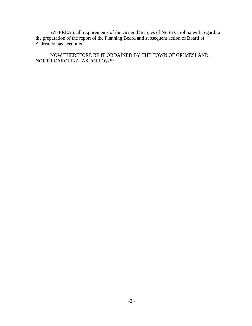WHEREAS, all requirements of the General Statutes of North Carolina with regard to the preparation of the report of the Planning Board and subsequent action of Board of Aldermen has been met;

 NOW THEREFORE BE IT ORDAINED BY THE TOWN OF GRIMESLAND, NORTH CAROLINA, AS FOLLOWS: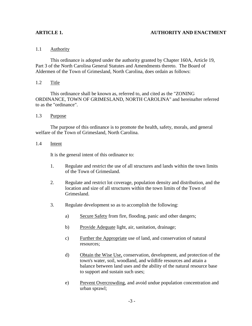#### **ARTICLE 1. AUTHORITY AND ENACTMENT**

#### 1.1 Authority

 This ordinance is adopted under the authority granted by Chapter 160A, Article 19, Part 3 of the North Carolina General Statutes and Amendments thereto. The Board of Aldermen of the Town of Grimesland, North Carolina, does ordain as follows:

#### 1.2 Title

 This ordinance shall be known as, referred to, and cited as the "ZONING ORDINANCE, TOWN OF GRIMESLAND, NORTH CAROLINA" and hereinafter referred to as the "ordinance".

#### 1.3 Purpose

 The purpose of this ordinance is to promote the health, safety, morals, and general welfare of the Town of Grimesland, North Carolina.

#### 1.4 Intent

It is the general intent of this ordinance to:

- 1. Regulate and restrict the use of all structures and lands within the town limits of the Town of Grimesland.
- 2. Regulate and restrict lot coverage, population density and distribution, and the location and size of all structures within the town limits of the Town of Grimesland.
- 3. Regulate development so as to accomplish the following:
	- a) Secure Safety from fire, flooding, panic and other dangers;
	- b) Provide Adequate light, air, sanitation, drainage;
	- c) Further the Appropriate use of land, and conservation of natural resources;
	- d) Obtain the Wise Use, conservation, development, and protection of the town's water, soil, woodland, and wildlife resources and attain a balance between land uses and the ability of the natural resource base to support and sustain such uses;
	- e) Prevent Overcrowding, and avoid undue population concentration and urban sprawl;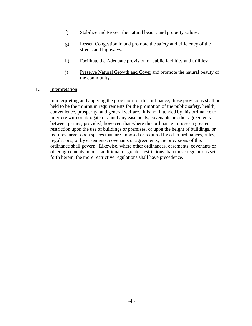- f) Stabilize and Protect the natural beauty and property values.
- g) Lessen Congestion in and promote the safety and efficiency of the streets and highways.
- h) Facilitate the Adequate provision of public facilities and utilities;
- j) Preserve Natural Growth and Cover and promote the natural beauty of the community.

#### 1.5 Interpretation

In interpreting and applying the provisions of this ordinance, those provisions shall be held to be the minimum requirements for the promotion of the public safety, health, convenience, prosperity, and general welfare. It is not intended by this ordinance to interfere with or abrogate or annul any easements, covenants or other agreements between parties; provided, however, that where this ordinance imposes a greater restriction upon the use of buildings or premises, or upon the height of buildings, or requires larger open spaces than are imposed or required by other ordinances, rules, regulations, or by easements, covenants or agreements, the provisions of this ordinance shall govern. Likewise, where other ordinances, easements, covenants or other agreements impose additional or greater restrictions than those regulations set forth herein, the more restrictive regulations shall have precedence.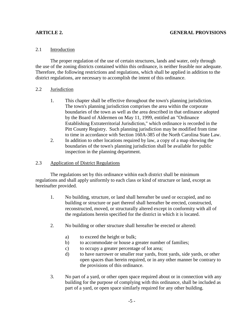### 2.1 Introduction

 The proper regulation of the use of certain structures, lands and water, only through the use of the zoning districts contained within this ordinance, is neither feasible nor adequate. Therefore, the following restrictions and regulations, which shall be applied in addition to the district regulations, are necessary to accomplish the intent of this ordinance.

#### 2.2 Jurisdiction

- 1. This chapter shall be effective throughout the town's planning jurisdiction. The town's planning jurisdiction comprises the area within the corporate boundaries of the town as well as the area described in that ordinance adopted by the Board of Aldermen on May 11, 1999, entitled an "Ordinance Establishing Extraterritorial Jurisdiction," which ordinance is recorded in the Pitt County Registry. Such planning jurisdiction may be modified from time to time in accordance with Section 160A-385 of the North Carolina State Law.
- 2. In addition to other locations required by law, a copy of a map showing the boundaries of the town's planning jurisdiction shall be available for public inspection in the planning department.

#### 2.3 Application of District Regulations

 The regulations set by this ordinance within each district shall be minimum regulations and shall apply uniformly to each class or kind of structure or land, except as hereinafter provided.

- 1. No building, structure, or land shall hereafter be used or occupied, and no building or structure or part thereof shall hereafter be erected, constructed, reconstructed, moved, or structurally altered except in conformity with all of the regulations herein specified for the district in which it is located.
- 2. No building or other structure shall hereafter be erected or altered:
	- a) to exceed the height or bulk;
	- b) to accommodate or house a greater number of families;
	- c) to occupy a greater percentage of lot area;
	- d) to have narrower or smaller rear yards, front yards, side yards, or other open spaces than herein required, or in any other manner be contrary to the provisions of this ordinance.
- 3. No part of a yard, or other open space required about or in connection with any building for the purpose of complying with this ordinance, shall be included as part of a yard, or open space similarly required for any other building.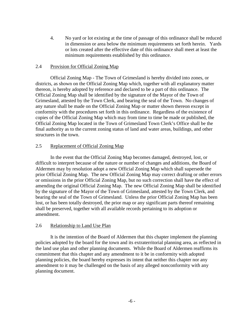4. No yard or lot existing at the time of passage of this ordinance shall be reduced in dimension or area below the minimum requirements set forth herein. Yards or lots created after the effective date of this ordinance shall meet at least the minimum requirements established by this ordinance.

#### 2.4 Provision for Official Zoning Map

 Official Zoning Map - The Town of Grimesland is hereby divided into zones, or districts, as shown on the Official Zoning Map which, together with all explanatory matter thereon, is hereby adopted by reference and declared to be a part of this ordinance. The Official Zoning Map shall be identified by the signature of the Mayor of the Town of Grimesland, attested by the Town Clerk, and bearing the seal of the Town. No changes of any nature shall be made on the Official Zoning Map or matter shown thereon except in conformity with the procedures set forth in this ordinance. Regardless of the existence of copies of the Official Zoning Map which may from time to time be made or published, the Official Zoning Map located in the Town of Grimesland Town Clerk's Office shall be the final authority as to the current zoning status of land and water areas, buildings, and other structures in the town.

#### 2.5 Replacement of Official Zoning Map

 In the event that the Official Zoning Map becomes damaged, destroyed, lost, or difficult to interpret because of the nature or number of changes and additions, the Board of Aldermen may by resolution adopt a new Official Zoning Map which shall supersede the prior Official Zoning Map. The new Official Zoning Map may correct drafting or other errors or omissions in the prior Official Zoning Map, but no such correction shall have the effect of amending the original Official Zoning Map. The new Official Zoning Map shall be identified by the signature of the Mayor of the Town of Grimesland, attested by the Town Clerk, and bearing the seal of the Town of Grimesland. Unless the prior Official Zoning Map has been lost, or has been totally destroyed, the prior map or any significant parts thereof remaining shall be preserved, together with all available records pertaining to its adoption or amendment.

#### 2.6 Relationship to Land Use Plan

 It is the intention of the Board of Aldermen that this chapter implement the planning policies adopted by the board for the town and its extraterritorial planning area, as reflected in the land use plan and other planning documents. While the Board of Aldermen reaffirms its commitment that this chapter and any amendment to it be in conformity with adopted planning policies, the board hereby expresses its intent that neither this chapter nor any amendment to it may be challenged on the basis of any alleged nonconformity with any planning document.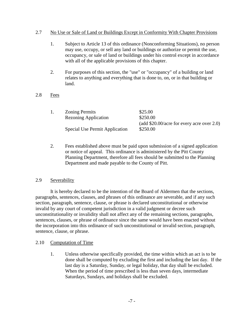#### 2.7 No Use or Sale of Land or Buildings Except in Conformity With Chapter Provisions

- 1. Subject to Article 13 of this ordinance (Nonconforming Situations), no person may use, occupy, or sell any land or buildings or authorize or permit the use, occupancy, or sale of land or buildings under his control except in accordance with all of the applicable provisions of this chapter.
- 2. For purposes of this section, the "use" or "occupancy" of a building or land relates to anything and everything that is done to, on, or in that building or land.
- 2.8 Fees

|  | <b>Zoning Permits</b>          | \$25.00                                     |
|--|--------------------------------|---------------------------------------------|
|  | <b>Rezoning Application</b>    | \$250.00                                    |
|  |                                | (add $$20.00/acre$ for every acre over 2.0) |
|  | Special Use Permit Application | \$250.00                                    |
|  |                                |                                             |

 2. Fees established above must be paid upon submission of a signed application or notice of appeal. This ordinance is administered by the Pitt County Planning Department, therefore all fees should be submitted to the Planning Department and made payable to the County of Pitt.

#### 2.9 Severability

 It is hereby declared to be the intention of the Board of Aldermen that the sections, paragraphs, sentences, clauses, and phrases of this ordinance are severable, and if any such section, paragraph, sentence, clause, or phrase is declared unconstitutional or otherwise invalid by any court of competent jurisdiction in a valid judgment or decree such unconstitutionality or invalidity shall not affect any of the remaining sections, paragraphs, sentences, clauses, or phrase of ordinance since the same would have been enacted without the incorporation into this ordinance of such unconstitutional or invalid section, paragraph, sentence, clause, or phrase.

### 2.10 Computation of Time

 1. Unless otherwise specifically provided, the time within which an act is to be done shall be computed by excluding the first and including the last day. If the last day is a Saturday, Sunday, or legal holiday, that day shall be excluded. When the period of time prescribed is less than seven days, intermediate Saturdays, Sundays, and holidays shall be excluded.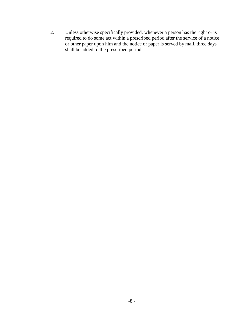2. Unless otherwise specifically provided, whenever a person has the right or is required to do some act within a prescribed period after the service of a notice or other paper upon him and the notice or paper is served by mail, three days shall be added to the prescribed period.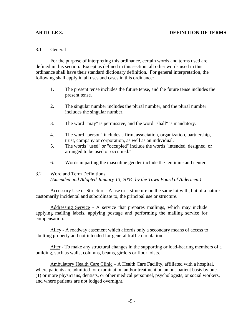#### **ARTICLE 3. DEFINITION OF TERMS**

#### 3.1 General

 For the purpose of interpreting this ordinance, certain words and terms used are defined in this section. Except as defined in this section, all other words used in this ordinance shall have their standard dictionary definition. For general interpretation, the following shall apply in all uses and cases in this ordinance:

- 1. The present tense includes the future tense, and the future tense includes the present tense.
- 2. The singular number includes the plural number, and the plural number includes the singular number.
- 3. The word "may" is permissive, and the word "shall" is mandatory.
- 4. The word "person" includes a firm, association, organization, partnership, trust, company or corporation, as well as an individual.
- 5. The words "used" or "occupied" include the words "intended, designed, or arranged to be used or occupied."
- 6. Words in parting the masculine gender include the feminine and neuter.

#### 3.2 Word and Term Definitions

*(Amended and Adopted January 13, 2004, by the Town Board of Aldermen.)* 

 Accessory Use or Structure - A use or a structure on the same lot with, but of a nature customarily incidental and subordinate to, the principal use or structure.

 Addressing Service - A service that prepares mailings, which may include applying mailing labels, applying postage and performing the mailing service for compensation.

 Alley - A roadway easement which affords only a secondary means of access to abutting property and not intended for general traffic circulation.

 Alter - To make any structural changes in the supporting or load-bearing members of a building, such as walls, columns, beams, girders or floor joists.

 Ambulatory Health Care Clinic – A Health Care Facility, affiliated with a hospital, where patients are admitted for examination and/or treatment on an out-patient basis by one (1) or more physicians, dentists, or other medical personnel, psychologists, or social workers, and where patients are not lodged overnight.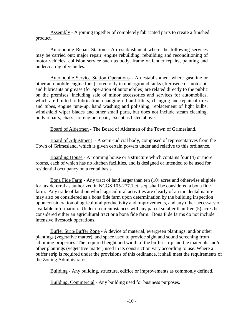Assembly - A joining together of completely fabricated parts to create a finished product.

Automobile Repair Station **-** An establishment where the following services may be carried out: major repair, engine rebuilding, rebuilding and reconditioning of motor vehicles, collision service such as body, frame or fender repairs, painting and undercoating of vehicles.

Automobile Service Station Operations - An establishment where gasoline or other automobile engine fuel (stored only in underground tanks), kerosene or motor oil and lubricants or grease (for operation of automobiles) are related directly to the public on the premises, including sale of minor accessories and services for automobiles, which are limited to lubrication, changing oil and filters, changing and repair of tires and tubes, engine tune-up, hand washing and polishing, replacement of light bulbs, windshield wiper blades and other small parts, but does not include steam cleaning, body repairs, chassis or engine repair, except as listed above.

Board of Aldermen - The Board of Aldermen of the Town of Grimesland.

 Board of Adjustment - A semi-judicial body, composed of representatives from the Town of Grimesland, which is given certain powers under and relative to this ordinance.

 Boarding House - A rooming house or a structure which contains four (4) or more rooms, each of which has no kitchen facilities, and is designed or intended to be used for residential occupancy on a rental basis.

 Bona Fide Farm - Any tract of land larger than ten (10) acres and otherwise eligible for tax deferral as authorized in NCGS 105-277.1 et. seq. shall be considered a bona fide farm. Any trade of land on which agricultural activities are clearly of an incidental nature may also be considered as a bona fide farm upon determination by the building inspection upon consideration of agricultural productivity and improvements, and any other necessary or available information. Under no circumstances will any parcel smaller than five (5) acres be considered either an agricultural tract or a bona fide farm. Bona Fide farms do not include intensive livestock operations.

 Buffer Strip/Buffer Zone - A device of material, evergreen plantings, and/or other plantings (vegetative matter), and space used to provide sight and sound screening from adjoining properties. The required height and width of the buffer strip and the materials and/or other plantings (vegetative matter) used in its construction vary according to use. Where a buffer strip is required under the provisions of this ordinance, it shall meet the requirements of the Zoning Administrator.

Building - Any building, structure, edifice or improvements as commonly defined.

Building, Commercial - Any building used for business purposes.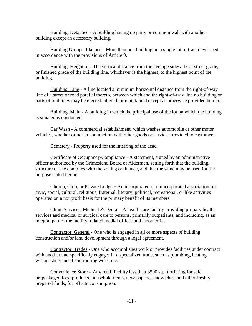Building, Detached - A building having no party or common wall with another building except an accessory building.

 Building Groups, Planned - More than one building on a single lot or tract developed in accordance with the provisions of Article 9.

 Building, Height of - The vertical distance from the average sidewalk or street grade, or finished grade of the building line, whichever is the highest, to the highest point of the building.

 Building, Line - A line located a minimum horizontal distance from the right-of-way line of a street or road parallel thereto, between which and the right-of-way line no building or parts of buildings may be erected, altered, or maintained except as otherwise provided herein.

 Building, Main - A building in which the principal use of the lot on which the building is situated is conducted.

 Car Wash - A commercial establishment, which washes automobile or other motor vehicles, whether or not in conjunction with other goods or services provided to customers.

Cemetery - Property used for the interring of the dead.

 Certificate of Occupancy/Compliance - A statement, signed by an administrative officer authorized by the Grimesland Board of Aldermen, setting forth that the building, structure or use complies with the zoning ordinance, and that the same may be used for the purpose stated herein.

 Church, Club, or Private Lodge **-** An incorporated or unincorporated association for civic, social, cultural, religious, fraternal, literary, political, recreational, or like activities operated on a nonprofit basis for the primary benefit of its members.

 Clinic Services, Medical & Dental - A health care facility providing primary health services and medical or surgical care to persons, primarily outpatients, and including, as an integral part of the facility, related medial offices and laboratories.

 Contractor, General - One who is engaged in all or more aspects of building construction and/or land development through a legal agreement.

 Contractor, Trades - One who accomplishes work or provides facilities under contract with another and specifically engages in a specialized trade, such as plumbing, heating, wiring, sheet metal and roofing work, etc.

 Convenience Store – Any retail facility less than 3500 sq. ft offering for sale prepackaged food products, household items, newspapers, sandwiches, and other freshly prepared foods, for off site consumption.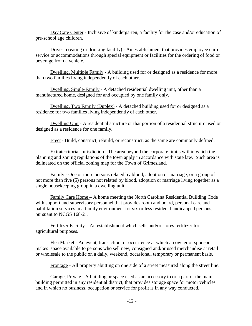Day Care Center - Inclusive of kindergarten, a facility for the case and/or education of pre-school age children.

 Drive-in (eating or drinking facility) - An establishment that provides employee curb service or accommodations through special equipment or facilities for the ordering of food or beverage from a vehicle.

 Dwelling, Multiple Family - A building used for or designed as a residence for more than two families living independently of each other.

 Dwelling, Single-Family - A detached residential dwelling unit, other than a manufactured home, designed for and occupied by one family only.

 Dwelling, Two Family (Duplex) - A detached building used for or designed as a residence for two families living independently of each other.

Dwelling Unit - A residential structure or that portion of a residential structure used or designed as a residence for one family.

Erect - Build, construct, rebuild, or reconstruct, as the same are commonly defined.

 Extraterritorial Jurisdiction - The area beyond the corporate limits within which the planning and zoning regulations of the town apply in accordance with state law. Such area is delineated on the official zoning map for the Town of Grimesland.

 Family - One or more persons related by blood, adoption or marriage, or a group of not more than five (5) persons not related by blood, adoption or marriage living together as a single housekeeping group in a dwelling unit.

Family Care Home – A home meeting the North Carolina Residential Building Code with support and supervisory personnel that provides room and board, personal care and habilitation services in a family environment for six or less resident handicapped persons, pursuant to NCGS 168-21.

 Fertilizer Facility – An establishment which sells and/or stores fertilizer for agricultural purposes.

 Flea Market - An event, transaction, or occurrence at which an owner or sponsor makes space available to persons who sell new, consigned and/or used merchandise at retail or wholesale to the public on a daily, weekend, occasional, temporary or permanent basis.

Frontage - All property abutting on one side of a street measured along the street line.

 Garage, Private - A building or space used as an accessory to or a part of the main building permitted in any residential district, that provides storage space for motor vehicles and in which no business, occupation or service for profit is in any way conducted.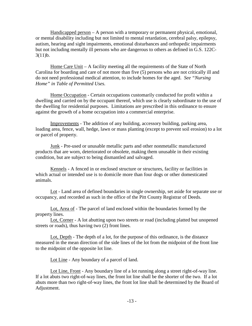Handicapped person  $-A$  person with a temporary or permanent physical, emotional, or mental disability including but not limited to mental retardation, cerebral palsy, epilepsy, autism, hearing and sight impairments, emotional disturbances and orthopedic impairments but not including mentally ill persons who are dangerous to others as defined in G.S. 122C-3(11)b.

 Home Care Unit – A facility meeting all the requirements of the State of North Carolina for boarding and care of not more than five (5) persons who are not critically ill and do not need professional medical attention, to include homes for the aged. *See "Nursing Home" in Table of Permitted Uses.*

 Home Occupation - Certain occupations customarily conducted for profit within a dwelling and carried on by the occupant thereof, which use is clearly subordinate to the use of the dwelling for residential purposes. Limitations are prescribed in this ordinance to ensure against the growth of a home occupation into a commercial enterprise.

 Improvements - The addition of any building, accessory building, parking area, loading area, fence, wall, hedge, lawn or mass planting (except to prevent soil erosion) to a lot or parcel of property.

 Junk - Pre-used or unusable metallic parts and other nonmetallic manufactured products that are worn, deteriorated or obsolete, making them unusable in their existing condition, but are subject to being dismantled and salvaged.

 Kennels **-** A fenced in or enclosed structure or structures, facility or facilities in which actual or intended use is to domicile more than four dogs or other domesticated animals.

 Lot - Land area of defined boundaries in single ownership, set aside for separate use or occupancy, and recorded as such in the office of the Pitt County Registrar of Deeds.

 Lot, Area of - The parcel of land enclosed within the boundaries formed by the property lines.

 Lot, Corner - A lot abutting upon two streets or road (including platted but unopened streets or roads), thus having two (2) front lines.

Lot, Depth - The depth of a lot, for the purpose of this ordinance, is the distance measured in the mean direction of the side lines of the lot from the midpoint of the front line to the midpoint of the opposite lot line.

Lot Line - Any boundary of a parcel of land.

 Lot Line, Front - Any boundary line of a lot running along a street right-of-way line. If a lot abuts two right-of-way lines, the front lot line shall be the shorter of the two. If a lot abuts more than two right-of-way lines, the front lot line shall be determined by the Board of Adjustment.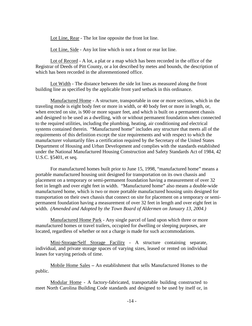Lot Line, Rear - The lot line opposite the front lot line.

Lot Line, Side - Any lot line which is not a front or rear lot line.

 Lot of Record - A lot, a plat or a map which has been recorded in the office of the Registrar of Deeds of Pitt County, or a lot described by metes and bounds, the description of which has been recorded in the aforementioned office.

 Lot Width - The distance between the side lot lines as measured along the front building line as specified by the applicable front yard setback in this ordinance.

 Manufactured Home - A structure, transportable in one or more sections, which in the traveling mode is eight body feet or more in width, or 40 body feet or more in length, or, when erected on site, is 900 or more square feet, and which is built on a permanent chassis and designed to be used as a dwelling, with or without permanent foundation when connected to the required utilities, including the plumbing, heating, air conditioning and electrical systems contained therein. "Manufactured home" includes any structure that meets all of the requirements of this definition except the size requirements and with respect to which the manufacturer voluntarily files a certification required by the Secretary of the United States Department of Housing and Urban Development and complies with the standards established under the National Manufactured Housing Construction and Safety Standards Act of 1984, 42 U.S.C. §5401, et seq.

 For manufactured homes built prior to June 15, 1998, "manufactured home" means a portable manufactured housing unit designed for transportation on its own chassis and placement on a temporary or semi-permanent foundation having a measurement of over 32 feet in length and over eight feet in width. "Manufactured home" also means a double-wide manufactured home, which is two or more portable manufactured housing units designed for transportation on their own chassis that connect on site for placement on a temporary or semipermanent foundation having a measurement of over 32 feet in length and over eight feet in width. *(Amended and Adopted by the Town Board of Aldermen on January 13, 2004.)* 

 Manufactured Home Park - Any single parcel of land upon which three or more manufactured homes or travel trailers, occupied for dwelling or sleeping purposes, are located, regardless of whether or not a charge is made for such accommodations.

 Mini-Storage/Self Storage Facility - A structure containing separate, individual, and private storage spaces of varying sizes, leased or rented on individual leases for varying periods of time.

 Mobile Home Sales **–** An establishment that sells Manufactured Homes to the public.

Modular Home - A factory-fabricated, transportable building constructed to meet North Carolina Building Code standards and designed to be used by itself or, in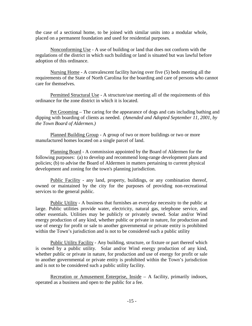the case of a sectional home, to be joined with similar units into a modular whole, placed on a permanent foundation and used for residential purposes.

 Nonconforming Use - A use of building or land that does not conform with the regulations of the district in which such building or land is situated but was lawful before adoption of this ordinance.

 Nursing Home - A convalescent facility having over five (5) beds meeting all the requirements of the State of North Carolina for the boarding and care of persons who cannot care for themselves.

 Permitted Structural Use - A structure/use meeting all of the requirements of this ordinance for the zone district in which it is located.

 Pet Grooming – The caring for the appearance of dogs and cats including bathing and dipping with boarding of clients as needed. *(Amended and Adopted September 11, 2001, by the Town Board of Aldermen.)*

 Planned Building Group - A group of two or more buildings or two or more manufactured homes located on a single parcel of land.

 Planning Board - A commission appointed by the Board of Aldermen for the following purposes: (a) to develop and recommend long-range development plans and policies; (b) to advise the Board of Aldermen in matters pertaining to current physical development and zoning for the town's planning jurisdiction.

Public Facility - any land, property, buildings, or any combination thereof, owned or maintained by the city for the purposes of providing non-recreational services to the general public.

 Public Utility - A business that furnishes an everyday necessity to the public at large. Public utilities provide water, electricity, natural gas, telephone service, and other essentials. Utilities may be publicly or privately owned. Solar and/or Wind energy production of any kind, whether public or private in nature, for production and use of energy for profit or sale to another governmental or private entity is prohibited within the Town's jurisdiction and is not to be considered such a public utility

 Public Utility Facility - Any building, structure, or fixture or part thereof which is owned by a public utility. Solar and/or Wind energy production of any kind, whether public or private in nature, for production and use of energy for profit or sale to another governmental or private entity is prohibited within the Town's jurisdiction and is not to be considered such a public utility facility.

Recreation or Amusement Enterprise, Inside  $-$  A facility, primarily indoors, operated as a business and open to the public for a fee.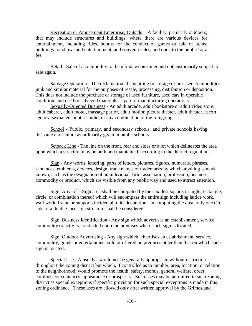Recreation or Amusement Enterprise, Outside – A facility, primarily outdoors, that may include structures and buildings, where there are various devices for entertainment, including rides, booths for the conduct of games or sale of items, buildings for shows and entertainment, and souvenir sales, and open to the public for a fee.

Retail - Sale of a commodity to the ultimate consumer and not customarily subject to sale again.

 Salvage Operation - The reclamation, dismantling or storage of pre-used commodities, junk and similar material for the purposes of resale, processing, distribution or deposition. This does not include the purchase or storage of used furniture, used cars in operable condition, and used or salvaged materials as part of manufacturing operations.

Sexually-Oriented Business **-** An adult arcade, adult bookstore or adult video store, adult cabaret, adult motel, massage parlor, adult motion picture theater, adult theater, escort agency, sexual encounter studio, or any combination of the foregoing.

School - Public, primary, and secondary schools, and private schools having the same curriculum as ordinarily given in public schools.

 Setback Line - The line on the front, rear and sides or a lot which delineates the area upon which a structure may be built and maintained, according to the district regulations.

 Sign - Any words, lettering, parts of letters, pictures, figures, numerals, phrases, sentences, emblems, devices, design, trade names or trademarks by which anything is made known, such as the designation of an individual, firm, association, profession, business commodity or product, which are visible from any public way and used to attract attention.

 Sign, Area of - Sign area shall be computed by the smallest square, triangle, rectangle, circle, or combination thereof which will encompass the entire sign including lattice work, wall work, frame or supports incidental to its decoration. In computing the area, only one (1) side of a double face sign structure shall be considered.

 Sign, Business Identification - Any sign which advertises an establishment, service, commodity or activity conducted upon the premises where such sign is located.

 Sign, Outdoor Advertising - Any sign which advertises an establishment, service, commodity, goods or entertainment sold or offered on premises other than that on which such sign is located.

 Special Use - A use that would not be generally appropriate without restriction throughout the zoning district but which, if controlled as to number, area, location, or relation to the neighborhood, would promote the health, safety, morals, general welfare, order, comfort, conveniences, appearance or prosperity. Such uses may be permitted in such zoning district as special exceptions if specific provision for such special exceptions is made in this zoning ordinance. These uses are allowed only after written approval by the Grimesland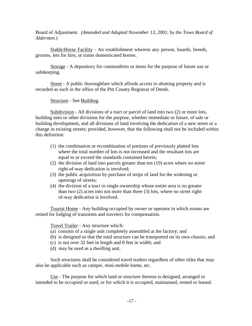Board of Adjustment. *(Amended and Adopted November 13, 2001, by the Town Board of Aldermen.)* 

Stable/Horse Facility - An establishment wherein any person, boards, breeds, grooms, lets for hire, or trains domesticated horses.

 Storage - A depository for commodities or items for the purpose of future use or safekeeping.

Street - A public thoroughfare which affords access to abutting property and is recorded as such in the office of the Pitt County Registrar of Deeds.

Structure - See Building.

Subdivision - All divisions of a tract or parcel of land into two (2) or more lots, building sites or other divisions for the purpose, whether immediate or future, of sale or building development, and all divisions of land involving the dedication of a new street or a change in existing streets; provided, however, that the following shall not be included within this definition:

- (1) the combination or recombination of portions of previously platted lots where the total number of lots is not increased and the resultant lots are equal to or exceed the standards contained herein;
- (2) the division of land into parcels greater than ten (10) acres where no street right-of-way dedication is involved;
- (3) the public acquisition by purchase of strips of land for the widening or openings of streets;
- (4) the division of a tract in single ownership whose entire area is no greater than two (2) acres into not more than three (3) lots, where no street rightof-way dedication is involved.

 Tourist Home - Any building occupied by owner or operator in which rooms are rented for lodging of transients and travelers for compensation.

Travel Trailer - Any structure which:

- (a) consists of a single unit completely assembled at the factory; and
- (b) is designed so that the total structure can be transported on its own chassis; and
- (c) is not over 32 feet in length and 8 feet in width; and
- (d) may be used as a dwelling unit.

 Such structures shall be considered travel trailers regardless of other titles that may also be applicable such as camper, mini-mobile home, etc.

 Use - The purpose for which land or structure thereon is designed, arranged or intended to be occupied or used, or for which it is occupied, maintained, rented or leased.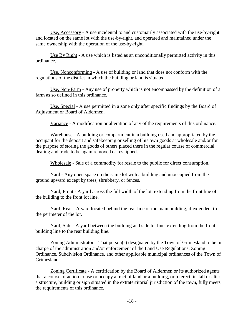Use, Accessory - A use incidental to and customarily associated with the use-by-right and located on the same lot with the use-by-right, and operated and maintained under the same ownership with the operation of the use-by-right.

 Use By Right - A use which is listed as an unconditionally permitted activity in this ordinance.

 Use, Nonconforming - A use of building or land that does not conform with the regulations of the district in which the building or land is situated.

 Use, Non-Farm - Any use of property which is not encompassed by the definition of a farm as so defined in this ordinance.

 Use, Special - A use permitted in a zone only after specific findings by the Board of Adjustment or Board of Aldermen.

Variance - A modification or alteration of any of the requirements of this ordinance.

 Warehouse - A building or compartment in a building used and appropriated by the occupant for the deposit and safekeeping or selling of his own goods at wholesale and/or for the purpose of storing the goods of others placed there in the regular course of commercial dealing and trade to be again removed or reshipped.

Wholesale - Sale of a commodity for resale to the public for direct consumption.

 Yard - Any open space on the same lot with a building and unoccupied from the ground upward except by trees, shrubbery, or fences.

Yard, Front - A yard across the full width of the lot, extending from the front line of the building to the front lot line.

 Yard, Rear - A yard located behind the rear line of the main building, if extended, to the perimeter of the lot.

 Yard, Side - A yard between the building and side lot line, extending from the front building line to the rear building line.

 Zoning Administrator – That person(s) designated by the Town of Grimesland to be in charge of the administration and/or enforcement of the Land Use Regulations, Zoning Ordinance, Subdivision Ordinance, and other applicable municipal ordinances of the Town of Grimesland.

 Zoning Certificate - A certification by the Board of Aldermen or its authorized agents that a course of action to use or occupy a tract of land or a building, or to erect, install or alter a structure, building or sign situated in the extraterritorial jurisdiction of the town, fully meets the requirements of this ordinance.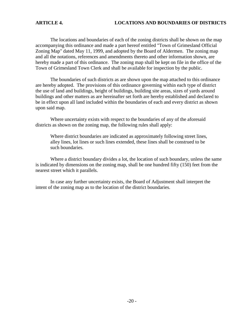The locations and boundaries of each of the zoning districts shall be shown on the map accompanying this ordinance and made a part hereof entitled "Town of Grimesland Official Zoning Map" dated May 11, 1999, and adopted by the Board of Aldermen. The zoning map and all the notations, references and amendments thereto and other information shown, are hereby made a part of this ordinance. The zoning map shall be kept on file in the office of the Town of Grimesland Town Clerk and shall be available for inspection by the public.

 The boundaries of such districts as are shown upon the map attached to this ordinance are hereby adopted. The provisions of this ordinance governing within each type of district the use of land and buildings, height of buildings, building site areas, sizes of yards around buildings and other matters as are hereinafter set forth are hereby established and declared to be in effect upon all land included within the boundaries of each and every district as shown upon said map.

 Where uncertainty exists with respect to the boundaries of any of the aforesaid districts as shown on the zoning map, the following rules shall apply:

Where district boundaries are indicated as approximately following street lines, alley lines, lot lines or such lines extended, these lines shall be construed to be such boundaries.

 Where a district boundary divides a lot, the location of such boundary, unless the same is indicated by dimensions on the zoning map, shall be one hundred fifty (150) feet from the nearest street which it parallels.

 In case any further uncertainty exists, the Board of Adjustment shall interpret the intent of the zoning map as to the location of the district boundaries.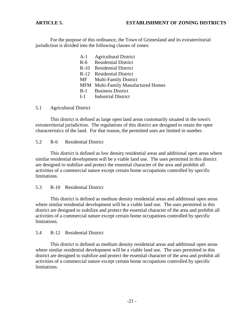For the purpose of this ordinance, the Town of Grimesland and its extraterritorial jurisdiction is divided into the following classes of zones:

> A-1 Agricultural District R-6 Residential District R-10 Residential District R-12 Residential District MF Multi-Family District MFM Multi-Family Manufactured Homes B-1 Business District I-1 Industrial District

#### 5.1 Agricultural District

 This district is defined as large open land areas customarily situated in the town's extraterritorial jurisdiction. The regulations of this district are designed to retain the open characteristics of the land. For that reason, the permitted uses are limited in number.

5.2 R-6 Residential District

 This district is defined as low density residential areas and additional open areas where similar residential development will be a viable land use. The uses permitted in this district are designed to stabilize and protect the essential character of the area and prohibit all activities of a commercial nature except certain home occupations controlled by specific limitations.

5.3 R-10 Residential District

 This district is defined as medium density residential areas and additional open areas where similar residential development will be a viable land use. The uses permitted in this district are designed to stabilize and protect the essential character of the area and prohibit all activities of a commercial nature except certain home occupations controlled by specific limitations.

#### 5.4 R-12 Residential District

 This district is defined as medium density residential areas and additional open areas where similar residential development will be a viable land use. The uses permitted in this district are designed to stabilize and protect the essential character of the area and prohibit all activities of a commercial nature except certain home occupations controlled by specific limitations.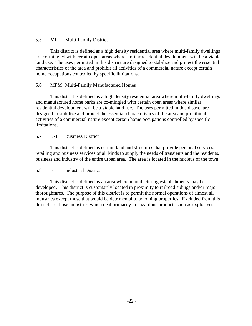#### 5.5 MF Multi-Family District

 This district is defined as a high density residential area where multi-family dwellings are co-mingled with certain open areas where similar residential development will be a viable land use. The uses permitted in this district are designed to stabilize and protect the essential characteristics of the area and prohibit all activities of a commercial nature except certain home occupations controlled by specific limitations.

### 5.6 MFM Multi-Family Manufactured Homes

 This district is defined as a high density residential area where multi-family dwellings and manufactured home parks are co-mingled with certain open areas where similar residential development will be a viable land use. The uses permitted in this district are designed to stabilize and protect the essential characteristics of the area and prohibit all activities of a commercial nature except certain home occupations controlled by specific limitations.

#### 5.7 B-1 Business District

 This district is defined as certain land and structures that provide personal services, retailing and business services of all kinds to supply the needs of transients and the residents, business and industry of the entire urban area. The area is located in the nucleus of the town.

### 5.8 I-1 Industrial District

 This district is defined as an area where manufacturing establishments may be developed. This district is customarily located in proximity to railroad sidings and/or major thoroughfares. The purpose of this district is to permit the normal operations of almost all industries except those that would be detrimental to adjoining properties. Excluded from this district are those industries which deal primarily in hazardous products such as explosives.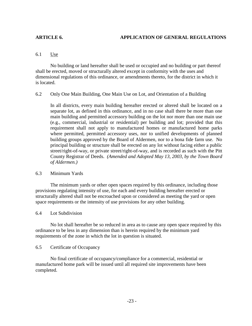#### 6.1 Use

 No building or land hereafter shall be used or occupied and no building or part thereof shall be erected, moved or structurally altered except in conformity with the uses and dimensional regulations of this ordinance, or amendments thereto, for the district in which it is located.

#### 6.2 Only One Main Building, One Main Use on Lot, and Orientation of a Building

 In all districts, every main building hereafter erected or altered shall be located on a separate lot, as defined in this ordinance, and in no case shall there be more than one main building and permitted accessory building on the lot nor more than one main use (e.g., commercial, industrial or residential) per building and lot; provided that this requirement shall not apply to manufactured homes or manufactured home parks where permitted, permitted accessory uses, nor to unified developments of planned building groups approved by the Board of Aldermen, nor to a bona fide farm use. No principal building or structure shall be erected on any lot without facing either a public street/right-of-way, or private street/right-of-way, and is recorded as such with the Pitt County Registrar of Deeds. *(Amended and Adopted May 13, 2003, by the Town Board of Aldermen.)* 

#### 6.3 Minimum Yards

 The minimum yards or other open spaces required by this ordinance, including those provisions regulating intensity of use, for each and every building hereafter erected or structurally altered shall not be encroached upon or considered as meeting the yard or open space requirements or the intensity of use provisions for any other building.

6.4 Lot Subdivision

 No lot shall hereafter be so reduced in area as to cause any open space required by this ordinance to be less in any dimension than is herein required by the minimum yard requirements of the zone in which the lot in question is situated.

### 6.5 Certificate of Occupancy

 No final certificate of occupancy/compliance for a commercial, residential or manufactured home park will be issued until all required site improvements have been completed.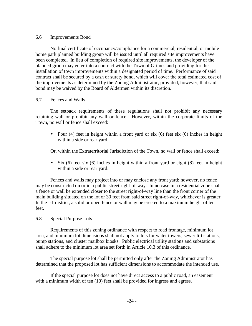#### 6.6 Improvements Bond

 No final certificate of occupancy/compliance for a commercial, residential, or mobile home park planned building group will be issued until all required site improvements have been completed. In lieu of completion of required site improvements, the developer of the planned group may enter into a contract with the Town of Grimesland providing for the installation of town improvements within a designated period of time. Performance of said contract shall be secured by a cash or surety bond, which will cover the total estimated cost of the improvements as determined by the Zoning Administrator; provided, however, that said bond may be waived by the Board of Aldermen within its discretion.

#### 6.7 Fences and Walls

The setback requirements of these regulations shall not prohibit any necessary retaining wall or prohibit any wall or fence. However, within the corporate limits of the Town, no wall or fence shall exceed:

• Four (4) feet in height within a front yard or six (6) feet six (6) inches in height within a side or rear yard.

Or, within the Extraterritorial Jurisdiction of the Town, no wall or fence shall exceed:

• Six (6) feet six (6) inches in height within a front yard or eight (8) feet in height within a side or rear yard.

Fences and walls may project into or may enclose any front yard; however, no fence may be constructed on or in a public street right-of-way. In no case in a residential zone shall a fence or wall be extended closer to the street right-of-way line than the front corner of the main building situated on the lot or 30 feet from said street right-of-way, whichever is greater. In the I-1 district, a solid or open fence or wall may be erected to a maximum height of ten feet.

6.8 Special Purpose Lots

 Requirements of this zoning ordinance with respect to road frontage, minimum lot area, and minimum lot dimensions shall not apply to lots for water towers, sewer lift stations, pump stations, and cluster mailbox kiosks. Public electrical utility stations and substations shall adhere to the minimum lot area set forth in Article 10.3 of this ordinance.

The special purpose lot shall be permitted only after the Zoning Administrator has determined that the proposed lot has sufficient dimensions to accommodate the intended use.

If the special purpose lot does not have direct access to a public road, an easement with a minimum width of ten (10) feet shall be provided for ingress and egress.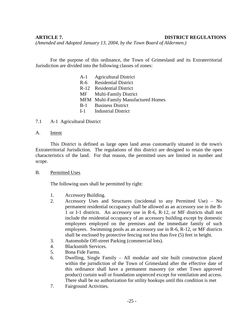#### **ARTICLE 7. DISTRICT REGULATIONS**

*(Amended and Adopted January 13, 2004, by the Town Board of Aldermen.)* 

 For the purpose of this ordinance, the Town of Grimesland and its Extraterritorial Jurisdiction are divided into the following classes of zones:

- A-1 Agricultural District R-6 Residential District
- 
- R-12 Residential District
- MF Multi-Family District
- MFM Multi-Family Manufactured Homes
- B-1 Business District
- I-1 Industrial District
- 7.1 A-1 Agricultural District
- A. Intent

 This District is defined as large open land areas customarily situated in the town's Extraterritorial Jurisdiction. The regulations of this district are designed to retain the open characteristics of the land. For that reason, the permitted uses are limited in number and scope.

B. Permitted Uses

The following uses shall be permitted by right:

- 1. Accessory Building.
- 2. Accessory Uses and Structures (incidental to any Permitted Use) No permanent residential occupancy shall be allowed as an accessory use in the B-1 or I-1 districts. An accessory use in R-6, R-12, or MF districts shall not include the residential occupancy of an accessory building except by domestic employees employed on the premises and the immediate family of such employees. Swimming pools as an accessory use in R-6, R-12, or MF districts shall be enclosed by protective fencing not less than five (5) feet in height.
- 3. Automobile Off-street Parking (commercial lots).
- 4. Blacksmith Services.
- 5. Bona Fide Farms.
- 6. Dwelling, Single Family All modular and site built construction placed within the jurisdiction of the Town of Grimesland after the effective date of this ordinance shall have a permanent masonry (or other Town approved product) curtain wall or foundation unpierced except for ventilation and access. There shall be no authorization for utility hookups until this condition is met
- 7. Fairground Activities.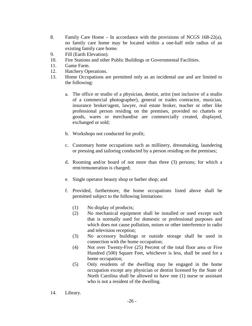- 8. Family Care Home In accordance with the provisions of NCGS  $168-22(a)$ , no family care home may be located within a one-half mile radius of an existing family care home.
- 9. Fill (Earth Elevation).
- 10. Fire Stations and other Public Buildings or Governmental Facilities.
- 11. Game Farm.
- 12. Hatchery Operations.
- 13. Home Occupations are permitted only as an incidental use and are limited to the following:
	- a. The office or studio of a physician, dentist, artist (not inclusive of a studio of a commercial photographer), general or trades contractor, musician, insurance broker/agent, lawyer, real estate broker, teacher or other like professional person residing on the premises, provided no chattels or goods, wares or merchandise are commercially created, displayed, exchanged or sold;
	- b. Workshops not conducted for profit;
	- c. Customary home occupations such as millinery, dressmaking, laundering or pressing and tailoring conducted by a person residing on the premises;
	- d. Rooming and/or board of not more than three (3) persons; for which a rent/remuneration is charged;
	- e. Single operator beauty shop or barber shop; and
	- f. Provided, furthermore, the home occupations listed above shall be permitted subject to the following limitations:
		- (1) No display of products;
		- (2) No mechanical equipment shall be installed or used except such that is normally used for domestic or professional purposes and which does not cause pollution, noises or other interference in radio and television reception;
		- (3) No accessory buildings or outside storage shall be used in connection with the home occupation;
		- (4) Not over Twenty-Five (25) Percent of the total floor area or Five Hundred (500) Square Feet, whichever is less, shall be used for a home occupation;
		- (5) Only residents of the dwelling may be engaged in the home occupation except any physician or dentist licensed by the State of North Carolina shall be allowed to have one (1) nurse or assistant who is not a resident of the dwelling.
- 14. Library.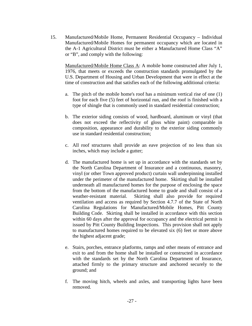15. Manufactured/Mobile Home, Permanent Residential Occupancy – Individual Manufactured/Mobile Homes for permanent occupancy which are located in the A-1 Agricultural District must be either a Manufactured Home Class "A" or "B", and comply with the following:

Manufactured/Mobile Home Class A: A mobile home constructed after July 1, 1976, that meets or exceeds the construction standards promulgated by the U.S. Department of Housing and Urban Development that were in effect at the time of construction and that satisfies each of the following additional criteria:

- a. The pitch of the mobile home's roof has a minimum vertical rise of one (1) foot for each five (5) feet of horizontal run, and the roof is finished with a type of shingle that is commonly used in standard residential construction;
- b. The exterior siding consists of wood, hardboard, aluminum or vinyl (that does not exceed the reflectivity of gloss white paint) comparable in composition, appearance and durability to the exterior siding commonly use in standard residential construction;
- c. All roof structures shall provide an eave projection of no less than six inches, which may include a gutter;
- d. The manufactured home is set up in accordance with the standards set by the North Carolina Department of Insurance and a continuous, masonry, vinyl (or other Town approved product) curtain wall underpinning installed under the perimeter of the manufactured home. Skirting shall be installed underneath all manufactured homes for the purpose of enclosing the space from the bottom of the manufactured home to grade and shall consist of a weather-resistant material. Skirting shall also provide for required ventilation and access as required by Section 4.7.7 of the State of North Carolina Regulations for Manufactured/Mobile Homes, Pitt County Building Code. Skirting shall be installed in accordance with this section within 60 days after the approval for occupancy and the electrical permit is issued by Pitt County Building Inspections. This provision shall not apply to manufactured homes required to be elevated six (6) feet or more above the highest adjacent grade;
- e. Stairs, porches, entrance platforms, ramps and other means of entrance and exit to and from the home shall be installed or constructed in accordance with the standards set by the North Carolina Department of Insurance, attached firmly to the primary structure and anchored securely to the ground; and
- f. The moving hitch, wheels and axles, and transporting lights have been removed.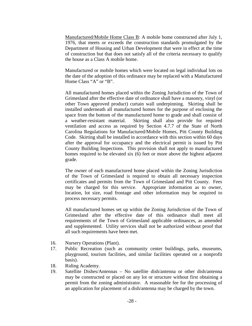Manufactured/Mobile Home Class B: A mobile home constructed after July 1, 1976, that meets or exceeds the construction standards promulgated by the Department of Housing and Urban Development that were in effect at the time of construction but that does not satisfy all of the criteria necessary to qualify the house as a Class A mobile home.

Manufactured or mobile homes which were located on legal individual lots on the date of the adoption of this ordinance may be replaced with a Manufactured Home Class "A" or "B".

All manufactured homes placed within the Zoning Jurisdiction of the Town of Grimesland after the effective date of ordinance shall have a masonry, vinyl (or other Town approved product) curtain wall underpinning. Skirting shall be installed underneath all manufactured homes for the purpose of enclosing the space from the bottom of the manufactured home to grade and shall consist of a weather-resistant material. Skirting shall also provide for required ventilation and access as required by Section 4.7.7 of the State of North Carolina Regulations for Manufactured/Mobile Homes, Pitt County Building Code. Skirting shall be installed in accordance with this section within 60 days after the approval for occupancy and the electrical permit is issued by Pitt County Building Inspections. This provision shall not apply to manufactured homes required to be elevated six (6) feet or more above the highest adjacent grade.

The owner of each manufactured home placed within the Zoning Jurisdiction of the Town of Grimesland is required to obtain all necessary inspection certificates and permits from the Town of Grimesland and Pitt County. Fees may be charged for this service. Appropriate information as to owner, location, lot size, road frontage and other information may be required to process necessary permits.

All manufactured homes set up within the Zoning Jurisdiction of the Town of Grimesland after the effective date of this ordinance shall meet all requirements of the Town of Grimesland applicable ordinances, as amended and supplemented. Utility services shall not be authorized without proof that all such requirements have been met.

- 16. Nursery Operations (Plant).
- 17. Public Recreation (such as community center buildings, parks, museums, playground, tourism facilities, and similar facilities operated on a nonprofit basis).
- 18. Riding Academy.
- 19. Satellite Dishes/Antennas No satellite dish/antenna or other dish/antenna may be constructed or placed on any lot or structure without first obtaining a permit from the zoning administrator. A reasonable fee for the processing of an application for placement of a dish/antenna may be charged by the town.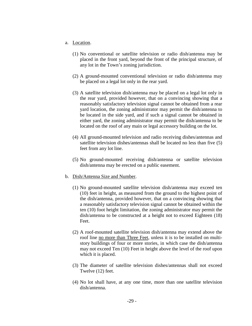- a. Location.
	- (1) No conventional or satellite television or radio dish/antenna may be placed in the front yard, beyond the front of the principal structure, of any lot in the Town's zoning jurisdiction.
	- (2) A ground-mounted conventional television or radio dish/antenna may be placed on a legal lot only in the rear yard.
	- (3) A satellite television dish/antenna may be placed on a legal lot only in the rear yard, provided however, that on a convincing showing that a reasonably satisfactory television signal cannot be obtained from a rear yard location, the zoning administrator may permit the dish/antenna to be located in the side yard, and if such a signal cannot be obtained in either yard, the zoning administrator may permit the dish/antenna to be located on the roof of any main or legal accessory building on the lot.
	- (4) All ground-mounted television and radio receiving dishes/antennas and satellite television dishes/antennas shall be located no less than five (5) feet from any lot line.
	- (5) No ground-mounted receiving dish/antenna or satellite television dish/antenna may be erected on a public easement.
- b. Dish/Antenna Size and Number.
	- (1) No ground-mounted satellite television dish/antenna may exceed ten (10) feet in height, as measured from the ground to the highest point of the dish/antenna, provided however, that on a convincing showing that a reasonably satisfactory television signal cannot be obtained within the ten (10) foot height limitation, the zoning administrator may permit the dish/antenna to be constructed at a height not to exceed Eighteen (18) Feet.
	- (2) A roof-mounted satellite television dish/antenna may extend above the roof line no more than Three Feet, unless it is to be installed on multistory buildings of four or more stories, in which case the dish/antenna may not exceed Ten (10) Feet in height above the level of the roof upon which it is placed.
	- (3) The diameter of satellite television dishes/antennas shall not exceed Twelve (12) feet.
	- (4) No lot shall have, at any one time, more than one satellite television dish/antenna.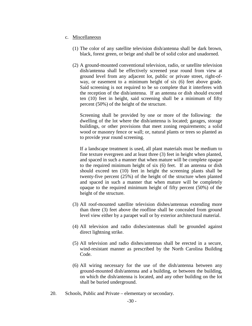#### c. Miscellaneous

- (1) The color of any satellite television dish/antenna shall be dark brown, black, forest green, or beige and shall be of solid color and unadorned.
- (2) A ground-mounted conventional television, radio, or satellite television dish/antenna shall be effectively screened year round from view at ground level from any adjacent lot, public or private street, right-ofway, or easement to a minimum height of six (6) feet above grade. Said screening is not required to be so complete that it interferes with the reception of the dish/antenna. If an antenna or dish should exceed ten (10) feet in height, said screening shall be a minimum of fifty percent (50%) of the height of the structure.

 Screening shall be provided by one or more of the following: the dwelling of the lot where the dish/antenna is located; garages, storage buildings, or other provisions that meet zoning requirements; a solid wood or masonry fence or wall; or, natural plants or trees so planted as to provide year round screening.

 If a landscape treatment is used, all plant materials must be medium to fine texture evergreen and at least three (3) feet in height when planted, and spaced in such a manner that when mature will be complete opaque to the required minimum height of six (6) feet. If an antenna or dish should exceed ten (10) feet in height the screening plants shall be twenty-five percent (25%) of the height of the structure when planted and spaced in such a manner that when mature will be completely opaque to the required minimum height of fifty percent (50%) of the height of the structure.

- (3) All roof-mounted satellite television dishes/antennas extending more than three (3) feet above the roofline shall be concealed from ground level view either by a parapet wall or by exterior architectural material.
- (4) All television and radio dishes/antennas shall be grounded against direct lightning strike.
- (5) All television and radio dishes/antennas shall be erected in a secure, wind-resistant manner as prescribed by the North Carolina Building Code.
- (6) All wiring necessary for the use of the dish/antenna between any ground-mounted dish/antenna and a building, or between the building, on which the dish/antenna is located, and any other building on the lot shall be buried underground.
- 20. Schools, Public and Private elementary or secondary.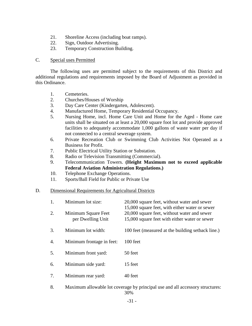- 21. Shoreline Access (including boat ramps).
- 22. Sign, Outdoor Advertising.
- 23. Temporary Construction Building.

#### C. Special uses Permitted

 The following uses are permitted subject to the requirements of this District and additional regulations and requirements imposed by the Board of Adjustment as provided in this Ordinance.

- 1. Cemeteries.
- 2. Churches/Houses of Worship
- 3. Day Care Center (Kindergarten, Adolescent).
- 4. Manufactured Home, Temporary Residential Occupancy.
- 5. Nursing Home, incl. Home Care Unit and Home for the Aged Home care units shall be situated on at least a 20,000 square foot lot and provide approved facilities to adequately accommodate 1,000 gallons of waste water per day if not connected to a central sewerage system.
- 6. Private Recreation Club or Swimming Club Activities Not Operated as a Business for Profit.
- 7. Public Electrical Utility Station or Substation.
- 8. Radio or Television Transmitting (Commercial).
- 9. Telecommunication Towers. **(Height Maximum not to exceed applicable Federal Aviation Administration Regulations.)**
- 10. Telephone Exchange Operations.
- 11. Sports/Ball Field for Public or Private Use

#### D. Dimensional Requirements for Agricultural Districts

| 1. | Minimum lot size:                        | 20,000 square feet, without water and sewer<br>15,000 square feet, with either water or sewer |  |
|----|------------------------------------------|-----------------------------------------------------------------------------------------------|--|
| 2. | Minimum Square Feet<br>per Dwelling Unit | 20,000 square feet, without water and sewer<br>15,000 square feet with either water or sewer  |  |
| 3. | Minimum lot width:                       | 100 feet (measured at the building setback line.)                                             |  |
| 4. | Minimum frontage in feet:                | $100$ feet                                                                                    |  |
| 5. | Minimum front yard:                      | 50 feet                                                                                       |  |
| 6. | Minimum side yard:                       | 15 feet                                                                                       |  |
| 7. | Minimum rear yard:                       | 40 feet                                                                                       |  |

8. Maximum allowable lot coverage by principal use and all accessory structures: 30%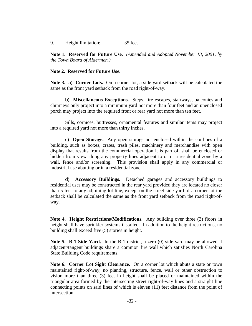9. Height limitation: 35 feet

**Note 1. Reserved for Future Use.** *(Amended and Adopted November 13, 2001, by the Town Board of Aldermen.)*

#### **Note 2. Reserved for Future Use.**

**Note 3. a) Corner Lots.** On a corner lot, a side yard setback will be calculated the same as the front yard setback from the road right-of-way.

 **b) Miscellaneous Exceptions.** Steps, fire escapes, stairways, balconies and chimneys only project into a minimum yard not more than four feet and an unenclosed porch may project into the required front or rear yard not more than ten feet.

 Sills, cornices, buttresses, ornamental features and similar items may project into a required yard not more than thirty inches.

**c) Open Storage.** Any open storage not enclosed within the confines of a building, such as boxes, crates, trash piles, machinery and merchandise with open display that results from the commercial operation it is part of, shall be enclosed or hidden from view along any property lines adjacent to or in a residential zone by a wall, fence and/or screening. This provision shall apply in any commercial or industrial use abutting or in a residential zone.

**d) Accessory Buildings.** Detached garages and accessory buildings to residential uses may be constructed in the rear yard provided they are located no closer than 5 feet to any adjoining lot line, except on the street side yard of a corner lot the setback shall be calculated the same as the front yard setback from the road right-ofway.

**Note 4. Height Restrictions/Modifications.** Any building over three (3) floors in height shall have sprinkler systems installed. In addition to the height restrictions, no building shall exceed five (5) stories in height.

**Note 5. B-1 Side Yard.** In the B-1 district, a zero (0) side yard may be allowed if adjacent/tangent buildings share a common fire wall which satisfies North Carolina State Building Code requirements.

**Note 6. Corner Lot Sight Clearance.** On a corner lot which abuts a state or town maintained right-of-way, no planting, structure, fence, wall or other obstruction to vision more than three (3) feet in height shall be placed or maintained within the triangular area formed by the intersecting street right-of-way lines and a straight line connecting points on said lines of which is eleven (11) feet distance from the point of intersection.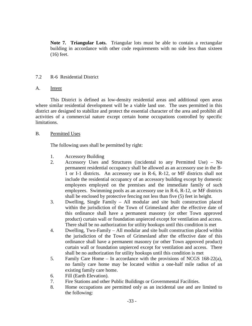**Note 7. Triangular Lots.** Triangular lots must be able to contain a rectangular building in accordance with other code requirements with no side less than sixteen (16) feet.

# 7.2 R-6 Residential District

# A. Intent

This District is defined as low-density residential areas and additional open areas where similar residential development will be a viable land use. The uses permitted in this district are designed to stabilize and protect the essential character of the area and prohibit all activities of a commercial nature except certain home occupations controlled by specific limitations.

# B. Permitted Uses

The following uses shall be permitted by right:

- 1. Accessory Building
- 2. Accessory Uses and Structures (incidental to any Permitted Use) No permanent residential occupancy shall be allowed as an accessory use in the B-1 or I-1 districts. An accessory use in R-6, R-12, or MF districts shall not include the residential occupancy of an accessory building except by domestic employees employed on the premises and the immediate family of such employees. Swimming pools as an accessory use in R-6, R-12, or MF districts shall be enclosed by protective fencing not less than five (5) feet in height.
- 3. Dwelling, Single Family All modular and site built construction placed within the jurisdiction of the Town of Grimesland after the effective date of this ordinance shall have a permanent masonry (or other Town approved product) curtain wall or foundation unpierced except for ventilation and access. There shall be no authorization for utility hookups until this condition is met
- 4. Dwelling, Two-Family All modular and site built construction placed within the jurisdiction of the Town of Grimesland after the effective date of this ordinance shall have a permanent masonry (or other Town approved product) curtain wall or foundation unpierced except for ventilation and access. There shall be no authorization for utility hookups until this condition is met
- 5. Family Care Home In accordance with the provisions of NCGS 168-22(a), no family care home may be located within a one-half mile radius of an existing family care home.
- 6. Fill (Earth Elevation).
- 7. Fire Stations and other Public Buildings or Governmental Facilities.
- 8. Home occupations are permitted only as an incidental use and are limited to the following: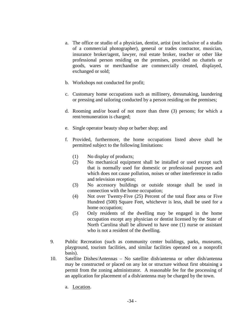- a. The office or studio of a physician, dentist, artist (not inclusive of a studio of a commercial photographer), general or trades contractor, musician, insurance broker/agent, lawyer, real estate broker, teacher or other like professional person residing on the premises, provided no chattels or goods, wares or merchandise are commercially created, displayed, exchanged or sold;
- b. Workshops not conducted for profit;
- c. Customary home occupations such as millinery, dressmaking, laundering or pressing and tailoring conducted by a person residing on the premises;
- d. Rooming and/or board of not more than three (3) persons; for which a rent/remuneration is charged;
- e. Single operator beauty shop or barber shop; and
- f. Provided, furthermore, the home occupations listed above shall be permitted subject to the following limitations:
	- (1) No display of products;
	- (2) No mechanical equipment shall be installed or used except such that is normally used for domestic or professional purposes and which does not cause pollution, noises or other interference in radio and television reception;
	- (3) No accessory buildings or outside storage shall be used in connection with the home occupation;
	- (4) Not over Twenty-Five (25) Percent of the total floor area or Five Hundred (500) Square Feet, whichever is less, shall be used for a home occupation;
	- (5) Only residents of the dwelling may be engaged in the home occupation except any physician or dentist licensed by the State of North Carolina shall be allowed to have one (1) nurse or assistant who is not a resident of the dwelling.
- 9. Public Recreation (such as community center buildings, parks, museums, playground, tourism facilities, and similar facilities operated on a nonprofit basis).
- 10. Satellite Dishes/Antennas No satellite dish/antenna or other dish/antenna may be constructed or placed on any lot or structure without first obtaining a permit from the zoning administrator. A reasonable fee for the processing of an application for placement of a dish/antenna may be charged by the town.
	- a. Location.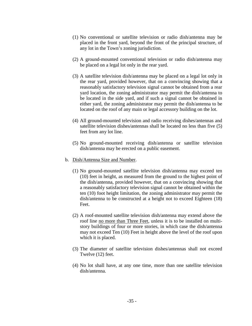- (1) No conventional or satellite television or radio dish/antenna may be placed in the front yard, beyond the front of the principal structure, of any lot in the Town's zoning jurisdiction.
- (2) A ground-mounted conventional television or radio dish/antenna may be placed on a legal lot only in the rear yard.
- (3) A satellite television dish/antenna may be placed on a legal lot only in the rear yard, provided however, that on a convincing showing that a reasonably satisfactory television signal cannot be obtained from a rear yard location, the zoning administrator may permit the dish/antenna to be located in the side yard, and if such a signal cannot be obtained in either yard, the zoning administrator may permit the dish/antenna to be located on the roof of any main or legal accessory building on the lot.
- (4) All ground-mounted television and radio receiving dishes/antennas and satellite television dishes/antennas shall be located no less than five (5) feet from any lot line.
- (5) No ground-mounted receiving dish/antenna or satellite television dish/antenna may be erected on a public easement.
- b. Dish/Antenna Size and Number.
	- (1) No ground-mounted satellite television dish/antenna may exceed ten (10) feet in height, as measured from the ground to the highest point of the dish/antenna, provided however, that on a convincing showing that a reasonably satisfactory television signal cannot be obtained within the ten (10) foot height limitation, the zoning administrator may permit the dish/antenna to be constructed at a height not to exceed Eighteen (18) Feet.
	- (2) A roof-mounted satellite television dish/antenna may extend above the roof line no more than Three Feet, unless it is to be installed on multistory buildings of four or more stories, in which case the dish/antenna may not exceed Ten (10) Feet in height above the level of the roof upon which it is placed.
	- (3) The diameter of satellite television dishes/antennas shall not exceed Twelve (12) feet.
	- (4) No lot shall have, at any one time, more than one satellite television dish/antenna.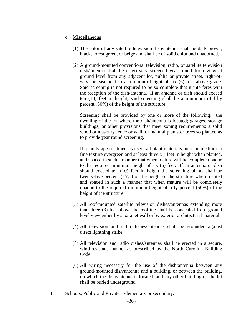### c. Miscellaneous

- (1) The color of any satellite television dish/antenna shall be dark brown, black, forest green, or beige and shall be of solid color and unadorned.
- (2) A ground-mounted conventional television, radio, or satellite television dish/antenna shall be effectively screened year round from view at ground level from any adjacent lot, public or private street, right-ofway, or easement to a minimum height of six (6) feet above grade. Said screening is not required to be so complete that it interferes with the reception of the dish/antenna. If an antenna or dish should exceed ten (10) feet in height, said screening shall be a minimum of fifty percent (50%) of the height of the structure.

 Screening shall be provided by one or more of the following: the dwelling of the lot where the dish/antenna is located; garages, storage buildings, or other provisions that meet zoning requirements; a solid wood or masonry fence or wall; or, natural plants or trees so planted as to provide year round screening.

 If a landscape treatment is used, all plant materials must be medium to fine texture evergreen and at least three (3) feet in height when planted, and spaced in such a manner that when mature will be complete opaque to the required minimum height of six (6) feet. If an antenna or dish should exceed ten (10) feet in height the screening plants shall be twenty-five percent (25%) of the height of the structure when planted and spaced in such a manner that when mature will be completely opaque to the required minimum height of fifty percent (50%) of the height of the structure.

- (3) All roof-mounted satellite television dishes/antennas extending more than three (3) feet above the roofline shall be concealed from ground level view either by a parapet wall or by exterior architectural material.
- (4) All television and radio dishes/antennas shall be grounded against direct lightning strike.
- (5) All television and radio dishes/antennas shall be erected in a secure, wind-resistant manner as prescribed by the North Carolina Building Code.
- (6) All wiring necessary for the use of the dish/antenna between any ground-mounted dish/antenna and a building, or between the building, on which the dish/antenna is located, and any other building on the lot shall be buried underground.
- 11. Schools, Public and Private elementary or secondary.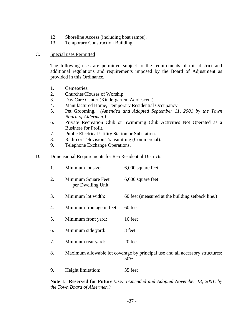- 12. Shoreline Access (including boat ramps).
- 13. Temporary Construction Building.

### C. Special uses Permitted

The following uses are permitted subject to the requirements of this district and additional regulations and requirements imposed by the Board of Adjustment as provided in this Ordinance.

- 1. Cemeteries.
- 2. Churches/Houses of Worship
- 3. Day Care Center (Kindergarten, Adolescent).
- 4. Manufactured Home, Temporary Residential Occupancy.
- 5. Pet Grooming. *(Amended and Adopted September 11, 2001 by the Town Board of Aldermen.)*
- 6. Private Recreation Club or Swimming Club Activities Not Operated as a Business for Profit.
- 7. Public Electrical Utility Station or Substation.
- 8. Radio or Television Transmitting (Commercial).
- 9. Telephone Exchange Operations.

#### D. Dimensional Requirements for R-6 Residential Districts

|  | Minimum lot size: | 6,000 square feet |
|--|-------------------|-------------------|
|--|-------------------|-------------------|

- 2. Minimum Square Feet 6,000 square feet per Dwelling Unit
- 3. Minimum lot width: 60 feet (measured at the building setback line.)
- 4. Minimum frontage in feet: 60 feet
- 5. Minimum front yard: 16 feet
- 6. Minimum side yard: 8 feet
- 7. Minimum rear yard: 20 feet
- 8. Maximum allowable lot coverage by principal use and all accessory structures: 50%
- 9. Height limitation: 35 feet

**Note 1. Reserved for Future Use.** *(Amended and Adopted November 13, 2001, by the Town Board of Aldermen.)*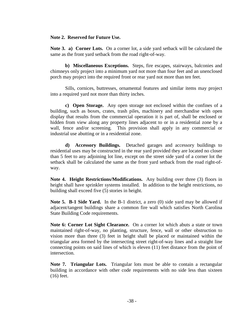### **Note 2. Reserved for Future Use.**

**Note 3. a) Corner Lots.** On a corner lot, a side yard setback will be calculated the same as the front yard setback from the road right-of-way.

 **b) Miscellaneous Exceptions.** Steps, fire escapes, stairways, balconies and chimneys only project into a minimum yard not more than four feet and an unenclosed porch may project into the required front or rear yard not more than ten feet.

 Sills, cornices, buttresses, ornamental features and similar items may project into a required yard not more than thirty inches.

**c) Open Storage.** Any open storage not enclosed within the confines of a building, such as boxes, crates, trash piles, machinery and merchandise with open display that results from the commercial operation it is part of, shall be enclosed or hidden from view along any property lines adjacent to or in a residential zone by a wall, fence and/or screening. This provision shall apply in any commercial or industrial use abutting or in a residential zone.

**d) Accessory Buildings.** Detached garages and accessory buildings to residential uses may be constructed in the rear yard provided they are located no closer than 5 feet to any adjoining lot line, except on the street side yard of a corner lot the setback shall be calculated the same as the front yard setback from the road right-ofway.

**Note 4. Height Restrictions/Modifications.** Any building over three (3) floors in height shall have sprinkler systems installed. In addition to the height restrictions, no building shall exceed five (5) stories in height.

**Note 5. B-1 Side Yard.** In the B-1 district, a zero (0) side yard may be allowed if adjacent/tangent buildings share a common fire wall which satisfies North Carolina State Building Code requirements.

**Note 6: Corner Lot Sight Clearance.** On a corner lot which abuts a state or town maintained right-of-way, no planting, structure, fence, wall or other obstruction to vision more than three (3) feet in height shall be placed or maintained within the triangular area formed by the intersecting street right-of-way lines and a straight line connecting points on said lines of which is eleven (11) feet distance from the point of intersection.

 **Note 7. Triangular Lots.** Triangular lots must be able to contain a rectangular building in accordance with other code requirements with no side less than sixteen (16) feet.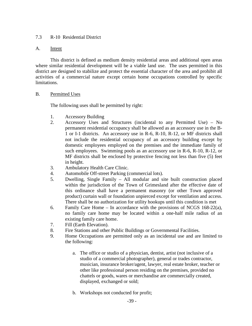# 7.3 R-10 Residential District

# A. Intent

 This district is defined as medium density residential areas and additional open areas where similar residential development will be a viable land use. The uses permitted in this district are designed to stabilize and protect the essential character of the area and prohibit all activities of a commercial nature except certain home occupations controlled by specific limitations.

# B. Permitted Uses

The following uses shall be permitted by right:

- 1. Accessory Building
- 2. Accessory Uses and Structures (incidental to any Permitted Use) No permanent residential occupancy shall be allowed as an accessory use in the B-1 or I-1 districts. An accessory use in R-6, R-10, R-12, or MF districts shall not include the residential occupancy of an accessory building except by domestic employees employed on the premises and the immediate family of such employees. Swimming pools as an accessory use in R-6, R-10, R-12, or MF districts shall be enclosed by protective fencing not less than five (5) feet in height.
- 3. Ambulatory Health Care Clinic.
- 4. Automobile Off-street Parking (commercial lots).
- 5. Dwelling, Single Family All modular and site built construction placed within the jurisdiction of the Town of Grimesland after the effective date of this ordinance shall have a permanent masonry (or other Town approved product) curtain wall or foundation unpierced except for ventilation and access. There shall be no authorization for utility hookups until this condition is met
- 6. Family Care Home In accordance with the provisions of NCGS 168-22(a), no family care home may be located within a one-half mile radius of an existing family care home.
- 7. Fill (Earth Elevation).
- 8. Fire Stations and other Public Buildings or Governmental Facilities.
- 9. Home Occupations are permitted only as an incidental use and are limited to the following:
	- a. The office or studio of a physician, dentist, artist (not inclusive of a studio of a commercial photographer), general or trades contractor, musician, insurance broker/agent, lawyer, real estate broker, teacher or other like professional person residing on the premises, provided no chattels or goods, wares or merchandise are commercially created, displayed, exchanged or sold;
	- b. Workshops not conducted for profit;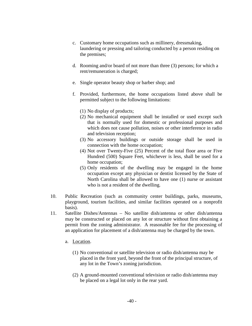- c. Customary home occupations such as millinery, dressmaking, laundering or pressing and tailoring conducted by a person residing on the premises;
- d. Rooming and/or board of not more than three (3) persons; for which a rent/remuneration is charged;
- e. Single operator beauty shop or barber shop; and
- f. Provided, furthermore, the home occupations listed above shall be permitted subject to the following limitations:
	- (1) No display of products;
	- (2) No mechanical equipment shall be installed or used except such that is normally used for domestic or professional purposes and which does not cause pollution, noises or other interference in radio and television reception;
	- (3) No accessory buildings or outside storage shall be used in connection with the home occupation;
	- (4) Not over Twenty-Five (25) Percent of the total floor area or Five Hundred (500) Square Feet, whichever is less, shall be used for a home occupation;
	- (5) Only residents of the dwelling may be engaged in the home occupation except any physician or dentist licensed by the State of North Carolina shall be allowed to have one (1) nurse or assistant who is not a resident of the dwelling.
- 10. Public Recreation (such as community center buildings, parks, museums, playground, tourism facilities, and similar facilities operated on a nonprofit basis).
- 11. Satellite Dishes/Antennas No satellite dish/antenna or other dish/antenna may be constructed or placed on any lot or structure without first obtaining a permit from the zoning administrator. A reasonable fee for the processing of an application for placement of a dish/antenna may be charged by the town.
	- a. Location.
		- (1) No conventional or satellite television or radio dish/antenna may be placed in the front yard, beyond the front of the principal structure, of any lot in the Town's zoning jurisdiction.
		- (2) A ground-mounted conventional television or radio dish/antenna may be placed on a legal lot only in the rear yard.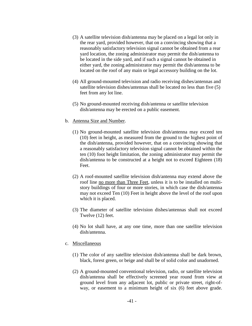- (3) A satellite television dish/antenna may be placed on a legal lot only in the rear yard, provided however, that on a convincing showing that a reasonably satisfactory television signal cannot be obtained from a rear yard location, the zoning administrator may permit the dish/antenna to be located in the side yard, and if such a signal cannot be obtained in either yard, the zoning administrator may permit the dish/antenna to be located on the roof of any main or legal accessory building on the lot.
- (4) All ground-mounted television and radio receiving dishes/antennas and satellite television dishes/antennas shall be located no less than five (5) feet from any lot line.
- (5) No ground-mounted receiving dish/antenna or satellite television dish/antenna may be erected on a public easement.
- b. Antenna Size and Number.
	- (1) No ground-mounted satellite television dish/antenna may exceed ten (10) feet in height, as measured from the ground to the highest point of the dish/antenna, provided however, that on a convincing showing that a reasonably satisfactory television signal cannot be obtained within the ten (10) foot height limitation, the zoning administrator may permit the dish/antenna to be constructed at a height not to exceed Eighteen (18) Feet.
	- (2) A roof-mounted satellite television dish/antenna may extend above the roof line no more than Three Feet, unless it is to be installed on multistory buildings of four or more stories, in which case the dish/antenna may not exceed Ten (10) Feet in height above the level of the roof upon which it is placed.
	- (3) The diameter of satellite television dishes/antennas shall not exceed Twelve (12) feet.
	- (4) No lot shall have, at any one time, more than one satellite television dish/antenna.
- c. Miscellaneous
	- (1) The color of any satellite television dish/antenna shall be dark brown, black, forest green, or beige and shall be of solid color and unadorned.
	- (2) A ground-mounted conventional television, radio, or satellite television dish/antenna shall be effectively screened year round from view at ground level from any adjacent lot, public or private street, right-ofway, or easement to a minimum height of six (6) feet above grade.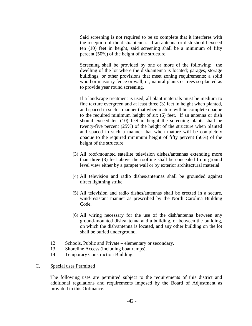Said screening is not required to be so complete that it interferes with the reception of the dish/antenna. If an antenna or dish should exceed ten (10) feet in height, said screening shall be a minimum of fifty percent (50%) of the height of the structure.

 Screening shall be provided by one or more of the following: the dwelling of the lot where the dish/antenna is located; garages, storage buildings, or other provisions that meet zoning requirements; a solid wood or masonry fence or wall; or, natural plants or trees so planted as to provide year round screening.

 If a landscape treatment is used, all plant materials must be medium to fine texture evergreen and at least three (3) feet in height when planted, and spaced in such a manner that when mature will be complete opaque to the required minimum height of six (6) feet. If an antenna or dish should exceed ten (10) feet in height the screening plants shall be twenty-five percent (25%) of the height of the structure when planted and spaced in such a manner that when mature will be completely opaque to the required minimum height of fifty percent (50%) of the height of the structure.

- (3) All roof-mounted satellite television dishes/antennas extending more than three (3) feet above the roofline shall be concealed from ground level view either by a parapet wall or by exterior architectural material.
- (4) All television and radio dishes/antennas shall be grounded against direct lightning strike.
- (5) All television and radio dishes/antennas shall be erected in a secure, wind-resistant manner as prescribed by the North Carolina Building Code.
- (6) All wiring necessary for the use of the dish/antenna between any ground-mounted dish/antenna and a building, or between the building, on which the dish/antenna is located, and any other building on the lot shall be buried underground.
- 12. Schools, Public and Private elementary or secondary.
- 13. Shoreline Access (including boat ramps).
- 14. Temporary Construction Building.
- C. Special uses Permitted

The following uses are permitted subject to the requirements of this district and additional regulations and requirements imposed by the Board of Adjustment as provided in this Ordinance.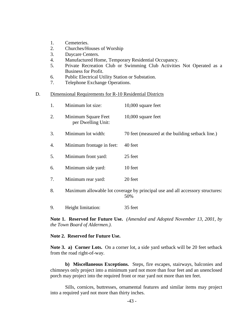- 1. Cemeteries.
- 2. Churches/Houses of Worship
- 3. Daycare Centers.
- 4. Manufactured Home, Temporary Residential Occupancy.
- 5. Private Recreation Club or Swimming Club Activities Not Operated as a Business for Profit.
- 6. Public Electrical Utility Station or Substation.
- 7. Telephone Exchange Operations.

#### D. Dimensional Requirements for R-10 Residential Districts

|    | Minimum lot size:                         | $10,000$ square feet                             |
|----|-------------------------------------------|--------------------------------------------------|
| 2. | Minimum Square Feet<br>per Dwelling Unit: | $10,000$ square feet                             |
| 3. | Minimum lot width:                        | 70 feet (measured at the building setback line.) |
| 4. | Minimum frontage in feet:                 | 40 feet                                          |
| 5. | Minimum front yard:                       | 25 feet                                          |

- 
- 6. Minimum side yard: 10 feet
- 7. Minimum rear yard: 20 feet
- 8. Maximum allowable lot coverage by principal use and all accessory structures: 50%
- 9. Height limitation: 35 feet

**Note 1. Reserved for Future Use.** *(Amended and Adopted November 13, 2001, by the Town Board of Aldermen.)*.

## **Note 2. Reserved for Future Use.**

**Note 3. a) Corner Lots.** On a corner lot, a side yard setback will be 20 feet setback from the road right-of-way.

 **b) Miscellaneous Exceptions.** Steps, fire escapes, stairways, balconies and chimneys only project into a minimum yard not more than four feet and an unenclosed porch may project into the required front or rear yard not more than ten feet.

 Sills, cornices, buttresses, ornamental features and similar items may project into a required yard not more than thirty inches.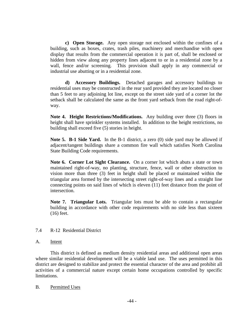**c) Open Storage.** Any open storage not enclosed within the confines of a building, such as boxes, crates, trash piles, machinery and merchandise with open display that results from the commercial operation it is part of, shall be enclosed or hidden from view along any property lines adjacent to or in a residential zone by a wall, fence and/or screening. This provision shall apply in any commercial or industrial use abutting or in a residential zone.

**d) Accessory Buildings.** Detached garages and accessory buildings to residential uses may be constructed in the rear yard provided they are located no closer than 5 feet to any adjoining lot line, except on the street side yard of a corner lot the setback shall be calculated the same as the front yard setback from the road right-ofway.

**Note 4. Height Restrictions/Modifications.** Any building over three (3) floors in height shall have sprinkler systems installed. In addition to the height restrictions, no building shall exceed five (5) stories in height.

**Note 5. B-1 Side Yard.** In the B-1 district, a zero (0) side yard may be allowed if adjacent/tangent buildings share a common fire wall which satisfies North Carolina State Building Code requirements.

**Note 6. Corner Lot Sight Clearance.** On a corner lot which abuts a state or town maintained right-of-way, no planting, structure, fence, wall or other obstruction to vision more than three (3) feet in height shall be placed or maintained within the triangular area formed by the intersecting street right-of-way lines and a straight line connecting points on said lines of which is eleven (11) feet distance from the point of intersection.

 **Note 7. Triangular Lots.** Triangular lots must be able to contain a rectangular building in accordance with other code requirements with no side less than sixteen (16) feet.

## 7.4 R-12 Residential District

## A. Intent

 This district is defined as medium density residential areas and additional open areas where similar residential development will be a viable land use. The uses permitted in this district are designed to stabilize and protect the essential character of the area and prohibit all activities of a commercial nature except certain home occupations controlled by specific limitations.

## B. Permitted Uses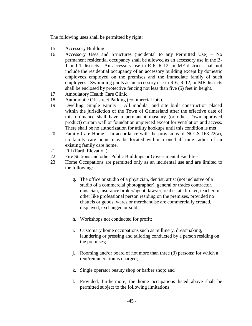The following uses shall be permitted by right:

- 15. Accessory Building
- 16. Accessory Uses and Structures (incidental to any Permitted Use) No permanent residential occupancy shall be allowed as an accessory use in the B-1 or I-1 districts. An accessory use in R-6, R-12, or MF districts shall not include the residential occupancy of an accessory building except by domestic employees employed on the premises and the immediate family of such employees. Swimming pools as an accessory use in R-6, R-12, or MF districts shall be enclosed by protective fencing not less than five (5) feet in height.
- 17. Ambulatory Health Care Clinic.
- 18. Automobile Off-street Parking (commercial lots).
- 19. Dwelling, Single Family All modular and site built construction placed within the jurisdiction of the Town of Grimesland after the effective date of this ordinance shall have a permanent masonry (or other Town approved product) curtain wall or foundation unpierced except for ventilation and access. There shall be no authorization for utility hookups until this condition is met
- 20. Family Care Home In accordance with the provisions of NCGS 168-22(a), no family care home may be located within a one-half mile radius of an existing family care home.
- 21. Fill (Earth Elevation).
- 22. Fire Stations and other Public Buildings or Governmental Facilities.
- 23. Home Occupations are permitted only as an incidental use and are limited to the following:
	- g. The office or studio of a physician, dentist, artist (not inclusive of a studio of a commercial photographer), general or trades contractor, musician, insurance broker/agent, lawyer, real estate broker, teacher or other like professional person residing on the premises, provided no chattels or goods, wares or merchandise are commercially created, displayed, exchanged or sold;
	- h. Workshops not conducted for profit;
	- i. Customary home occupations such as millinery, dressmaking, laundering or pressing and tailoring conducted by a person residing on the premises;
	- j. Rooming and/or board of not more than three (3) persons; for which a rent/remuneration is charged;
	- k. Single operator beauty shop or barber shop; and
	- l. Provided, furthermore, the home occupations listed above shall be permitted subject to the following limitations: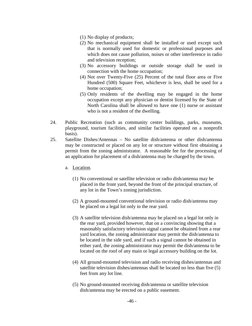- (1) No display of products;
- (2) No mechanical equipment shall be installed or used except such that is normally used for domestic or professional purposes and which does not cause pollution, noises or other interference in radio and television reception;
- (3) No accessory buildings or outside storage shall be used in connection with the home occupation;
- (4) Not over Twenty-Five (25) Percent of the total floor area or Five Hundred (500) Square Feet, whichever is less, shall be used for a home occupation;
- (5) Only residents of the dwelling may be engaged in the home occupation except any physician or dentist licensed by the State of North Carolina shall be allowed to have one (1) nurse or assistant who is not a resident of the dwelling.
- 24. Public Recreation (such as community center buildings, parks, museums, playground, tourism facilities, and similar facilities operated on a nonprofit basis).
- 25. Satellite Dishes/Antennas No satellite dish/antenna or other dish/antenna may be constructed or placed on any lot or structure without first obtaining a permit from the zoning administrator. A reasonable fee for the processing of an application for placement of a dish/antenna may be charged by the town.
	- a. Location.
		- (1) No conventional or satellite television or radio dish/antenna may be placed in the front yard, beyond the front of the principal structure, of any lot in the Town's zoning jurisdiction.
		- (2) A ground-mounted conventional television or radio dish/antenna may be placed on a legal lot only in the rear yard.
		- (3) A satellite television dish/antenna may be placed on a legal lot only in the rear yard, provided however, that on a convincing showing that a reasonably satisfactory television signal cannot be obtained from a rear yard location, the zoning administrator may permit the dish/antenna to be located in the side yard, and if such a signal cannot be obtained in either yard, the zoning administrator may permit the dish/antenna to be located on the roof of any main or legal accessory building on the lot.
		- (4) All ground-mounted television and radio receiving dishes/antennas and satellite television dishes/antennas shall be located no less than five (5) feet from any lot line.
		- (5) No ground-mounted receiving dish/antenna or satellite television dish/antenna may be erected on a public easement.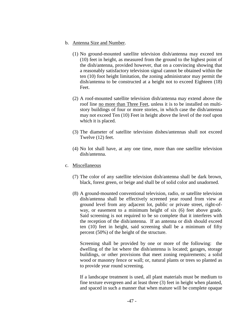- b. Antenna Size and Number.
	- (1) No ground-mounted satellite television dish/antenna may exceed ten (10) feet in height, as measured from the ground to the highest point of the dish/antenna, provided however, that on a convincing showing that a reasonably satisfactory television signal cannot be obtained within the ten (10) foot height limitation, the zoning administrator may permit the dish/antenna to be constructed at a height not to exceed Eighteen (18) Feet.
	- (2) A roof-mounted satellite television dish/antenna may extend above the roof line no more than Three Feet, unless it is to be installed on multistory buildings of four or more stories, in which case the dish/antenna may not exceed Ten (10) Feet in height above the level of the roof upon which it is placed.
	- (3) The diameter of satellite television dishes/antennas shall not exceed Twelve (12) feet.
	- (4) No lot shall have, at any one time, more than one satellite television dish/antenna.
- c. Miscellaneous
	- (7) The color of any satellite television dish/antenna shall be dark brown, black, forest green, or beige and shall be of solid color and unadorned.
	- (8) A ground-mounted conventional television, radio, or satellite television dish/antenna shall be effectively screened year round from view at ground level from any adjacent lot, public or private street, right-ofway, or easement to a minimum height of six (6) feet above grade. Said screening is not required to be so complete that it interferes with the reception of the dish/antenna. If an antenna or dish should exceed ten (10) feet in height, said screening shall be a minimum of fifty percent (50%) of the height of the structure.

 Screening shall be provided by one or more of the following: the dwelling of the lot where the dish/antenna is located; garages, storage buildings, or other provisions that meet zoning requirements; a solid wood or masonry fence or wall; or, natural plants or trees so planted as to provide year round screening.

 If a landscape treatment is used, all plant materials must be medium to fine texture evergreen and at least three (3) feet in height when planted, and spaced in such a manner that when mature will be complete opaque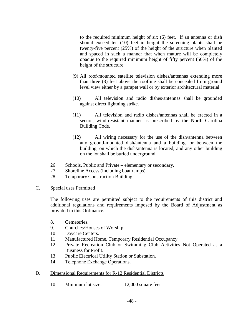to the required minimum height of six (6) feet. If an antenna or dish should exceed ten (10) feet in height the screening plants shall be twenty-five percent (25%) of the height of the structure when planted and spaced in such a manner that when mature will be completely opaque to the required minimum height of fifty percent (50%) of the height of the structure.

- (9) All roof-mounted satellite television dishes/antennas extending more than three (3) feet above the roofline shall be concealed from ground level view either by a parapet wall or by exterior architectural material.
- (10) All television and radio dishes/antennas shall be grounded against direct lightning strike.
- (11) All television and radio dishes/antennas shall be erected in a secure, wind-resistant manner as prescribed by the North Carolina Building Code.
- (12) All wiring necessary for the use of the dish/antenna between any ground-mounted dish/antenna and a building, or between the building, on which the dish/antenna is located, and any other building on the lot shall be buried underground.
- 26. Schools, Public and Private elementary or secondary.
- 27. Shoreline Access (including boat ramps).
- 28. Temporary Construction Building.
- C. Special uses Permitted

The following uses are permitted subject to the requirements of this district and additional regulations and requirements imposed by the Board of Adjustment as provided in this Ordinance.

- 8. Cemeteries.
- 9. Churches/Houses of Worship
- 10. Daycare Centers.
- 11. Manufactured Home, Temporary Residential Occupancy.
- 12. Private Recreation Club or Swimming Club Activities Not Operated as a Business for Profit.
- 13. Public Electrical Utility Station or Substation.
- 14. Telephone Exchange Operations.
- D. Dimensional Requirements for R-12 Residential Districts
	- 10. Minimum lot size: 12,000 square feet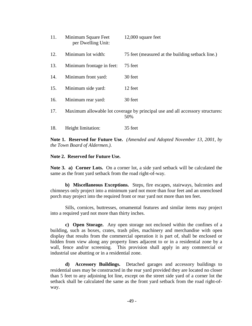| 11. | Minimum Square Feet<br>per Dwelling Unit: | 12,000 square feet                                                                   |
|-----|-------------------------------------------|--------------------------------------------------------------------------------------|
| 12. | Minimum lot width:                        | 75 feet (measured at the building setback line.)                                     |
| 13. | Minimum frontage in feet:                 | 75 feet                                                                              |
| 14. | Minimum front yard:                       | 30 feet                                                                              |
| 15. | Minimum side yard:                        | 12 feet                                                                              |
| 16. | Minimum rear yard:                        | 30 feet                                                                              |
| 17. |                                           | Maximum allowable lot coverage by principal use and all accessory structures:<br>50% |
| 18. | Height limitation:                        | 35 feet                                                                              |

**Note 1. Reserved for Future Use.** *(Amended and Adopted November 13, 2001, by the Town Board of Aldermen.)*.

#### **Note 2. Reserved for Future Use.**

**Note 3. a) Corner Lots.** On a corner lot, a side yard setback will be calculated the same as the front yard setback from the road right-of-way.

 **b) Miscellaneous Exceptions.** Steps, fire escapes, stairways, balconies and chimneys only project into a minimum yard not more than four feet and an unenclosed porch may project into the required front or rear yard not more than ten feet.

 Sills, cornices, buttresses, ornamental features and similar items may project into a required yard not more than thirty inches.

**c) Open Storage.** Any open storage not enclosed within the confines of a building, such as boxes, crates, trash piles, machinery and merchandise with open display that results from the commercial operation it is part of, shall be enclosed or hidden from view along any property lines adjacent to or in a residential zone by a wall, fence and/or screening. This provision shall apply in any commercial or industrial use abutting or in a residential zone.

**d) Accessory Buildings.** Detached garages and accessory buildings to residential uses may be constructed in the rear yard provided they are located no closer than 5 feet to any adjoining lot line, except on the street side yard of a corner lot the setback shall be calculated the same as the front yard setback from the road right-ofway.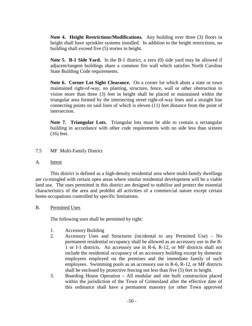**Note 4. Height Restrictions/Modifications.** Any building over three (3) floors in height shall have sprinkler systems installed. In addition to the height restrictions, no building shall exceed five (5) stories in height.

**Note 5. B-1 Side Yard.** In the B-1 district, a zero (0) side yard may be allowed if adjacent/tangent buildings share a common fire wall which satisfies North Carolina State Building Code requirements.

**Note 6. Corner Lot Sight Clearance.** On a corner lot which abuts a state or town maintained right-of-way, no planting, structure, fence, wall or other obstruction to vision more than three (3) feet in height shall be placed or maintained within the triangular area formed by the intersecting street right-of-way lines and a straight line connecting points on said lines of which is eleven (11) feet distance from the point of intersection.

 **Note 7. Triangular Lots.** Triangular lots must be able to contain a rectangular building in accordance with other code requirements with no side less than sixteen (16) feet.

- 7.5 MF Multi-Family District
- A. Intent

 This district is defined as a high-density residential area where multi-family dwellings are co-mingled with certain open areas where similar residential development will be a viable land use. The uses permitted in this district are designed to stabilize and protect the essential characteristics of the area and prohibit all activities of a commercial nature except certain home occupations controlled by specific limitations.

# B. Permitted Uses

The following uses shall be permitted by right:

- 1. Accessory Building
- 2. Accessory Uses and Structures (incidental to any Permitted Use) No permanent residential occupancy shall be allowed as an accessory use in the B-1 or I-1 districts. An accessory use in R-6, R-12, or MF districts shall not include the residential occupancy of an accessory building except by domestic employees employed on the premises and the immediate family of such employees. Swimming pools as an accessory use in R-6, R-12, or MF districts shall be enclosed by protective fencing not less than five (5) feet in height.
- 3. Boarding House Operation All modular and site built construction placed within the jurisdiction of the Town of Grimesland after the effective date of this ordinance shall have a permanent masonry (or other Town approved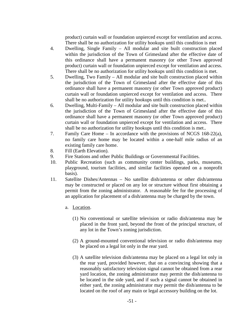product) curtain wall or foundation unpierced except for ventilation and access. There shall be no authorization for utility hookups until this condition is met

- 4. Dwelling, Single Family All modular and site built construction placed within the jurisdiction of the Town of Grimesland after the effective date of this ordinance shall have a permanent masonry (or other Town approved product) curtain wall or foundation unpierced except for ventilation and access. There shall be no authorization for utility hookups until this condition is met.
- 5. Dwelling, Two Family All modular and site built construction placed within the jurisdiction of the Town of Grimesland after the effective date of this ordinance shall have a permanent masonry (or other Town approved product) curtain wall or foundation unpierced except for ventilation and access. There shall be no authorization for utility hookups until this condition is met..
- 6. Dwelling, Multi-Family All modular and site built construction placed within the jurisdiction of the Town of Grimesland after the effective date of this ordinance shall have a permanent masonry (or other Town approved product) curtain wall or foundation unpierced except for ventilation and access. There shall be no authorization for utility hookups until this condition is met..
- 7. Family Care Home In accordance with the provisions of NCGS 168-22(a), no family care home may be located within a one-half mile radius of an existing family care home.
- 8. Fill (Earth Elevation).
- 9. Fire Stations and other Public Buildings or Governmental Facilities.
- 10. Public Recreation (such as community center buildings, parks, museums, playground, tourism facilities, and similar facilities operated on a nonprofit basis).
- 11. Satellite Dishes/Antennas No satellite dish/antenna or other dish/antenna may be constructed or placed on any lot or structure without first obtaining a permit from the zoning administrator. A reasonable fee for the processing of an application for placement of a dish/antenna may be charged by the town.
	- a. Location.
		- (1) No conventional or satellite television or radio dish/antenna may be placed in the front yard, beyond the front of the principal structure, of any lot in the Town's zoning jurisdiction.
		- (2) A ground-mounted conventional television or radio dish/antenna may be placed on a legal lot only in the rear yard.
		- (3) A satellite television dish/antenna may be placed on a legal lot only in the rear yard, provided however, that on a convincing showing that a reasonably satisfactory television signal cannot be obtained from a rear yard location, the zoning administrator may permit the dish/antenna to be located in the side yard, and if such a signal cannot be obtained in either yard, the zoning administrator may permit the dish/antenna to be located on the roof of any main or legal accessory building on the lot.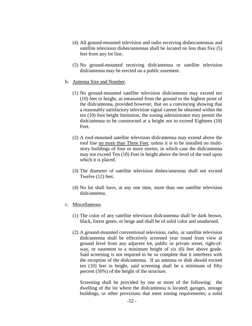- (4) All ground-mounted television and radio receiving dishes/antennas and satellite television dishes/antennas shall be located no less than five (5) feet from any lot line.
- (5) No ground-mounted receiving dish/antenna or satellite television dish/antenna may be erected on a public easement.
- b. Antenna Size and Number.
	- (1) No ground-mounted satellite television dish/antenna may exceed ten (10) feet in height, as measured from the ground to the highest point of the dish/antenna, provided however, that on a convincing showing that a reasonably satisfactory television signal cannot be obtained within the ten (10) foot height limitation, the zoning administrator may permit the dish/antenna to be constructed at a height not to exceed Eighteen (18) Feet.
	- (2) A roof-mounted satellite television dish/antenna may extend above the roof line no more than Three Feet, unless it is to be installed on multistory buildings of four or more stories, in which case the dish/antenna may not exceed Ten (10) Feet in height above the level of the roof upon which it is placed.
	- (3) The diameter of satellite television dishes/antennas shall not exceed Twelve (12) feet.
	- (4) No lot shall have, at any one time, more than one satellite television dish/antenna.
- c. Miscellaneous
	- (1) The color of any satellite television dish/antenna shall be dark brown, black, forest green, or beige and shall be of solid color and unadorned.
	- (2) A ground-mounted conventional television, radio, or satellite television dish/antenna shall be effectively screened year round from view at ground level from any adjacent lot, public or private street, right-ofway, or easement to a minimum height of six (6) feet above grade. Said screening is not required to be so complete that it interferes with the reception of the dish/antenna. If an antenna or dish should exceed ten (10) feet in height, said screening shall be a minimum of fifty percent (50%) of the height of the structure.

 Screening shall be provided by one or more of the following: the dwelling of the lot where the dish/antenna is located; garages, storage buildings, or other provisions that meet zoning requirements; a solid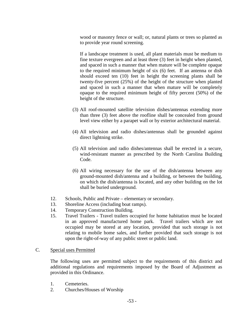wood or masonry fence or wall; or, natural plants or trees so planted as to provide year round screening.

 If a landscape treatment is used, all plant materials must be medium to fine texture evergreen and at least three (3) feet in height when planted, and spaced in such a manner that when mature will be complete opaque to the required minimum height of six (6) feet. If an antenna or dish should exceed ten (10) feet in height the screening plants shall be twenty-five percent (25%) of the height of the structure when planted and spaced in such a manner that when mature will be completely opaque to the required minimum height of fifty percent (50%) of the height of the structure.

- (3) All roof-mounted satellite television dishes/antennas extending more than three (3) feet above the roofline shall be concealed from ground level view either by a parapet wall or by exterior architectural material.
- (4) All television and radio dishes/antennas shall be grounded against direct lightning strike.
- (5) All television and radio dishes/antennas shall be erected in a secure, wind-resistant manner as prescribed by the North Carolina Building Code.
- (6) All wiring necessary for the use of the dish/antenna between any ground-mounted dish/antenna and a building, or between the building, on which the dish/antenna is located, and any other building on the lot shall be buried underground.
- 12. Schools, Public and Private elementary or secondary.
- 13. Shoreline Access (including boat ramps).
- 14. Temporary Construction Building.
- 15. Travel Trailers Travel trailers occupied for home habitation must be located in an approved manufactured home park. Travel trailers which are not occupied may be stored at any location, provided that such storage is not relating to mobile home sales, and further provided that such storage is not upon the right-of-way of any public street or public land.

# C. Special uses Permitted

The following uses are permitted subject to the requirements of this district and additional regulations and requirements imposed by the Board of Adjustment as provided in this Ordinance.

- 1. Cemeteries.
- 2. Churches/Houses of Worship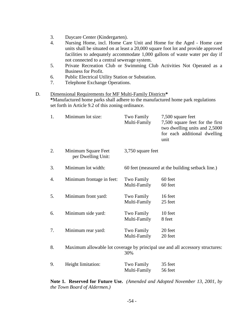- 3. Daycare Center (Kindergarten).
- 4. Nursing Home, incl. Home Care Unit and Home for the Aged Home care units shall be situated on at least a 20,000 square foot lot and provide approved facilities to adequately accommodate 1,000 gallons of waste water per day if not connected to a central sewerage system.
- 5. Private Recreation Club or Swimming Club Activities Not Operated as a Business for Profit.
- 6. Public Electrical Utility Station or Substation.
- 7. Telephone Exchange Operations.

# D. Dimensional Requirements for MF Multi-Family Districts**\* \***Manufactured home parks shall adhere to the manufactured home park regulations set forth in Article 9.2 of this zoning ordinance.

| 1. | Minimum lot size:                         | Two Family<br>Multi-Family | 7,500 square feet<br>7,500 square feet for the first<br>two dwelling units and 2,5000<br>for each additional dwelling<br>unit |
|----|-------------------------------------------|----------------------------|-------------------------------------------------------------------------------------------------------------------------------|
| 2. | Minimum Square Feet<br>per Dwelling Unit: | 3,750 square feet          |                                                                                                                               |
| 3. | Minimum lot width:                        |                            | 60 feet (measured at the building setback line.)                                                                              |
| 4. | Minimum frontage in feet:                 | Two Family<br>Multi-Family | 60 feet<br>60 feet                                                                                                            |
| 5. | Minimum front yard:                       | Two Family<br>Multi-Family | 16 feet<br>25 feet                                                                                                            |
| 6. | Minimum side yard:                        | Two Family<br>Multi-Family | 10 feet<br>8 feet                                                                                                             |
| 7. | Minimum rear yard:                        | Two Family<br>Multi-Family | 20 feet<br>20 feet                                                                                                            |
| 8. |                                           | 30%                        | Maximum allowable lot coverage by principal use and all accessory structures:                                                 |
| 9. | Height limitation:                        | Two Family<br>Multi-Family | 35 feet<br>56 feet                                                                                                            |

**Note 1. Reserved for Future Use.** *(Amended and Adopted November 13, 2001, by the Town Board of Aldermen.)*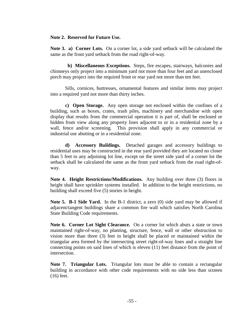### **Note 2. Reserved for Future Use.**

**Note 3. a) Corner Lots.** On a corner lot, a side yard setback will be calculated the same as the front yard setback from the road right-of-way.

 **b) Miscellaneous Exceptions.** Steps, fire escapes, stairways, balconies and chimneys only project into a minimum yard not more than four feet and an unenclosed porch may project into the required front or rear yard not more than ten feet.

 Sills, cornices, buttresses, ornamental features and similar items may project into a required yard not more than thirty inches.

**c) Open Storage.** Any open storage not enclosed within the confines of a building, such as boxes, crates, trash piles, machinery and merchandise with open display that results from the commercial operation it is part of, shall be enclosed or hidden from view along any property lines adjacent to or in a residential zone by a wall, fence and/or screening. This provision shall apply in any commercial or industrial use abutting or in a residential zone.

**d) Accessory Buildings.** Detached garages and accessory buildings to residential uses may be constructed in the rear yard provided they are located no closer than 5 feet to any adjoining lot line, except on the street side yard of a corner lot the setback shall be calculated the same as the front yard setback from the road right-ofway.

**Note 4. Height Restrictions/Modifications.** Any building over three (3) floors in height shall have sprinkler systems installed. In addition to the height restrictions, no building shall exceed five (5) stories in height.

**Note 5. B-1 Side Yard.** In the B-1 district, a zero (0) side yard may be allowed if adjacent/tangent buildings share a common fire wall which satisfies North Carolina State Building Code requirements.

**Note 6. Corner Lot Sight Clearance.** On a corner lot which abuts a state or town maintained right-of-way, no planting, structure, fence, wall or other obstruction to vision more than three (3) feet in height shall be placed or maintained within the triangular area formed by the intersecting street right-of-way lines and a straight line connecting points on said lines of which is eleven (11) feet distance from the point of intersection.

 **Note 7. Triangular Lots.** Triangular lots must be able to contain a rectangular building in accordance with other code requirements with no side less than sixteen (16) feet.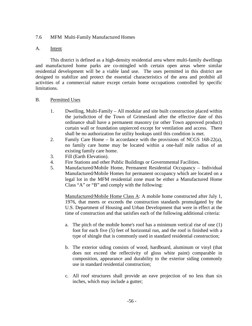# 7.6 MFM Multi-Family Manufactured Homes

## A. Intent

 This district is defined as a high-density residential area where multi-family dwellings and manufactured home parks are co-mingled with certain open areas where similar residential development will be a viable land use. The uses permitted in this district are designed to stabilize and protect the essential characteristics of the area and prohibit all activities of a commercial nature except certain home occupations controlled by specific limitations.

# B. Permitted Uses

- 1. Dwelling, Multi-Family All modular and site built construction placed within the jurisdiction of the Town of Grimesland after the effective date of this ordinance shall have a permanent masonry (or other Town approved product) curtain wall or foundation unpierced except for ventilation and access. There shall be no authorization for utility hookups until this condition is met.
- 2. Family Care Home In accordance with the provisions of NCGS 168-22(a), no family care home may be located within a one-half mile radius of an existing family care home.
- 3. Fill (Earth Elevation).
- 4. Fire Stations and other Public Buildings or Governmental Facilities.
- 5. Manufactured/Mobile Home, Permanent Residential Occupancy Individual Manufactured/Mobile Homes for permanent occupancy which are located on a legal lot in the MFM residential zone must be either a Manufactured Home Class "A" or "B" and comply with the following:

Manufactured/Mobile Home Class A: A mobile home constructed after July 1, 1976, that meets or exceeds the construction standards promulgated by the U.S. Department of Housing and Urban Development that were in effect at the time of construction and that satisfies each of the following additional criteria:

- a. The pitch of the mobile home's roof has a minimum vertical rise of one (1) foot for each five (5) feet of horizontal run, and the roof is finished with a type of shingle that is commonly used in standard residential construction;
- b. The exterior siding consists of wood, hardboard, aluminum or vinyl (that does not exceed the reflectivity of gloss white paint) comparable in composition, appearance and durability to the exterior siding commonly use in standard residential construction;
- c. All roof structures shall provide an eave projection of no less than six inches, which may include a gutter;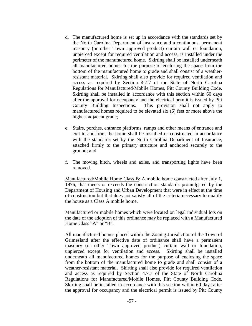- d. The manufactured home is set up in accordance with the standards set by the North Carolina Department of Insurance and a continuous, permanent masonry (or other Town approved product) curtain wall or foundation, unpierced except for required ventilation and access, is installed under the perimeter of the manufactured home. Skirting shall be installed underneath all manufactured homes for the purpose of enclosing the space from the bottom of the manufactured home to grade and shall consist of a weatherresistant material. Skirting shall also provide for required ventilation and access as required by Section 4.7.7 of the State of North Carolina Regulations for Manufactured/Mobile Homes, Pitt County Building Code. Skirting shall be installed in accordance with this section within 60 days after the approval for occupancy and the electrical permit is issued by Pitt County Building Inspections. This provision shall not apply to manufactured homes required to be elevated six (6) feet or more above the highest adjacent grade;
- e. Stairs, porches, entrance platforms, ramps and other means of entrance and exit to and from the home shall be installed or constructed in accordance with the standards set by the North Carolina Department of Insurance, attached firmly to the primary structure and anchored securely to the ground; and
- f. The moving hitch, wheels and axles, and transporting lights have been removed.

Manufactured/Mobile Home Class B: A mobile home constructed after July 1, 1976, that meets or exceeds the construction standards promulgated by the Department of Housing and Urban Development that were in effect at the time of construction but that does not satisfy all of the criteria necessary to qualify the house as a Class A mobile home.

Manufactured or mobile homes which were located on legal individual lots on the date of the adoption of this ordinance may be replaced with a Manufactured Home Class "A" or "B".

All manufactured homes placed within the Zoning Jurisdiction of the Town of Grimesland after the effective date of ordinance shall have a permanent masonry (or other Town approved product) curtain wall or foundation, unpierced except for ventilation and access. Skirting shall be installed underneath all manufactured homes for the purpose of enclosing the space from the bottom of the manufactured home to grade and shall consist of a weather-resistant material. Skirting shall also provide for required ventilation and access as required by Section 4.7.7 of the State of North Carolina Regulations for Manufactured/Mobile Homes, Pitt County Building Code. Skirting shall be installed in accordance with this section within 60 days after the approval for occupancy and the electrical permit is issued by Pitt County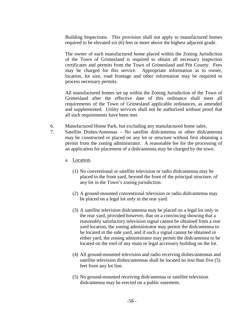Building Inspections. This provision shall not apply to manufactured homes required to be elevated six (6) feet or more above the highest adjacent grade.

The owner of each manufactured home placed within the Zoning Jurisdiction of the Town of Grimesland is required to obtain all necessary inspection certificates and permits from the Town of Grimesland and Pitt County. Fees may be charged for this service. Appropriate information as to owner, location, lot size, road frontage and other information may be required to process necessary permits.

All manufactured homes set up within the Zoning Jurisdiction of the Town of Grimesland after the effective date of this ordinance shall meet all requirements of the Town of Grimesland applicable ordinances, as amended and supplemented. Utility services shall not be authorized without proof that all such requirements have been met.

- 6. Manufactured Home Park, but excluding any manufactured home sales.
- 7. Satellite Dishes/Antennas No satellite dish/antenna or other dish/antenna may be constructed or placed on any lot or structure without first obtaining a permit from the zoning administrator. A reasonable fee for the processing of an application for placement of a dish/antenna may be charged by the town.
	- a. Location.
		- (1) No conventional or satellite television or radio dish/antenna may be placed in the front yard, beyond the front of the principal structure, of any lot in the Town's zoning jurisdiction.
		- (2) A ground-mounted conventional television or radio dish/antenna may be placed on a legal lot only in the rear yard.
		- (3) A satellite television dish/antenna may be placed on a legal lot only in the rear yard, provided however, that on a convincing showing that a reasonably satisfactory television signal cannot be obtained from a rear yard location, the zoning administrator may permit the dish/antenna to be located in the side yard, and if such a signal cannot be obtained in either yard, the zoning administrator may permit the dish/antenna to be located on the roof of any main or legal accessory building on the lot.
		- (4) All ground-mounted television and radio receiving dishes/antennas and satellite television dishes/antennas shall be located no less than five (5) feet from any lot line.
		- (5) No ground-mounted receiving dish/antenna or satellite television dish/antenna may be erected on a public easement.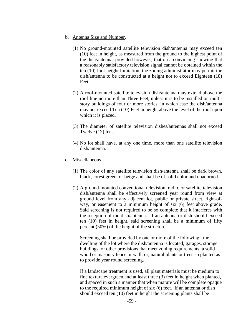- b. Antenna Size and Number.
	- (1) No ground-mounted satellite television dish/antenna may exceed ten (10) feet in height, as measured from the ground to the highest point of the dish/antenna, provided however, that on a convincing showing that a reasonably satisfactory television signal cannot be obtained within the ten (10) foot height limitation, the zoning administrator may permit the dish/antenna to be constructed at a height not to exceed Eighteen (18) Feet.
	- (2) A roof-mounted satellite television dish/antenna may extend above the roof line no more than Three Feet, unless it is to be installed on multistory buildings of four or more stories, in which case the dish/antenna may not exceed Ten (10) Feet in height above the level of the roof upon which it is placed.
	- (3) The diameter of satellite television dishes/antennas shall not exceed Twelve (12) feet.
	- (4) No lot shall have, at any one time, more than one satellite television dish/antenna.
- c. Miscellaneous
	- (1) The color of any satellite television dish/antenna shall be dark brown, black, forest green, or beige and shall be of solid color and unadorned.
	- (2) A ground-mounted conventional television, radio, or satellite television dish/antenna shall be effectively screened year round from view at ground level from any adjacent lot, public or private street, right-ofway, or easement to a minimum height of six (6) feet above grade. Said screening is not required to be so complete that it interferes with the reception of the dish/antenna. If an antenna or dish should exceed ten (10) feet in height, said screening shall be a minimum of fifty percent (50%) of the height of the structure.

 Screening shall be provided by one or more of the following: the dwelling of the lot where the dish/antenna is located; garages, storage buildings, or other provisions that meet zoning requirements; a solid wood or masonry fence or wall; or, natural plants or trees so planted as to provide year round screening.

 If a landscape treatment is used, all plant materials must be medium to fine texture evergreen and at least three (3) feet in height when planted, and spaced in such a manner that when mature will be complete opaque to the required minimum height of six (6) feet. If an antenna or dish should exceed ten (10) feet in height the screening plants shall be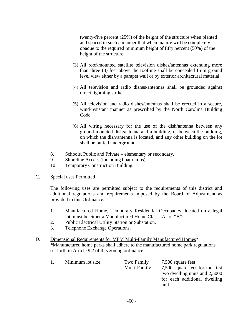twenty-five percent (25%) of the height of the structure when planted and spaced in such a manner that when mature will be completely opaque to the required minimum height of fifty percent (50%) of the height of the structure.

- (3) All roof-mounted satellite television dishes/antennas extending more than three (3) feet above the roofline shall be concealed from ground level view either by a parapet wall or by exterior architectural material.
- (4) All television and radio dishes/antennas shall be grounded against direct lightning strike.
- (5) All television and radio dishes/antennas shall be erected in a secure, wind-resistant manner as prescribed by the North Carolina Building Code.
- (6) All wiring necessary for the use of the dish/antenna between any ground-mounted dish/antenna and a building, or between the building, on which the dish/antenna is located, and any other building on the lot shall be buried underground.
- 8. Schools, Public and Private elementary or secondary.
- 9. Shoreline Access (including boat ramps).
- 10. Temporary Construction Building.

## C. Special uses Permitted

The following uses are permitted subject to the requirements of this district and additional regulations and requirements imposed by the Board of Adjustment as provided in this Ordinance.

- 1. Manufactured Home, Temporary Residential Occupancy, located on a legal lot, must be either a Manufactured Home Class "A" or "B".
- 2. Public Electrical Utility Station or Substation.
- 3. Telephone Exchange Operations.

# D. Dimensional Requirements for MFM Multi-Family Manufactured Homes**\* \***Manufactured home parks shall adhere to the manufactured home park regulations set forth in Article 9.2 of this zoning ordinance.

|  |  | $\mathbf{L}$ | Minimum lot size: | Two Family<br>Multi-Family | 7,500 square feet<br>7,500 square feet for the first<br>two dwelling units and 2,5000<br>for each additional dwelling<br>unit |
|--|--|--------------|-------------------|----------------------------|-------------------------------------------------------------------------------------------------------------------------------|
|--|--|--------------|-------------------|----------------------------|-------------------------------------------------------------------------------------------------------------------------------|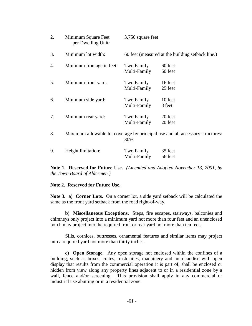| 2. | Minimum Square Feet<br>per Dwelling Unit:                                            | 3,750 square feet          |                                                  |
|----|--------------------------------------------------------------------------------------|----------------------------|--------------------------------------------------|
| 3. | Minimum lot width:                                                                   |                            | 60 feet (measured at the building setback line.) |
| 4. | Minimum frontage in feet:                                                            | Two Family<br>Multi-Family | 60 feet<br>60 feet                               |
| 5. | Minimum front yard:                                                                  | Two Family<br>Multi-Family | 16 feet<br>25 feet                               |
| 6. | Minimum side yard:                                                                   | Two Family<br>Multi-Family | 10 feet<br>8 feet                                |
| 7. | Minimum rear yard:                                                                   | Two Family<br>Multi-Family | 20 feet<br>20 feet                               |
| 8. | Maximum allowable lot coverage by principal use and all accessory structures:<br>30% |                            |                                                  |
| 9. | Height limitation:                                                                   | Two Family<br>Multi-Family | 35 feet<br>56 feet                               |

**Note 1. Reserved for Future Use.** *(Amended and Adopted November 13, 2001, by the Town Board of Aldermen.)*

#### **Note 2. Reserved for Future Use.**

**Note 3. a) Corner Lots.** On a corner lot, a side yard setback will be calculated the same as the front yard setback from the road right-of-way.

 **b) Miscellaneous Exceptions.** Steps, fire escapes, stairways, balconies and chimneys only project into a minimum yard not more than four feet and an unenclosed porch may project into the required front or rear yard not more than ten feet.

 Sills, cornices, buttresses, ornamental features and similar items may project into a required yard not more than thirty inches.

**c) Open Storage.** Any open storage not enclosed within the confines of a building, such as boxes, crates, trash piles, machinery and merchandise with open display that results from the commercial operation it is part of, shall be enclosed or hidden from view along any property lines adjacent to or in a residential zone by a wall, fence and/or screening. This provision shall apply in any commercial or industrial use abutting or in a residential zone.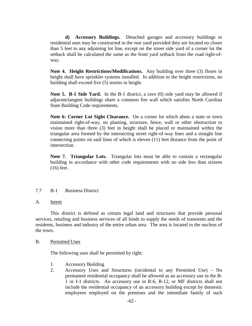**d) Accessory Buildings.** Detached garages and accessory buildings to residential uses may be constructed in the rear yard provided they are located no closer than 5 feet to any adjoining lot line, except on the street side yard of a corner lot the setback shall be calculated the same as the front yard setback from the road right-ofway.

**Note 4. Height Restrictions/Modifications.** Any building over three (3) floors in height shall have sprinkler systems installed. In addition to the height restrictions, no building shall exceed five (5) stories in height.

**Note 5. B-1 Side Yard.** In the B-1 district, a zero (0) side yard may be allowed if adjacent/tangent buildings share a common fire wall which satisfies North Carolina State Building Code requirements.

**Note 6: Corner Lot Sight Clearance.** On a corner lot which abuts a state or town maintained right-of-way, no planting, structure, fence, wall or other obstruction to vision more than three (3) feet in height shall be placed or maintained within the triangular area formed by the intersecting street right-of-way lines and a straight line connecting points on said lines of which is eleven (11) feet distance from the point of intersection.

 **Note 7. Triangular Lots.** Triangular lots must be able to contain a rectangular building in accordance with other code requirements with no side less than sixteen (16) feet.

### 7.7 B-1 Business District

A. Intent

 This district is defined as certain legal land and structures that provide personal services, retailing and business services of all kinds to supply the needs of transients and the residents, business and industry of the entire urban area. The area is located in the nucleus of the town.

#### B. Permitted Uses

The following uses shall be permitted by right:

- 1. Accessory Building
- 2. Accessory Uses and Structures (incidental to any Permitted Use) No permanent residential occupancy shall be allowed as an accessory use in the B-1 or I-1 districts. An accessory use in R-6, R-12, or MF districts shall not include the residential occupancy of an accessory building except by domestic employees employed on the premises and the immediate family of such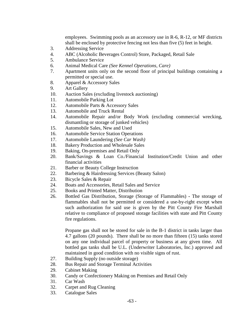employees. Swimming pools as an accessory use in R-6, R-12, or MF districts shall be enclosed by protective fencing not less than five (5) feet in height.

- 3. Addressing Service
- 4. ABC (Alcoholic Beverages Control) Store, Packaged, Retail Sale
- 5. Ambulance Service
- 6. Animal Medical Care *(See Kennel Operations, Care)*
- 7. Apartment units only on the second floor of principal buildings containing a permitted or special use.
- 8. Apparel & Accessory Sales
- 9. Art Gallery
- 10. Auction Sales (excluding livestock auctioning)
- 11. Automobile Parking Lot
- 12. Automobile Parts & Accessory Sales
- 13. Automobile and Truck Rental
- 14. Automobile Repair and/or Body Work (excluding commercial wrecking, dismantling or storage of junked vehicles)
- 15. Automobile Sales, New and Used
- 16. Automobile Service Station Operations
- 17. Automobile Laundering *(See Car Wash)*
- 18. Bakery Production and Wholesale Sales
- 19. Baking, On-premises and Retail Only
- 20. Bank/Savings & Loan Co./Financial Institution/Credit Union and other financial activities
- 21. Barber or Beauty College Instruction
- 22. Barbering & Hairdressing Services (Beauty Salon)
- 23. Bicycle Sales & Repair
- 24. Boats and Accessories, Retail Sales and Service
- 25. Books and Printed Matter, Distribution
- 26. Bottled Gas Distribution, Storage (Storage of Flammables) **-** The storage of flammables shall not be permitted or considered a use-by-right except when such authorization for said use is given by the Pitt County Fire Marshall relative to compliance of proposed storage facilities with state and Pitt County fire regulations.

Propane gas shall not be stored for sale in the B-1 district in tanks larger than 4.7 gallons (20 pounds). There shall be no more than fifteen (15) tanks stored on any one individual parcel of property or business at any given time. All bottled gas tanks shall be U.L. (Underwriter Laboratories, Inc.) approved and maintained in good condition with no visible signs of rust.

- 27. Building Supply (no outside storage)
- 28. Bus Repair and Storage Terminal Activities
- 29. Cabinet Making
- 30. Candy or Confectionery Making on Premises and Retail Only
- 31. Car Wash
- 32. Carpet and Rug Cleaning
- 33. Catalogue Sales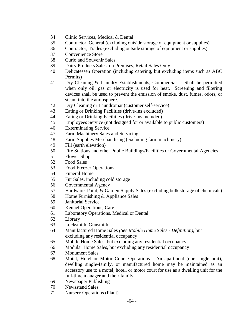- 34. Clinic Services, Medical & Dental
- 35. Contractor, General (excluding outside storage of equipment or supplies)
- 36. Contractor, Trades (excluding outside storage of equipment or supplies)
- 37. Convenience Store
- 38. Curio and Souvenir Sales
- 39. Dairy Products Sales, on Premises, Retail Sales Only
- 40. Delicatessen Operation (including catering, but excluding items such as ABC Permits)
- 41. Dry Cleaning & Laundry Establishments, Commercial Shall be permitted when only oil, gas or electricity is used for heat. Screening and filtering devices shall be used to prevent the emission of smoke, dust, fumes, odors, or steam into the atmosphere.
- 42. Dry Cleaning or Laundromat (customer self-service)
- 43. Eating or Drinking Facilities (drive-ins excluded)
- 44. Eating or Drinking Facilities (drive-ins included)
- 45. Employees Service (not designed for or available to public customers)
- 46. Exterminating Service
- 47. Farm Machinery Sales and Servicing
- 48. Farm Supplies Merchandising (excluding farm machinery)
- 49. Fill (earth elevation)
- 50. Fire Stations and other Public Buildings/Facilities or Governmental Agencies
- 51. Flower Shop
- 52. Food Sales
- 53. Food Freezer Operations
- 54. Funeral Home
- 55. Fur Sales, including cold storage
- 56. Governmental Agency
- 57. Hardware, Paint, & Garden Supply Sales (excluding bulk storage of chemicals)
- 58. Home Furnishing & Appliance Sales
- 59. Janitorial Service
- 60. Kennel Operations, Care
- 61. Laboratory Operations, Medical or Dental
- 62. Library
- 63. Locksmith, Gunsmith
- 64. Manufactured Home Sales *(See Mobile Home Sales Definition)*, but excluding any residential occupancy
- 65. Mobile Home Sales, but excluding any residential occupancy
- 66. Modular Home Sales, but excluding any residential occupancy
- 67. Monument Sales
- 68. Motel, Hotel or Motor Court Operations An apartment (one single unit), dwelling single-family, or manufactured home may be maintained as an accessory use to a motel, hotel, or motor court for use as a dwelling unit for the full-time manager and their family.
- 69. Newspaper Publishing
- 70. Newsstand Sales
- 71. Nursery Operations (Plant)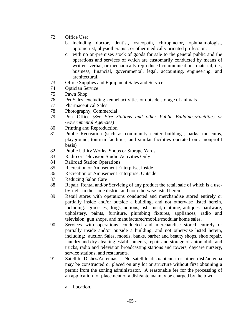- 72. Office Use:
	- b. including doctor, dentist, osteopath, chiropractor, ophthalmologist, optometrist, physiotherapist, or other medically oriented profession;
	- c. with no on-premises stock of goods for sale to the general public and the operations and services of which are customarily conducted by means of written, verbal, or mechanically reproduced communications material, i.e., business, financial, governmental, legal, accounting, engineering, and architectural.
- 73. Office Supplies and Equipment Sales and Service
- 74. Optician Service
- 75. Pawn Shop
- 76. Pet Sales, excluding kennel activities or outside storage of animals
- 77. Pharmaceutical Sales
- 78. Photography, Commercial
- 79. Post Office *(See Fire Stations and other Public Buildings/Facilities or Governmental Agencies)*
- 80. Printing and Reproduction
- 81. Public Recreation (such as community center buildings, parks, museums, playground, tourism facilities, and similar facilities operated on a nonprofit basis)
- 82. Public Utility Works, Shops or Storage Yards
- 83. Radio or Television Studio Activities Only
- 84. Railroad Station Operations
- 85. Recreation or Amusement Enterprise, Inside
- 86. Recreation or Amusement Enterprise, Outside
- 87. Reducing Salon Care
- 88. Repair, Rental and/or Servicing of any product the retail sale of which is a useby-right in the same district and not otherwise listed herein
- 89. Retail stores with operations conducted and merchandise stored entirely or partially inside and/or outside a building, and not otherwise listed herein, including: groceries, drugs, notions, fish, meat, clothing, antiques, hardware, upholstery, paints, furniture, plumbing fixtures, appliances, radio and television, gun shops, and manufactured/mobile/modular home sales.
- 90. Services with operations conducted and merchandise stored entirely or partially inside and/or outside a building, and not otherwise listed herein, including: auction Sales, motels, banks, barber and beauty shops, shoe repair, laundry and dry cleaning establishments, repair and storage of automobile and trucks, radio and television broadcasting stations and towers, daycare nursery, service stations, and restaurants.
- 91. Satellite Dishes/Antennas No satellite dish/antenna or other dish/antenna may be constructed or placed on any lot or structure without first obtaining a permit from the zoning administrator. A reasonable fee for the processing of an application for placement of a dish/antenna may be charged by the town.
	- a. Location.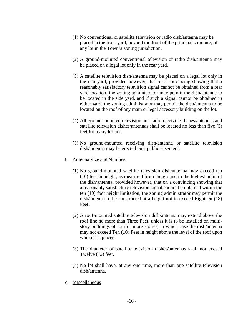- (1) No conventional or satellite television or radio dish/antenna may be placed in the front yard, beyond the front of the principal structure, of any lot in the Town's zoning jurisdiction.
- (2) A ground-mounted conventional television or radio dish/antenna may be placed on a legal lot only in the rear yard.
- (3) A satellite television dish/antenna may be placed on a legal lot only in the rear yard, provided however, that on a convincing showing that a reasonably satisfactory television signal cannot be obtained from a rear yard location, the zoning administrator may permit the dish/antenna to be located in the side yard, and if such a signal cannot be obtained in either yard, the zoning administrator may permit the dish/antenna to be located on the roof of any main or legal accessory building on the lot.
- (4) All ground-mounted television and radio receiving dishes/antennas and satellite television dishes/antennas shall be located no less than five (5) feet from any lot line.
- (5) No ground-mounted receiving dish/antenna or satellite television dish/antenna may be erected on a public easement.
- b. Antenna Size and Number.
	- (1) No ground-mounted satellite television dish/antenna may exceed ten (10) feet in height, as measured from the ground to the highest point of the dish/antenna, provided however, that on a convincing showing that a reasonably satisfactory television signal cannot be obtained within the ten (10) foot height limitation, the zoning administrator may permit the dish/antenna to be constructed at a height not to exceed Eighteen (18) Feet.
	- (2) A roof-mounted satellite television dish/antenna may extend above the roof line no more than Three Feet, unless it is to be installed on multistory buildings of four or more stories, in which case the dish/antenna may not exceed Ten (10) Feet in height above the level of the roof upon which it is placed.
	- (3) The diameter of satellite television dishes/antennas shall not exceed Twelve (12) feet.
	- (4) No lot shall have, at any one time, more than one satellite television dish/antenna.
- c. Miscellaneous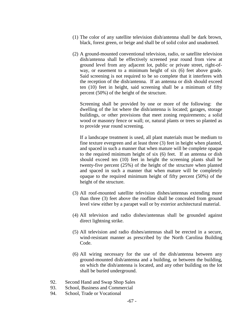- (1) The color of any satellite television dish/antenna shall be dark brown, black, forest green, or beige and shall be of solid color and unadorned.
- (2) A ground-mounted conventional television, radio, or satellite television dish/antenna shall be effectively screened year round from view at ground level from any adjacent lot, public or private street, right-ofway, or easement to a minimum height of six (6) feet above grade. Said screening is not required to be so complete that it interferes with the reception of the dish/antenna. If an antenna or dish should exceed ten (10) feet in height, said screening shall be a minimum of fifty percent (50%) of the height of the structure.

 Screening shall be provided by one or more of the following: the dwelling of the lot where the dish/antenna is located; garages, storage buildings, or other provisions that meet zoning requirements; a solid wood or masonry fence or wall; or, natural plants or trees so planted as to provide year round screening.

 If a landscape treatment is used, all plant materials must be medium to fine texture evergreen and at least three (3) feet in height when planted, and spaced in such a manner that when mature will be complete opaque to the required minimum height of six (6) feet. If an antenna or dish should exceed ten (10) feet in height the screening plants shall be twenty-five percent (25%) of the height of the structure when planted and spaced in such a manner that when mature will be completely opaque to the required minimum height of fifty percent (50%) of the height of the structure.

- (3) All roof-mounted satellite television dishes/antennas extending more than three (3) feet above the roofline shall be concealed from ground level view either by a parapet wall or by exterior architectural material.
- (4) All television and radio dishes/antennas shall be grounded against direct lightning strike.
- (5) All television and radio dishes/antennas shall be erected in a secure, wind-resistant manner as prescribed by the North Carolina Building Code.
- (6) All wiring necessary for the use of the dish/antenna between any ground-mounted dish/antenna and a building, or between the building, on which the dish/antenna is located, and any other building on the lot shall be buried underground.
- 92. Second Hand and Swap Shop Sales
- 93. School, Business and Commercial
- 94. School, Trade or Vocational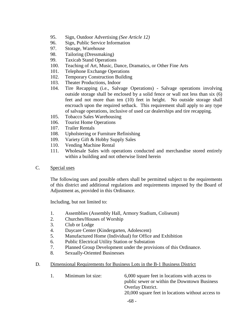- 95. Sign, Outdoor Advertising *(See Article 12)*
- 96. Sign, Public Service Information
- 97. Storage, Warehouse
- 98. Tailoring (Dressmaking)
- 99. Taxicab Stand Operations
- 100. Teaching of Art, Music, Dance, Dramatics, or Other Fine Arts
- 101. Telephone Exchange Operations
- 102. Temporary Construction Building
- 103. Theater Productions, Indoor
- 104. Tire Recapping (i.e., Salvage Operations) *-* Salvage operations involving outside storage shall be enclosed by a solid fence or wall not less than six (6) feet and not more than ten (10) feet in height. No outside storage shall encroach upon the required setback. This requirement shall apply to any type of salvage operations, inclusive of used car dealerships and tire recapping.
- 105. Tobacco Sales Warehousing
- 106. Tourist Home Operations
- 107. Trailer Rentals
- 108. Upholstering or Furniture Refinishing
- 109. Variety Gift & Hobby Supply Sales
- 110. Vending Machine Rental
- 111. Wholesale Sales with operations conducted and merchandise stored entirely within a building and not otherwise listed herein
- C. Special uses

The following uses and possible others shall be permitted subject to the requirements of this district and additional regulations and requirements imposed by the Board of Adjustment as, provided in this Ordinance.

Including, but not limited to:

- 1. Assemblies (Assembly Hall, Armory Stadium, Coliseum)
- 2. Churches/Houses of Worship
- 3. Club or Lodge
- 4. Daycare Center (Kindergarten, Adolescent)
- 5. Manufactured Home (Individual) for Office and Exhibition
- 6. Public Electrical Utility Station or Substation
- 7. Planned Group Development under the provisions of this Ordinance.
- 8. Sexually-Oriented Businesses
- D. Dimensional Requirements for Business Lots in the B-1 Business District

| 1. | Minimum lot size: | 6,000 square feet in locations with access to     |
|----|-------------------|---------------------------------------------------|
|    |                   | public sewer or within the Downtown Business      |
|    |                   | <b>Overlay District.</b>                          |
|    |                   | 20,000 square feet in locations without access to |
|    |                   |                                                   |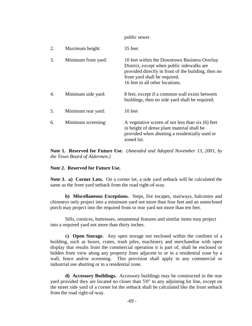public sewer.

| 2. | Maximum height:     | 35 feet.                                                                                                                                                                                                              |
|----|---------------------|-----------------------------------------------------------------------------------------------------------------------------------------------------------------------------------------------------------------------|
| 3. | Minimum front yard: | 10 feet within the Downtown Business Overlay<br>District, except when public sidewalks are<br>provided directly in front of the building, then no<br>front yard shall be required.<br>16 feet in all other locations. |
| 4. | Minimum side yard:  | 8 feet, except if a common wall exists between<br>buildings, then no side yard shall be required.                                                                                                                     |
| 5. | Minimum rear yard:  | 10 feet                                                                                                                                                                                                               |
| 6. | Minimum screening:  | A vegetative screen of not less than six (6) feet<br>in height of dense plant material shall be<br>provided when abutting a residentially used or<br>zoned lot.                                                       |

**Note 1. Reserved for Future Use.** *(Amended and Adopted November 13, 2001, by the Town Board of Aldermen.)*

# **Note 2. Reserved for Future Use.**

**Note 3. a) Corner Lots.** On a corner lot, a side yard setback will be calculated the same as the front yard setback from the road right-of-way.

 **b) Miscellaneous Exceptions.** Steps, fire escapes, stairways, balconies and chimneys only project into a minimum yard not more than four feet and an unenclosed porch may project into the required front or rear yard not more than ten feet.

 Sills, cornices, buttresses, ornamental features and similar items may project into a required yard not more than thirty inches.

**c) Open Storage.** Any open storage not enclosed within the confines of a building, such as boxes, crates, trash piles, machinery and merchandise with open display that results from the commercial operation it is part of, shall be enclosed or hidden from view along any property lines adjacent to or in a residential zone by a wall, fence and/or screening. This provision shall apply in any commercial or industrial use abutting or in a residential zone.

**d) Accessory Buildings.** Accessory buildings may be constructed in the rear yard provided they are located no closer than 5'0" to any adjoining lot line, except on the street side yard of a corner lot the setback shall be calculated like the front setback from the road right-of-way.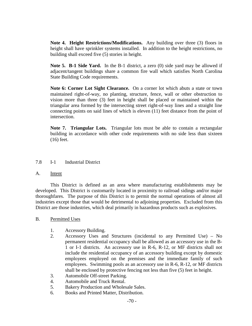**Note 4. Height Restrictions/Modifications.** Any building over three (3) floors in height shall have sprinkler systems installed. In addition to the height restrictions, no building shall exceed five (5) stories in height.

**Note 5. B-1 Side Yard.** In the B-1 district, a zero (0) side yard may be allowed if adjacent/tangent buildings share a common fire wall which satisfies North Carolina State Building Code requirements.

**Note 6: Corner Lot Sight Clearance.** On a corner lot which abuts a state or town maintained right-of-way, no planting, structure, fence, wall or other obstruction to vision more than three (3) feet in height shall be placed or maintained within the triangular area formed by the intersecting street right-of-way lines and a straight line connecting points on said lines of which is eleven (11) feet distance from the point of intersection.

 **Note 7. Triangular Lots.** Triangular lots must be able to contain a rectangular building in accordance with other code requirements with no side less than sixteen (16) feet.

# 7.8 I-1 Industrial District

#### A. Intent

 This District is defined as an area where manufacturing establishments may be developed. This District is customarily located in proximity to railroad sidings and/or major thoroughfares. The purpose of this District is to permit the normal operations of almost all industries except those that would be detrimental to adjoining properties. Excluded from this District are those industries, which deal primarily in hazardous products such as explosives.

#### B. Permitted Uses

- 1. Accessory Building.
- 2. Accessory Uses and Structures (incidental to any Permitted Use) No permanent residential occupancy shall be allowed as an accessory use in the B-1 or I-1 districts. An accessory use in R-6, R-12, or MF districts shall not include the residential occupancy of an accessory building except by domestic employees employed on the premises and the immediate family of such employees. Swimming pools as an accessory use in R-6, R-12, or MF districts shall be enclosed by protective fencing not less than five (5) feet in height.
- 3. Automobile Off-street Parking.
- 4. Automobile and Truck Rental.
- 5. Bakery Production and Wholesale Sales.
- 6. Books and Printed Matter, Distribution.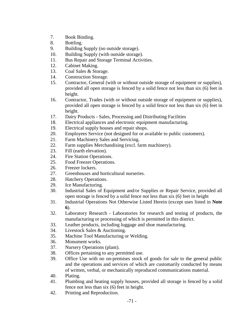- 7. Book Binding.
- 8. Bottling.
- 9. Building Supply (no outside storage).
- 10. Building Supply (with outside storage).
- 11. Bus Repair and Storage Terminal Activities.
- 12. Cabinet Making.
- 13. Coal Sales & Storage.
- 14. Construction Storage.
- 15. Contractor, General (with or without outside storage of equipment or supplies), provided all open storage is fenced by a solid fence not less than six (6) feet in height.
- 16. Contractor, Trades (with or without outside storage of equipment or supplies), provided all open storage is fenced by a solid fence not less than six (6) feet in height.
- 17. Dairy Products Sales, Processing and Distributing Facilities
- 18. Electrical appliances and electronic equipment manufacturing.
- 19. Electrical supply houses and repair shops.
- 20. Employees Service (not designed for or available to public customers).
- 21. Farm Machinery Sales and Servicing.
- 22. Farm supplies Merchandising (excl. farm machinery).
- 23. Fill (earth elevation).
- 24. Fire Station Operations.
- 25. Food Freezer Operations.
- 26. Freezer lockers.
- 27. Greenhouses and horticultural nurseries.
- 28. Hatchery Operations.
- 29. Ice Manufacturing.
- 30. Industrial Sales of Equipment and/or Supplies or Repair Service, provided all open storage is fenced by a solid fence not less than six (6) feet in height
- 31. Industrial Operations Not Otherwise Listed Herein (except uses listed in **Note 6**).
- 32. Laboratory Research Laboratories for research and testing of products, the manufacturing or processing of which is permitted in this district.
- 33. Leather products, including luggage and shoe manufacturing.
- 34. Livestock Sales & Auctioning.
- 35. Machine Tool Manufacturing or Welding.
- 36. Monument works.
- 37. Nursery Operations (plant).
- 38. Offices pertaining to any permitted use.
- 39. Office Use with no on-premises stock of goods for sale to the general public and the operations and services of which are customarily conducted by means of written, verbal, or mechanically reproduced communications material.
- 40. Plating.
- 41. Plumbing and heating supply houses, provided all storage is fenced by a solid fence not less than six (6) feet in height.
- 42. Printing and Reproduction.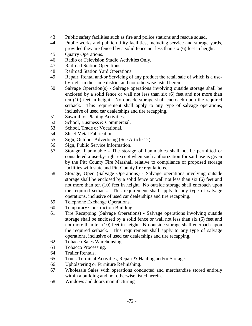- 43. Public safety facilities such as fire and police stations and rescue squad.
- 44. Public works and public utility facilities, including service and storage yards, provided they are fenced by a solid fence not less than six (6) feet in height.
- 45. Quarry Operations.
- 46. Radio or Television Studio Activities Only.
- 47. Railroad Station Operations.
- 48. Railroad Station Yard Operations.
- 49. Repair, Rental and/or Servicing of any product the retail sale of which is a useby-right in the same district and not otherwise listed herein.
- 50. Salvage Operation(s) Salvage operations involving outside storage shall be enclosed by a solid fence or wall not less than six (6) feet and not more than ten (10) feet in height. No outside storage shall encroach upon the required setback. This requirement shall apply to any type of salvage operations, inclusive of used car dealerships and tire recapping.
- 51. Sawmill or Planing Activities.
- 52. School, Business & Commercial.
- 53. School, Trade or Vocational.
- 54. Sheet Metal Fabrication.
- 55. Sign, Outdoor Advertising (See Article 12).
- 56. Sign, Public Service Information.
- 57. Storage, Flammable The storage of flammables shall not be permitted or considered a use-by-right except when such authorization for said use is given by the Pitt County Fire Marshall relative to compliance of proposed storage facilities with state and Pitt County fire regulations.
- 58. Storage, Open (Salvage Operations) Salvage operations involving outside storage shall be enclosed by a solid fence or wall not less than six (6) feet and not more than ten (10) feet in height. No outside storage shall encroach upon the required setback. This requirement shall apply to any type of salvage operations, inclusive of used car dealerships and tire recapping.
- 59. Telephone Exchange Operations.
- 60. Temporary Construction Building.
- 61. Tire Recapping (Salvage Operations) Salvage operations involving outside storage shall be enclosed by a solid fence or wall not less than six (6) feet and not more than ten (10) feet in height. No outside storage shall encroach upon the required setback. This requirement shall apply to any type of salvage operations, inclusive of used car dealerships and tire recapping.
- 62. Tobacco Sales Warehousing.
- 63. Tobacco Processing.
- 64. Trailer Rentals.
- 65. Truck Terminal Activities, Repair & Hauling and/or Storage.
- 66. Upholstering or Furniture Refinishing.
- 67. Wholesale Sales with operations conducted and merchandise stored entirely within a building and not otherwise listed herein.
- 68. Windows and doors manufacturing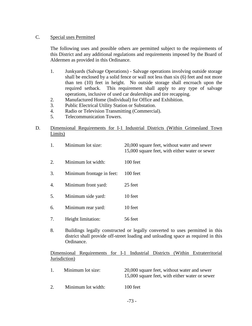# C. Special uses Permitted

The following uses and possible others are permitted subject to the requirements of this District and any additional regulations and requirements imposed by the Board of Aldermen as provided in this Ordinance.

- 1. Junkyards (Salvage Operations) Salvage operations involving outside storage shall be enclosed by a solid fence or wall not less than six (6) feet and not more than ten (10) feet in height. No outside storage shall encroach upon the required setback. This requirement shall apply to any type of salvage operations, inclusive of used car dealerships and tire recapping.
- 2. Manufactured Home (Individual) for Office and Exhibition.
- 3. Public Electrical Utility Station or Substation.
- 4. Radio or Television Transmitting (Commercial).
- 5. Telecommunication Towers.

# D. Dimensional Requirements for I-1 Industrial Districts (Within Grimesland Town Limits)

15,000 square feet, with either water or sewer

- 2. Minimum lot width: 100 feet
- 3. Minimum frontage in feet: 100 feet
- 4. Minimum front yard: 25 feet
- 5. Minimum side yard: 10 feet
- 6. Minimum rear yard: 10 feet
- 7. Height limitation: 56 feet
- 8. Buildings legally constructed or legally converted to uses permitted in this district shall provide off-street loading and unloading space as required in this Ordinance.

# Dimensional Requirements for I-1 Industrial Districts (Within Extraterritorial Jurisdiction)

| $\pm$ | Minimum lot size:  | 20,000 square feet, without water and sewer<br>15,000 square feet, with either water or sewer |
|-------|--------------------|-----------------------------------------------------------------------------------------------|
| 2.    | Minimum lot width: | $100$ feet                                                                                    |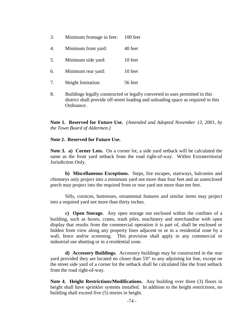- 3. Minimum frontage in feet: 100 feet
- 4. Minimum front yard: 40 feet
- 5. Minimum side yard: 10 feet
- 6. Minimum rear yard: 10 feet
- 7. Height limitation: 56 feet
- 8. Buildings legally constructed or legally converted to uses permitted in this district shall provide off-street loading and unloading space as required in this Ordinance.

**Note 1. Reserved for Future Use.** *(Amended and Adopted November 13, 2001, by the Town Board of Aldermen.)*

#### **Note 2. Reserved for Future Use.**

**Note 3. a) Corner Lots.** On a corner lot, a side yard setback will be calculated the same as the front yard setback from the road right-of-way. Within Extraterritorial Jurisdiction Only.

 **b) Miscellaneous Exceptions.** Steps, fire escapes, stairways, balconies and chimneys only project into a minimum yard not more than four feet and an unenclosed porch may project into the required front or rear yard not more than ten feet.

 Sills, cornices, buttresses, ornamental features and similar items may project into a required yard not more than thirty inches.

**c) Open Storage.** Any open storage not enclosed within the confines of a building, such as boxes, crates, trash piles, machinery and merchandise with open display that results from the commercial operation it is part of, shall be enclosed or hidden from view along any property lines adjacent to or in a residential zone by a wall, fence and/or screening. This provision shall apply in any commercial or industrial use abutting or in a residential zone.

**d) Accessory Buildings.** Accessory buildings may be constructed in the rear yard provided they are located no closer than 5'0" to any adjoining lot line, except on the street side yard of a corner lot the setback shall be calculated like the front setback from the road right-of-way.

**Note 4. Height Restrictions/Modifications.** Any building over three (3) floors in height shall have sprinkler systems installed. In addition to the height restrictions, no building shall exceed five (5) stories in height.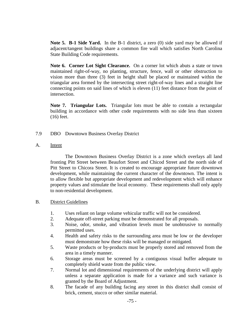**Note 5. B-1 Side Yard.** In the B-1 district, a zero (0) side yard may be allowed if adjacent/tangent buildings share a common fire wall which satisfies North Carolina State Building Code requirements.

**Note 6. Corner Lot Sight Clearance.** On a corner lot which abuts a state or town maintained right-of-way, no planting, structure, fence, wall or other obstruction to vision more than three (3) feet in height shall be placed or maintained within the triangular area formed by the intersecting street right-of-way lines and a straight line connecting points on said lines of which is eleven (11) feet distance from the point of intersection.

 **Note 7. Triangular Lots.** Triangular lots must be able to contain a rectangular building in accordance with other code requirements with no side less than sixteen (16) feet.

- 7.9 DBO Downtown Business Overlay District
- A. Intent

 The Downtown Business Overlay District is a zone which overlays all land fronting Pitt Street between Beaufort Street and Chicod Street and the north side of Pitt Street to Chicora Street. It is created to encourage appropriate future downtown development, while maintaining the current character of the downtown. The intent is to allow flexible but appropriate development and redevelopment which will enhance property values and stimulate the local economy. These requirements shall only apply to non-residential development.

# B. District Guidelines

- 1. Uses reliant on large volume vehicular traffic will not be considered.
- 2. Adequate off-street parking must be demonstrated for all proposals.
- 3. Noise, odor, smoke, and vibration levels must be unobtrusive to normally permitted uses.
- 4. Health and safety risks to the surrounding area must be low or the developer must demonstrate how these risks will be managed or mitigated.
- 5. Waste products or by-products must be properly stored and removed from the area in a timely manner.
- 6. Storage areas must be screened by a contiguous visual buffer adequate to completely shield waste from the public view.
- 7. Normal lot and dimensional requirements of the underlying district will apply unless a separate application is made for a variance and such variance is granted by the Board of Adjustment.
- 8. The facade of any building facing any street in this district shall consist of brick, cement, stucco or other similar material.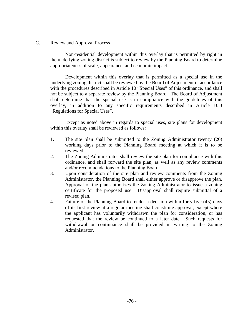# C. Review and Approval Process

Non-residential development within this overlay that is permitted by right in the underlying zoning district is subject to review by the Planning Board to determine appropriateness of scale, appearance, and economic impact.

Development within this overlay that is permitted as a special use in the underlying zoning district shall be reviewed by the Board of Adjustment in accordance with the procedures described in Article 10 "Special Uses" of this ordinance, and shall not be subject to a separate review by the Planning Board. The Board of Adjustment shall determine that the special use is in compliance with the guidelines of this overlay, in addition to any specific requirements described in Article 10.3 "Regulations for Special Uses".

 Except as noted above in regards to special uses, site plans for development within this overlay shall be reviewed as follows:

- 1. The site plan shall be submitted to the Zoning Administrator twenty (20) working days prior to the Planning Board meeting at which it is to be reviewed.
- 2. The Zoning Administrator shall review the site plan for compliance with this ordinance, and shall forward the site plan, as well as any review comments and/or recommendations to the Planning Board.
- 3. Upon consideration of the site plan and review comments from the Zoning Administrator, the Planning Board shall either approve or disapprove the plan. Approval of the plan authorizes the Zoning Administrator to issue a zoning certificate for the proposed use. Disapproval shall require submittal of a revised plan.
- 4. Failure of the Planning Board to render a decision within forty-five (45) days of its first review at a regular meeting shall constitute approval, except where the applicant has voluntarily withdrawn the plan for consideration, or has requested that the review be continued to a later date. Such requests for withdrawal or continuance shall be provided in writing to the Zoning Administrator.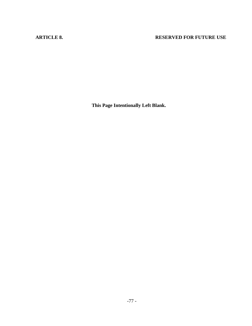# **ARTICLE 8.** RESERVED FOR FUTURE USE

**This Page Intentionally Left Blank.**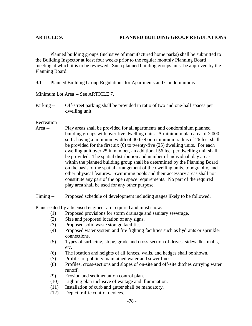Planned building groups (inclusive of manufactured home parks) shall be submitted to the Building Inspector at least four weeks prior to the regular monthly Planning Board meeting at which it is to be reviewed. Such planned building groups must be approved by the Planning Board.

9.1 Planned Building Group Regulations for Apartments and Condominiums

Minimum Lot Area -- See ARTICLE 7.

Parking -- Off-street parking shall be provided in ratio of two and one-half spaces per dwelling unit.

Recreation

Area -- Play areas shall be provided for all apartments and condominium planned building groups with over five dwelling units. A minimum plan area of 2,000 sq.ft. having a minimum width of 40 feet or a minimum radius of 26 feet shall be provided for the first six (6) to twenty-five (25) dwelling units. For each dwelling unit over 25 in number, an additional 56 feet per dwelling unit shall be provided. The spatial distribution and number of individual play areas within the planned building group shall be determined by the Planning Board on the basis of the spatial arrangement of the dwelling units, topography, and other physical features. Swimming pools and their accessory areas shall not constitute any part of the open space requirements. No part of the required play area shall be used for any other purpose.

Timing -- Proposed schedule of development including stages likely to be followed.

Plans sealed by a licensed engineer are required and must show:

- (1) Proposed provisions for storm drainage and sanitary sewerage.
- (2) Size and proposed location of any signs.
- (3) Proposed solid waste storage facilities.
- (4) Proposed water system and fire fighting facilities such as hydrants or sprinkler connections.
- (5) Types of surfacing, slope, grade and cross-section of drives, sidewalks, malls, etc.
- (6) The location and heights of all fences, walls, and hedges shall be shown.
- (7) Profiles of publicly maintained water and sewer lines.
- (8) Profiles, cross-sections and slopes of on-site and off-site ditches carrying water runoff.
- (9) Erosion and sedimentation control plan.
- (10) Lighting plan inclusive of wattage and illumination.
- (11) Installation of curb and gutter shall be mandatory.
- (12) Depict traffic control devices.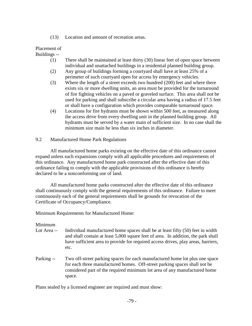(13) Location and amount of recreation areas.

# Placement of

### Buildings --

- (1) There shall be maintained at least thirty (30) linear feet of open space between individual and unattached buildings in a residential planned building group.
- (2) Any group of buildings forming a courtyard shall have at least 25% of a perimeter of such courtyard open for access by emergency vehicles.
- (3) Where the length of a street exceeds two hundred (200) feet and where there exists six or more dwelling units, an area must be provided for the turnaround of fire fighting vehicles on a paved or graveled surface. This area shall not be used for parking and shall subscribe a circular area having a radius of 17.5 feet or shall have a configuration which provides comparable turnaround space.
- (4) Locations for fire hydrants must be shown within 500 feet, as measured along the access drive from every dwelling unit in the planned building group. All hydrants must be served by a water main of sufficient size. In no case shall the minimum size main be less than six inches in diameter.
- 9.2 Manufactured Home Park Regulations

 All manufactured home parks existing on the effective date of this ordinance cannot expand unless such expansions comply with all applicable procedures and requirements of this ordinance. Any manufactured home park constructed after the effective date of this ordinance failing to comply with the applicable provisions of this ordinance is hereby declared to be a nonconforming use of land.

 All manufactured home parks constructed after the effective date of this ordinance shall continuously comply with the general requirements of this ordinance. Failure to meet continuously each of the general requirements shall be grounds for revocation of the Certificate of Occupancy/Compliance.

Minimum Requirements for Manufactured Home:

# Minimum

- Lot Area -- Individual manufactured home spaces shall be at least fifty (50) feet in width and shall contain at least 5,000 square feet of area. In addition, the park shall have sufficient area to provide for required access drives, play areas, barriers, etc.
- Parking -- Two off-street parking spaces for each manufactured home lot plus one space for each three manufactured homes. Off-street parking spaces shall not be considered part of the required minimum lot area of any manufactured home space.

Plans sealed by a licensed engineer are required and must show: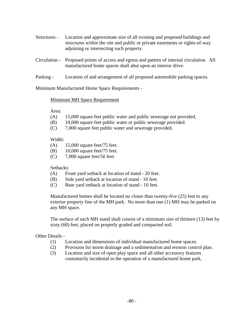- Structures Location and approximate size of all existing and proposed buildings and structures within the site and public or private easements or rights-of-way adjoining or intersecting such property.
- Circulation Proposed points of access and egress and pattern of internal circulation. All manufactured home spaces shall abut upon an interior drive.
- Parking Location of and arrangement of all proposed automobile parking spaces.

Minimum Manufactured Home Space Requirements -

# Minimum MH Space Requirement

Area:

- (A) 15,000 square feet public water and public sewerage not provided.
- (B) 10,000 square feet public water or public sewerage provided.
- (C) 7,000 square feet public water and sewerage provided.

### Width:

- (A) 15,000 square feet/75 feet.
- (B) 10,000 square feet/75 feet.
- (C) 7,000 square feet/50 feet.

# Setbacks:

- (A) Front yard setback at location of stand 20 feet.
- (B) Side yard setback at location of stand 10 feet.
- (C) Rear yard setback at location of stand 10 feet.

Manufactured homes shall be located no closer than twenty-five (25) feet to any exterior property line of the MH park. No more than one (1) MH may be parked on any MH space.

The surface of each MH stand shall consist of a minimum size of thirteen (13) feet by sixty (60) feet, placed on properly graded and compacted soil.

# Other Details -

- (1) Location and dimensions of individual manufactured home spaces.
- (2) Provision for storm drainage and a sedimentation and erosion control plan.
- (3) Location and size of open play space and all other accessory features customarily incidental to the operation of a manufactured home park.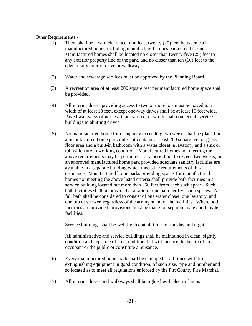# Other Requirements -

- (1) There shall be a yard clearance of at least twenty (20) feet between each manufactured home, including manufactured homes parked end to end. Manufactured homes shall be located no closer than twenty-five (25) feet to any exterior property line of the park, and no closer than ten (10) feet to the edge of any interior drive or walkway.
- (2) Water and sewerage services must be approved by the Planning Board.
- (3) A recreation area of at least 200 square feet per manufactured home space shall be provided.
- (4) All interior drives providing access to two or more lots must be paved to a width of at least 18 feet, except one-way drives shall be at least 10 feet wide. Paved walkways of not less than two feet in width shall connect all service buildings to abutting drives.
- (5) No manufactured home for occupancy exceeding two weeks shall be placed in a manufactured home park unless it contains at least 200 square feet of gross floor area and a built-in bathroom with a water closet, a lavatory, and a sink or tub which are in working condition. Manufactured homes not meeting the above requirements may be permitted, for a period not to exceed two weeks, in an approved manufactured home park provided adequate sanitary facilities are available in a separate building which meets the requirements of this ordinance. Manufactured home parks providing spaces for manufactured homes not meeting the above listed criteria shall provide bath facilities in a service building located not more than 250 feet from each such space. Such bath facilities shall be provided at a ratio of one bath per five such spaces. A full bath shall be considered to consist of one water closet, one lavatory, and one tub or shower, regardless of the arrangement of the facilities. Where both facilities are provided, provisions must be made for separate male and female facilities.

Service buildings shall be well lighted at all times of the day and night.

All administrative and service buildings shall be maintained in clean, sightly condition and kept free of any condition that will menace the health of any occupant or the public or constitute a nuisance.

- (6) Every manufactured home park shall be equipped at all times with fire extinguishing equipment in good condition, of such size, type and number and so located as to meet all regulations enforced by the Pitt County Fire Marshall.
- (7) All interior drives and walkways shall be lighted with electric lamps.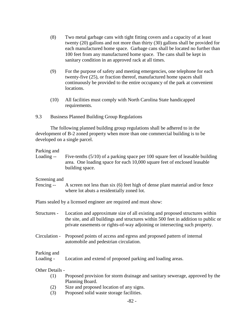- (8) Two metal garbage cans with tight fitting covers and a capacity of at least twenty (20) gallons and not more than thirty (30) gallons shall be provided for each manufactured home space. Garbage cans shall be located no further than 100 feet from any manufactured home space. The cans shall be kept in sanitary condition in an approved rack at all times.
- (9) For the purpose of safety and meeting emergencies, one telephone for each twenty-five (25), or fraction thereof, manufactured home spaces shall continuously be provided to the entire occupancy of the park at convenient locations.
- (10) All facilities must comply with North Carolina State handicapped requirements.
- 9.3 Business Planned Building Group Regulations

 The following planned building group regulations shall be adhered to in the development of B-2 zoned property when more than one commercial building is to be developed on a single parcel.

# Parking and

| Loading -- | Five-tenths $(5/10)$ of a parking space per 100 square feet of leasable building |
|------------|----------------------------------------------------------------------------------|
|            | area. One loading space for each 10,000 square feet of enclosed leasable         |
|            | building space.                                                                  |
|            |                                                                                  |

#### Screening and

Fencing -- A screen not less than six (6) feet high of dense plant material and/or fence where lot abuts a residentially zoned lot.

Plans sealed by a licensed engineer are required and must show:

| Structures -             | Location and approximate size of all existing and proposed structures within<br>the site, and all buildings and structures within 500 feet in addition to public or<br>private easements or rights-of-way adjoining or intersecting such property. |
|--------------------------|----------------------------------------------------------------------------------------------------------------------------------------------------------------------------------------------------------------------------------------------------|
| Circulation -            | Proposed points of access and egress and proposed pattern of internal<br>automobile and pedestrian circulation.                                                                                                                                    |
| Parking and<br>Loading - | Location and extend of proposed parking and loading areas.                                                                                                                                                                                         |
| Other Details -          |                                                                                                                                                                                                                                                    |
| (1)                      | Proposed provision for storm drainage and sanitary sewerage, approved by the                                                                                                                                                                       |
|                          | Planning Board.                                                                                                                                                                                                                                    |
| (2)                      | Size and proposed location of any signs                                                                                                                                                                                                            |

 (2) Size and proposed location of any signs. (3) Proposed solid waste storage facilities.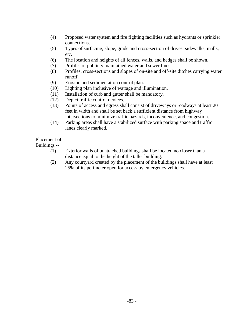- (4) Proposed water system and fire fighting facilities such as hydrants or sprinkler connections.
- (5) Types of surfacing, slope, grade and cross-section of drives, sidewalks, malls, etc.
- (6) The location and heights of all fences, walls, and hedges shall be shown.
- (7) Profiles of publicly maintained water and sewer lines.
- (8) Profiles, cross-sections and slopes of on-site and off-site ditches carrying water runoff.
- (9) Erosion and sedimentation control plan.
- (10) Lighting plan inclusive of wattage and illumination.
- (11) Installation of curb and gutter shall be mandatory.
- (12) Depict traffic control devices.
- (13) Points of access and egress shall consist of driveways or roadways at least 20 feet in width and shall be set back a sufficient distance from highway intersections to minimize traffic hazards, inconvenience, and congestion.
- (14) Parking areas shall have a stabilized surface with parking space and traffic lanes clearly marked.

Placement of

Buildings --

- (1) Exterior walls of unattached buildings shall be located no closer than a distance equal to the height of the taller building.
- (2) Any courtyard created by the placement of the buildings shall have at least 25% of its perimeter open for access by emergency vehicles.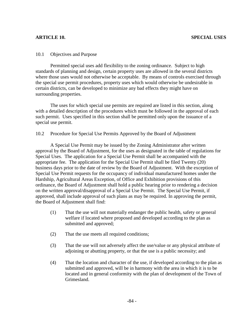#### 10.1 Objectives and Purpose

 Permitted special uses add flexibility to the zoning ordinance. Subject to high standards of planning and design, certain property uses are allowed in the several districts where those uses would not otherwise be acceptable. By means of controls exercised through the special use permit procedures, property uses which would otherwise be undesirable in certain districts, can be developed to minimize any bad effects they might have on surrounding properties.

 The uses for which special use permits are required are listed in this section, along with a detailed description of the procedures which must be followed in the approval of each such permit. Uses specified in this section shall be permitted only upon the issuance of a special use permit.

#### 10.2 Procedure for Special Use Permits Approved by the Board of Adjustment

A Special Use Permit may be issued by the Zoning Administrator after written approval by the Board of Adjustment, for the uses as designated in the table of regulations for Special Uses. The application for a Special Use Permit shall be accompanied with the appropriate fee. The application for the Special Use Permit shall be filed Twenty (20) business days prior to the date of review by the Board of Adjustment. With the exception of Special Use Permit requests for the occupancy of individual manufactured homes under the Hardship, Agricultural Areas Exception, of Office and Exhibition provisions of this ordinance, the Board of Adjustment shall hold a public hearing prior to rendering a decision on the written approval/disapproval of a Special Use Permit. The Special Use Permit, if approved, shall include approval of such plans as may be required. In approving the permit, the Board of Adjustment shall find:

- (1) That the use will not materially endanger the public health, safety or general welfare if located where proposed and developed according to the plan as submitted and approved;
- (2) That the use meets all required conditions;
- (3) That the use will not adversely affect the use/value or any physical attribute of adjoining or abutting property, or that the use is a public necessity; and
- (4) That the location and character of the use, if developed according to the plan as submitted and approved, will be in harmony with the area in which it is to be located and in general conformity with the plan of development of the Town of Grimesland.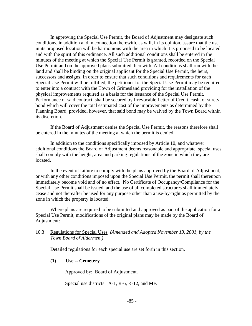In approving the Special Use Permit, the Board of Adjustment may designate such conditions, in addition and in connection therewith, as will, in its opinion, assure that the use in its proposed location will be harmonious with the area in which it is proposed to be located and with the spirit of this ordinance. All such additional conditions shall be entered in the minutes of the meeting at which the Special Use Permit is granted, recorded on the Special Use Permit and on the approved plans submitted therewith. All conditions shall run with the land and shall be binding on the original applicant for the Special Use Permit, the heirs, successors and assigns. In order to ensure that such conditions and requirements for each Special Use Permit will be fulfilled, the petitioner for the Special Use Permit may be required to enter into a contract with the Town of Grimesland providing for the installation of the physical improvements required as a basis for the issuance of the Special Use Permit. Performance of said contract, shall be secured by Irrevocable Letter of Credit, cash, or surety bond which will cover the total estimated cost of the improvements as determined by the Planning Board; provided, however, that said bond may be waived by the Town Board within its discretion.

If the Board of Adjustment denies the Special Use Permit, the reasons therefore shall be entered in the minutes of the meeting at which the permit is denied.

In addition to the conditions specifically imposed by Article 10, and whatever additional conditions the Board of Adjustment deems reasonable and appropriate, special uses shall comply with the height, area and parking regulations of the zone in which they are located.

In the event of failure to comply with the plans approved by the Board of Adjustment, or with any other conditions imposed upon the Special Use Permit, the permit shall thereupon immediately become void and of no effect. No Certificate of Occupancy/Compliance for the Special Use Permit shall be issued, and the use of all completed structures shall immediately cease and not thereafter be used for any purpose other than a use-by-right as permitted by the zone in which the property is located.

Where plans are required to be submitted and approved as part of the application for a Special Use Permit, modifications of the original plans may be made by the Board of Adjustment:

10.3 Regulations for Special Uses *(Amended and Adopted November 13, 2001, by the Town Board of Aldermen.)* 

Detailed regulations for each special use are set forth in this section.

**(1) Use -- Cemetery** 

Approved by: Board of Adjustment.

Special use districts: A-1, R-6, R-12, and MF.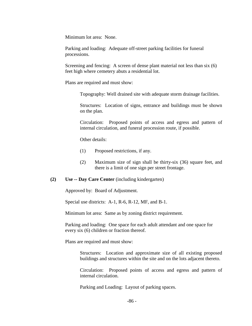Minimum lot area: None.

Parking and loading: Adequate off-street parking facilities for funeral processions.

Screening and fencing: A screen of dense plant material not less than six (6) feet high where cemetery abuts a residential lot.

Plans are required and must show:

Topography: Well drained site with adequate storm drainage facilities.

Structures: Location of signs, entrance and buildings must be shown on the plan.

Circulation: Proposed points of access and egress and pattern of internal circulation, and funeral procession route, if possible.

Other details:

- (1) Proposed restrictions, if any.
- (2) Maximum size of sign shall be thirty-six (36) square feet, and there is a limit of one sign per street frontage.

#### **(2) Use -- Day Care Center** (including kindergarten)

Approved by: Board of Adjustment.

Special use districts: A-1, R-6, R-12, MF, and B-1.

Minimum lot area: Same as by zoning district requirement.

Parking and loading: One space for each adult attendant and one space for every six (6) children or fraction thereof.

Plans are required and must show:

Structures: Location and approximate size of all existing proposed buildings and structures within the site and on the lots adjacent thereto.

Circulation: Proposed points of access and egress and pattern of internal circulation.

Parking and Loading: Layout of parking spaces.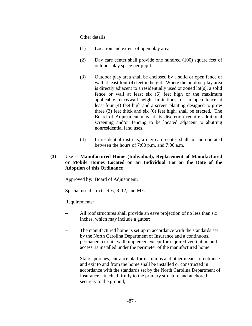Other details:

- (1) Location and extent of open play area.
- (2) Day care center shall provide one hundred (100) square feet of outdoor play space per pupil.
- (3) Outdoor play area shall be enclosed by a solid or open fence or wall at least four (4) feet in height. Where the outdoor play area is directly adjacent to a residentially used or zoned lot(s), a solid fence or wall at least six (6) feet high or the maximum applicable fence/wall height limitations, or an open fence at least four (4) feet high and a screen planting designed to grow three (3) feet thick and six (6) feet high, shall be erected. The Board of Adjustment may at its discretion require additional screening and/or fencing to be located adjacent to abutting nonresidential land uses.
- (4) In residential districts, a day care center shall not be operated between the hours of 7:00 p.m. and 7:00 a.m.

# **(3) Use -- Manufactured Home (Individual), Replacement of Manufactured or Mobile Homes Located on an Individual Lot on the Date of the Adoption of this Ordinance**

Approved by: Board of Adjustment.

Special use district: R-6, R-12, and MF.

Requirements:

- All roof structures shall provide an eave projection of no less than six inches, which may include a gutter;
- The manufactured home is set up in accordance with the standards set by the North Carolina Department of Insurance and a continuous, permanent curtain wall, unpierced except for required ventilation and access, is installed under the perimeter of the manufactured home;
- -- Stairs, porches, entrance platforms, ramps and other means of entrance and exit to and from the home shall be installed or constructed in accordance with the standards set by the North Carolina Department of Insurance, attached firmly to the primary structure and anchored securely to the ground;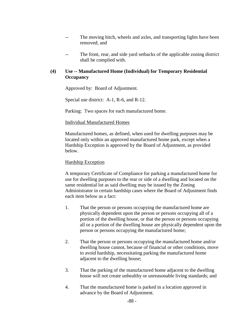- -- The moving hitch, wheels and axles, and transporting lights have been removed; and
- The front, rear, and side yard setbacks of the applicable zoning district shall be complied with.

# **(4) Use -- Manufactured Home (Individual) for Temporary Residential Occupancy**

Approved by: Board of Adjustment.

Special use district: A-1, R-6, and R-12.

Parking: Two spaces for each manufactured home.

### Individual Manufactured Homes

Manufactured homes, as defined, when used for dwelling purposes may be located only within an approved manufactured home park, except when a Hardship Exception is approved by the Board of Adjustment, as provided below.

# Hardship Exception

A temporary Certificate of Compliance for parking a manufactured home for use for dwelling purposes to the rear or side of a dwelling and located on the same residential lot as said dwelling may be issued by the Zoning Administrator in certain hardship cases where the Board of Adjustment finds each item below as a fact:

- 1. That the person or persons occupying the manufactured home are physically dependent upon the person or persons occupying all of a portion of the dwelling house, or that the person or persons occupying all or a portion of the dwelling house are physically dependent upon the person or persons occupying the manufactured home;
- 2. That the person or persons occupying the manufactured home and/or dwelling house cannot, because of financial or other conditions, move to avoid hardship, necessitating parking the manufactured home adjacent to the dwelling house;
- 3. That the parking of the manufactured home adjacent to the dwelling house will not create unhealthy or unreasonable living standards; and
- 4. That the manufactured home is parked in a location approved in advance by the Board of Adjustment.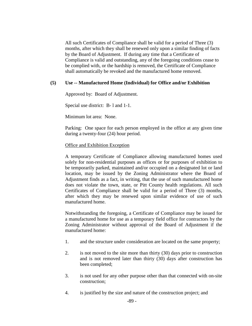All such Certificates of Compliance shall be valid for a period of Three (3) months, after which they shall be renewed only upon a similar finding of facts by the Board of Adjustment. If during any time that a Certificate of Compliance is valid and outstanding, any of the foregoing conditions cease to be complied with, or the hardship is removed, the Certificate of Compliance shall automatically be revoked and the manufactured home removed.

# **(5) Use -- Manufactured Home (Individual) for Office and/or Exhibition**

Approved by: Board of Adjustment.

Special use district: B- l and 1-1.

Minimum lot area: None.

Parking: One space for each person employed in the office at any given time during a twenty-four (24) hour period.

# Office and Exhibition Exception

A temporary Certificate of Compliance allowing manufactured homes used solely for non-residential purposes as offices or for purposes of exhibition to be temporarily parked, maintained and/or occupied on a designated lot or land location, may be issued by the Zoning Administrator where the Board of Adjustment finds as a fact, in writing, that the use of such manufactured home does not violate the town, state, or Pitt County health regulations. All such Certificates of Compliance shall be valid for a period of Three (3) months, after which they may be renewed upon similar evidence of use of such manufactured home.

Notwithstanding the foregoing, a Certificate of Compliance may be issued for a manufactured home for use as a temporary field office for contractors by the Zoning Administrator without approval of the Board of Adjustment if the manufactured home:

- 1. and the structure under consideration are located on the same property;
- 2. is not moved to the site more than thirty (30) days prior to construction and is not removed later than thirty (30) days after construction has been completed;
- 3. is not used for any other purpose other than that connected with on-site construction;
- 4. is justified by the size and nature of the construction project; and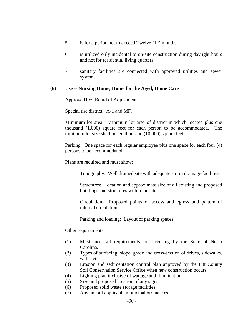- 5. is for a period not to exceed Twelve (12) months;
- 6. is utilized only incidental to on-site construction during daylight hours and not for residential living quarters;
- 7. sanitary facilities are connected with approved utilities and sewer system.

### **(6) Use -- Nursing Home, Home for the Aged, Home Care**

Approved by: Board of Adjustment.

Special use district: A-1 and MF.

Minimum lot area: Minimum lot area of district in which located plus one thousand (1,000) square feet for each person to be accommodated. The minimum lot size shall be ten thousand (10,000) square feet.

Parking: One space for each regular employee plus one space for each four (4) persons to be accommodated.

Plans are required and must show:

Topography: Well drained site with adequate storm drainage facilities.

Structures: Location and approximate size of all existing and proposed buildings and structures within the site.

Circulation: Proposed points of access and egress and pattern of internal circulation.

Parking and loading: Layout of parking spaces.

Other requirements:

- (1) Must meet all requirements for licensing by the State of North Carolina.
- (2) Types of surfacing, slope, grade and cross-section of drives, sidewalks, walls, etc.
- (3) Erosion and sedimentation control plan approved by the Pitt County Soil Conservation Service Office when new construction occurs.
- (4) Lighting plan inclusive of wattage and illumination.
- (5) Size and proposed location of any signs.
- (6) Proposed solid waste storage facilities.
- (7) Any and all applicable municipal ordinances.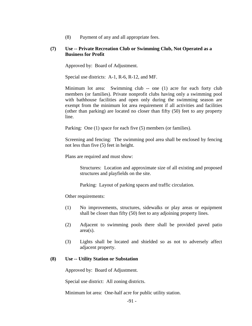(8) Payment of any and all appropriate fees.

### **(7) Use -- Private Recreation Club or Swimming Club, Not Operated as a Business for Profit**

Approved by: Board of Adjustment.

Special use districts: A-1, R-6, R-12, and MF.

Minimum lot area: Swimming club -- one (1) acre for each forty club members (or families). Private nonprofit clubs having only a swimming pool with bathhouse facilities and open only during the swimming season are exempt from the minimum lot area requirement if all activities and facilities (other than parking) are located no closer than fifty (50) feet to any property line.

Parking: One (1) space for each five (5) members (or families).

Screening and fencing: The swimming pool area shall be enclosed by fencing not less than five (5) feet in height.

Plans are required and must show:

Structures: Location and approximate size of all existing and proposed structures and playfields on the site.

Parking: Layout of parking spaces and traffic circulation.

Other requirements:

- (1) No improvements, structures, sidewalks or play areas or equipment shall be closer than fifty (50) feet to any adjoining property lines.
- (2) Adjacent to swimming pools there shall be provided paved patio area(s).
- (3) Lights shall be located and shielded so as not to adversely affect adjacent property.

# **(8) Use -- Utility Station or Substation**

Approved by: Board of Adjustment.

Special use district: All zoning districts.

Minimum lot area: One-half acre for public utility station.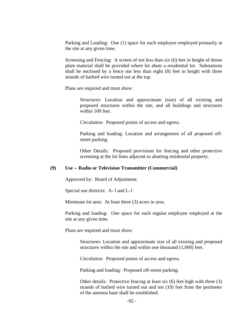Parking and Loading: One (1) space for each employee employed primarily at the site at any given time.

Screening and Fencing: A screen of not less than six (6) feet in height of dense plant material shall be provided where lot abuts a residential lot. Substations shall be enclosed by a fence not less than eight (8) feet in height with three strands of barbed wire turned out at the top.

Plans are required and must show:

Structures: Location and approximate (size) of all existing and proposed structures within the site, and all buildings and structures within 100 feet.

Circulation: Proposed points of access and egress.

Parking and loading: Location and arrangement of all proposed offstreet parking.

Other Details: Proposed provisions for fencing and other protective screening at the lot lines adjacent to abutting residential property.

# **(9) Use -- Radio or Television Transmitter (Commercial)**

Approved by: Board of Adjustment.

Special use districts: A- l and L-1

Minimum lot area: At least three (3) acres in area.

Parking and loading: One space for each regular employee employed at the site at any given time.

Plans are required and must show:

Structures: Location and approximate size of all existing and proposed structures within the site and within one thousand (1,000) feet.

Circulation: Proposed points of access and egress.

Parking and loading: Proposed off-street parking.

Other details: Protective fencing at least six (6) feet high with three (3) strands of barbed wire turned out and ten (10) feet from the perimeter of the antenna base shall be established.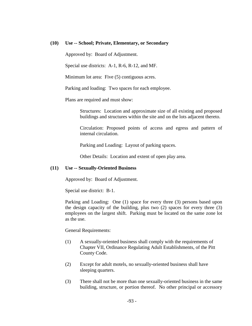#### **(10) Use -- School; Private, Elementary, or Secondary**

Approved by: Board of Adjustment.

Special use districts: A-1, R-6, R-12, and MF.

Minimum lot area: Five (5) contiguous acres.

Parking and loading: Two spaces for each employee.

Plans are required and must show:

Structures: Location and approximate size of all existing and proposed buildings and structures within the site and on the lots adjacent thereto.

Circulation: Proposed points of access and egress and pattern of internal circulation.

Parking and Loading: Layout of parking spaces.

Other Details: Location and extent of open play area.

#### **(11) Use -- Sexually-Oriented Business**

Approved by: Board of Adjustment.

Special use district: B-1.

Parking and Loading: One (1) space for every three (3) persons based upon the design capacity of the building, plus two (2) spaces for every three (3) employees on the largest shift. Parking must be located on the same zone lot as the use.

General Requirements:

- (1) A sexually-oriented business shall comply with the requirements of Chapter VII, Ordinance Regulating Adult Establishments, of the Pitt County Code.
- (2) Except for adult motels, no sexually-oriented business shall have sleeping quarters.
- (3) There shall not be more than one sexually-oriented business in the same building, structure, or portion thereof. No other principal or accessory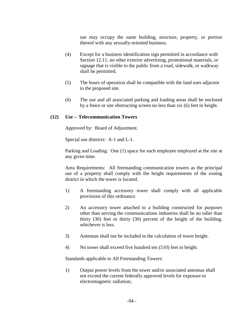use may occupy the same building, structure, property, or portion thereof with any sexually-oriented business.

- (4) Except for a business identification sign permitted in accordance with Section 12.11, no other exterior advertising, promotional materials, or signage that is visible to the public from a road, sidewalk, or walkway shall be permitted.
- (5) The hours of operation shall be compatible with the land uses adjacent to the proposed site.
- (6) The use and all associated parking and loading areas shall be enclosed by a fence or site obstructing screen no less than six (6) feet in height.

### **(12) Use -- Telecommunication Towers**

Approved by: Board of Adjustment.

Special use districts: A-1 and L-1.

Parking and Loading: One (1) space for each employee employed at the site at any given time.

Area Requirements: All freestanding communication towers as the principal use of a property shall comply with the height requirements of the zoning district in which the tower is located.

- 1) A freestanding accessory tower shall comply with all applicable provisions of this ordinance.
- 2) An accessory tower attached to a building constructed for purposes other than serving the communications industries shall be no taller than thirty (30) feet or thirty (30) percent of the height of the building, whichever is less.
- 3) Antennas shall not be included in the calculation of tower height.
- 4) No tower shall exceed five hundred ten (510) feet in height.

Standards applicable to All Freestanding Towers:

1) Output power levels from the tower and/or associated antennas shall not exceed the current federally approved levels for exposure to electromagnetic radiation;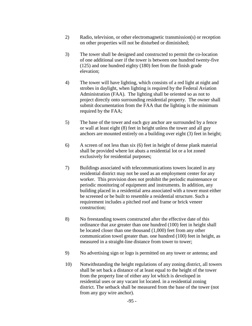- 2) Radio, television, or other electromagnetic transmission(s) or reception on other properties will not be disturbed or diminished;
- 3) The tower shall be designed and constructed to permit the co-location of one additional user if the tower is between one hundred twenty-five (125) and one hundred eighty (180) feet from the finish grade elevation;
- 4) The tower will have lighting, which consists of a red light at night and strobes in daylight, when lighting is required by the Federal Aviation Administration (FAA). The lighting shall be oriented so as not to project directly onto surrounding residential property. The owner shall submit documentation from the FAA that the lighting is the minimum required by the FAA;
- 5) The base of the tower and each guy anchor are surrounded by a fence or wall at least eight (8) feet in height unless the tower and all guy anchors are mounted entirely on a building over eight (3) feet in height;
- 6) A screen of not less than six (6) feet in height of dense plank material shall be provided where lot abuts a residential lot or a lot zoned exclusively for residential purposes;
- 7) Buildings associated with telecommunications towers located in any residential district may not be used as an employment center for any worker. This provision does not prohibit the periodic maintenance or periodic monitoring of equipment and instruments. In addition, any building placed in a residential area associated with a tower must either be screened or be built to resemble a residential structure. Such a requirement includes a pitched roof and frame or brick veneer construction;
- 8) No freestanding towers constructed after the effective date of this ordinance that axe greater than one hundred (100) feet in height shall be located closer than one thousand (1,000) feet from any other communication towel greater than. one hundred (100) feet in height, as measured in a straight-line distance from tower to tower;
- 9) No advertising sign or logo is permitted on any tower or antenna; and
- 10) Notwithstanding the height regulations of any zoning district, all towers shall be set back a distance of at least equal to the height of the tower from the property line of either any lot which is developed in residential uses or any vacant lot located. in a residential zoning district. The setback shall be measured from the base of the tower (not from any guy wire anchor).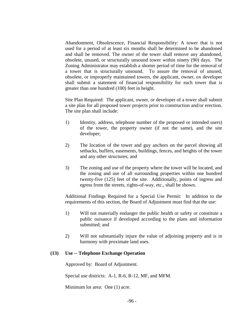Abandonment, Obsolescence, Financial Responsibility: A tower that is not used for a period of at least six months shall be determined to be abandoned and shall be removed. The owner of the tower shall remove any abandoned, obsolete, unused, or structurally unsound tower within ninety (90) days. The Zoning Administrator may establish a shorter period of time for the removal of a tower that is structurally unsound. To assure the removal of unused, obsolete, or improperly maintained towers, the applicant, owner, ox developer shall submit a statement of financial responsibility for each tower that is greater than one hundred (100) feet in height.

Site Plan Required: The applicant, owner, or developer of a tower shall submit a site plan for all proposed tower projects prior to construction and/or erection. The site plan shall include:

- 1) Identity, address, telephone number of the proposed or intended users) of the tower, the property owner (if not the same), and the site developer;
- 2) The location of the tower and guy anchors on the parcel showing all setbacks, buffers, easements, buildings, fences, and heights of the tower and any other structures; and
- 3) The zoning and use of the property where the tower will be located, and the zoning and use of all surrounding properties within one hundred twenty-five (125) feet of the site. Additionally, points of ingress and egress from the streets, rights-of-way, etc., shall be shown.

Additional Findings Required for a Special Use Permit: In addition to the requirements of this section, the Board of Adjustment must find that the use:

- 1) Will not materially endanger the public health or safety or constitute a public nuisance if developed according to the plans and information submitted; and
- 2) Will not substantially injure the value of adjoining property and is in harmony with proximate land uses.

# **(13) Use -- Telephone Exchange Operation**

Approved by: Board of Adjustment.

Special use districts: A-1, R-6, R-12, MF, and MFM.

Minimum lot area: One (1) acre.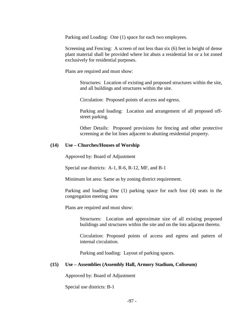Parking and Loading: One (1) space for each two employees.

Screening and Fencing: A screen of not less than six (6) feet in height of dense plant material shall be provided where lot abuts a residential lot or a lot zoned exclusively for residential purposes.

Plans are required and must show:

Structures: Location of existing and proposed structures within the site, and all buildings and structures within the site.

Circulation: Proposed points of access and egress.

Parking and loading: Location and arrangement of all proposed offstreet parking.

Other Details: Proposed provisions for fencing and other protective screening at the lot lines adjacent to abutting residential property.

#### **(14) Use – Churches/Houses of Worship**

Approved by: Board of Adjustment

Special use districts: A-1, R-6, R-12, MF, and B-1

Minimum lot area: Same as by zoning district requirement.

 Parking and loading: One (1) parking space for each four (4) seats in the congregation meeting area

Plans are required and must show:

 Structures: Location and approximate size of all existing proposed buildings and structures within the site and on the lots adjacent thereto.

 Circulation: Proposed points of access and egress and pattern of internal circulation.

Parking and loading: Layout of parking spaces.

#### **(15) Use – Assemblies (Assembly Hall, Armory Stadium, Coliseum)**

Approved by: Board of Adjustment

Special use districts: B-1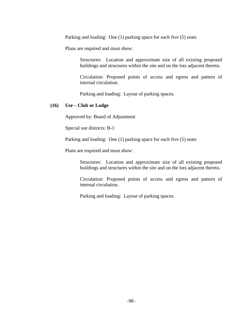Parking and loading: One (1) parking space for each five (5) seats

Plans are required and must show:

 Structures: Location and approximate size of all existing proposed buildings and structures within the site and on the lots adjacent thereto.

 Circulation: Proposed points of access and egress and pattern of internal circulation.

Parking and loading: Layout of parking spaces.

### **(16) Use – Club or Lodge**

Approved by: Board of Adjustment

Special use districts: B-1

Parking and loading: One (1) parking space for each five (5) seats

Plans are required and must show:

 Structures: Location and approximate size of all existing proposed buildings and structures within the site and on the lots adjacent thereto.

 Circulation: Proposed points of access and egress and pattern of internal circulation.

Parking and loading: Layout of parking spaces.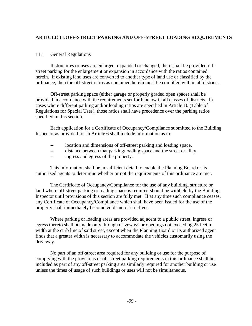# **ARTICLE 11.OFF-STREET PARKING AND OFF-STREET LOADING REQUIREMENTS**

# 11.1 General Regulations

 If structures or uses are enlarged, expanded or changed, there shall be provided offstreet parking for the enlargement or expansion in accordance with the ratios contained herein. If existing land uses are converted to another type of land use or classified by the ordinance, then the off-street ratios as contained herein must be complied with in all districts.

 Off-street parking space (either garage or properly graded open space) shall be provided in accordance with the requirements set forth below in all classes of districts. In cases where different parking and/or loading ratios are specified in Article 10 (Table of Regulations for Special Uses), those ratios shall have precedence over the parking ratios specified in this section.

 Each application for a Certificate of Occupancy/Compliance submitted to the Building Inspector as provided for in Article 6 shall include information as to:

- -- location and dimensions of off-street parking and loading space,
- -- distance between that parking/loading space and the street or alley,
- -- ingress and egress of the property.

 This information shall be in sufficient detail to enable the Planning Board or its authorized agents to determine whether or not the requirements of this ordinance are met.

 The Certificate of Occupancy/Compliance for the use of any building, structure or land where off-street parking or loading space is required should be withheld by the Building Inspector until provisions of this section are fully met. If at any time such compliance ceases, any Certificate of Occupancy/Compliance which shall have been issued for the use of the property shall immediately become void and of no effect.

 Where parking or loading areas are provided adjacent to a public street, ingress or egress thereto shall be made only through driveways or openings not exceeding 25 feet in width at the curb line of said street, except when the Planning Board or its authorized agent finds that a greater width is necessary to accommodate the vehicles customarily using the driveway.

 No part of an off-street area required for any building or use for the purpose of complying with the provisions of off-street parking requirements in this ordinance shall be included as part of any off-street parking area similarly required for another building or use unless the times of usage of such buildings or uses will not be simultaneous.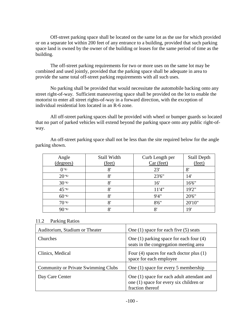Off-street parking space shall be located on the same lot as the use for which provided or on a separate lot within 200 feet of any entrance to a building, provided that such parking space land is owned by the owner of the building or leases for the same period of time as the building.

 The off-street parking requirements for two or more uses on the same lot may be combined and used jointly, provided that the parking space shall be adequate in area to provide the same total off-street parking requirements with all such uses.

 No parking shall be provided that would necessitate the automobile backing onto any street right-of-way. Sufficient maneuvering space shall be provided on the lot to enable the motorist to enter all street rights-of-way in a forward direction, with the exception of individual residential lots located in an R-6 zone.

 All off-street parking spaces shall be provided with wheel or bumper guards so located that no part of parked vehicles will extend beyond the parking space onto any public right-ofway.

| Angle              | Stall Width  | Curb Length per | <b>Stall Depth</b> |
|--------------------|--------------|-----------------|--------------------|
| (degrees)          | (feet)       | Car (feet)      | (feet)             |
| ∩⊕                 | 8'           | 23'             | 8'                 |
| $20^{\circledast}$ | 8'           | 23'6"           | 14'                |
| $30^{\circledast}$ | 8'           | 16'             | 16'6"              |
| $45^{\circledast}$ | 8'           | 11'4"           | 19'2"              |
| $60^{\circledast}$ | 8'           | 9'4''           | 20'6"              |
| $70^{\circledast}$ | 8'           | 8'6''           | 20'10"             |
| 90⊛                | $\mathbf{O}$ | $\mathbf{O}$    | 19                 |

 An off-street parking space shall not be less than the site required below for the angle parking shown.

#### 11.2 Parking Ratios

| Auditorium, Stadium or Theater             | One $(1)$ space for each five $(5)$ seats                                                                 |
|--------------------------------------------|-----------------------------------------------------------------------------------------------------------|
| <b>Churches</b>                            | One $(1)$ parking space for each four $(4)$<br>seats in the congregation meeting area                     |
| Clinics, Medical                           | Four $(4)$ spaces for each doctor plus $(1)$<br>space for each employee                                   |
| <b>Community or Private Swimming Clubs</b> | One (1) space for every 5 membership                                                                      |
| Day Care Center                            | One (1) space for each adult attendant and<br>one (1) space for every six children or<br>fraction thereof |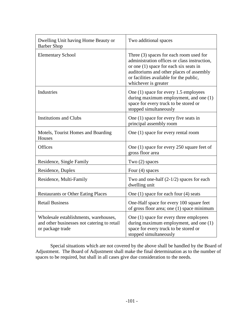| Dwelling Unit having Home Beauty or<br><b>Barber Shop</b>                                                | Two additional spaces                                                                                                                                                                                                                              |
|----------------------------------------------------------------------------------------------------------|----------------------------------------------------------------------------------------------------------------------------------------------------------------------------------------------------------------------------------------------------|
| <b>Elementary School</b>                                                                                 | Three $(3)$ spaces for each room used for<br>administration offices or class instruction,<br>or one (1) space for each six seats in<br>auditoriums and other places of assembly<br>or facilities available for the public,<br>whichever is greater |
| Industries                                                                                               | One (1) space for every 1.5 employees<br>during maximum employment, and one (1)<br>space for every truck to be stored or<br>stopped simultaneously                                                                                                 |
| <b>Institutions and Clubs</b>                                                                            | One (1) space for every five seats in<br>principal assembly room                                                                                                                                                                                   |
| Motels, Tourist Homes and Boarding<br><b>Houses</b>                                                      | One (1) space for every rental room                                                                                                                                                                                                                |
| Offices                                                                                                  | One (1) space for every 250 square feet of<br>gross floor area                                                                                                                                                                                     |
| Residence, Single Family                                                                                 | Two $(2)$ spaces                                                                                                                                                                                                                                   |
| Residence, Duplex                                                                                        | Four $(4)$ spaces                                                                                                                                                                                                                                  |
| Residence, Multi-Family                                                                                  | Two and one-half $(2-1/2)$ spaces for each<br>dwelling unit                                                                                                                                                                                        |
| <b>Restaurants or Other Eating Places</b>                                                                | One $(1)$ space for each four $(4)$ seats                                                                                                                                                                                                          |
| <b>Retail Business</b>                                                                                   | One-Half space for every 100 square feet<br>of gross floor area; one (1) space minimum                                                                                                                                                             |
| Wholesale establishments, warehouses,<br>and other businesses not catering to retail<br>or package trade | One (1) space for every three employees<br>during maximum employment, and one (1)<br>space for every truck to be stored or<br>stopped simultaneously                                                                                               |

 Special situations which are not covered by the above shall be handled by the Board of Adjustment. The Board of Adjustment shall make the final determination as to the number of spaces to be required, but shall in all cases give due consideration to the needs.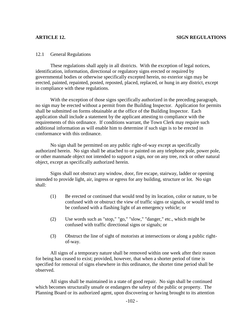### **ARTICLE 12. SIGN REGULATIONS**

### 12.1 General Regulations

 These regulations shall apply in all districts. With the exception of legal notices, identification, information, directional or regulatory signs erected or required by governmental bodies or otherwise specifically excepted herein, no exterior sign may be erected, painted, repainted, posted, reposted, placed, replaced, or hung in any district, except in compliance with these regulations.

 With the exception of those signs specifically authorized in the preceding paragraph, no sign may be erected without a permit from the Building Inspector. Application for permits shall be submitted on forms obtainable at the office of the Building Inspector. Each application shall include a statement by the applicant attesting to compliance with the requirements of this ordinance. If conditions warrant, the Town Clerk may require such additional information as will enable him to determine if such sign is to be erected in conformance with this ordinance.

 No sign shall be permitted on any public right-of-way except as specifically authorized herein. No sign shall be attached to or painted on any telephone pole, power pole, or other manmade object not intended to support a sign, nor on any tree, rock or other natural object, except as specifically authorized herein.

 Signs shall not obstruct any window, door, fire escape, stairway, ladder or opening intended to provide light, air, ingress or egress for any building, structure or lot. No sign shall:

- (1) Be erected or continued that would tend by its location, color or nature, to be confused with or obstruct the view of traffic signs or signals, or would tend to be confused with a flashing light of an emergency vehicle; or
- (2) Use words such as "stop," "go," "slow," "danger," etc., which might be confused with traffic directional signs or signals; or
- (3) Obstruct the line of sight of motorists at intersections or along a public rightof-way.

 All signs of a temporary nature shall be removed within one week after their reason for being has ceased to exist; provided, however, that when a shorter period of time is specified for removal of signs elsewhere in this ordinance, the shorter time period shall be observed.

 All signs shall be maintained in a state of good repair. No sign shall be continued which becomes structurally unsafe or endangers the safety of the public or property. The Planning Board or its authorized agent, upon discovering or having brought to its attention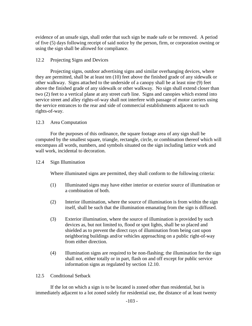evidence of an unsafe sign, shall order that such sign be made safe or be removed. A period of five (5) days following receipt of said notice by the person, firm, or corporation owning or using the sign shall be allowed for compliance.

# 12.2 Projecting Signs and Devices

 Projecting signs, outdoor advertising signs and similar overhanging devices, where they are permitted, shall be at least ten (10) feet above the finished grade of any sidewalk or other walkway. Signs attached to the underside of a canopy shall be at least nine (9) feet above the finished grade of any sidewalk or other walkway. No sign shall extend closer than two (2) feet to a vertical plane at any street curb line. Signs and canopies which extend into service street and alley rights-of-way shall not interfere with passage of motor carriers using the service entrances to the rear and side of commercial establishments adjacent to such rights-of-way.

# 12.3 Area Computation

 For the purposes of this ordinance, the square footage area of any sign shall be computed by the smallest square, triangle, rectangle, circle, or combination thereof which will encompass all words, numbers, and symbols situated on the sign including lattice work and wall work, incidental to decoration.

# 12.4 Sign Illumination

Where illuminated signs are permitted, they shall conform to the following criteria:

- (1) Illuminated signs may have either interior or exterior source of illumination or a combination of both.
- (2) Interior illumination, where the source of illumination is from within the sign itself, shall be such that the illumination emanating from the sign is diffused.
- (3) Exterior illumination, where the source of illumination is provided by such devices as, but not limited to, flood or spot lights, shall be so placed and shielded as to prevent the direct rays of illumination from being cast upon neighboring buildings and/or vehicles approaching on a public right-of-way from either direction.
- (4) Illumination signs are required to be non-flashing; the illumination for the sign shall not, either totally or in part, flash on and off except for public service information signs as regulated by section 12.10.

# 12.5 Conditional Setback

 If the lot on which a sign is to be located is zoned other than residential, but is immediately adjacent to a lot zoned solely for residential use, the distance of at least twenty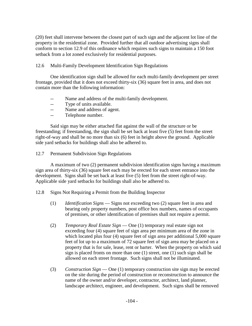(20) feet shall intervene between the closest part of such sign and the adjacent lot line of the property in the residential zone. Provided further that all outdoor advertising signs shall conform to section 12.9 of this ordinance which requires such signs to maintain a 150 foot setback from a lot zoned exclusively for residential purposes.

# 12.6 Multi-Family Development Identification Sign Regulations

 One identification sign shall be allowed for each multi-family development per street frontage, provided that it does not exceed thirty-six (36) square feet in area, and does not contain more than the following information:

- -- Name and address of the multi-family development.
- Type of units available.
- -- Name and address of agent.
- -- Telephone number.

 Said sign may be either attached flat against the wall of the structure or be freestanding; if freestanding, the sign shall be set back at least five (5) feet from the street right-of-way and shall be no more than six (6) feet in height above the ground. Applicable side yard setbacks for buildings shall also be adhered to.

# 12.7 Permanent Subdivision Sign Regulations

 A maximum of two (2) permanent subdivision identification signs having a maximum sign area of thirty-six (36) square feet each may be erected for each street entrance into the development. Signs shall be set back at least five (5) feet from the street right-of-way. Applicable side yard setbacks for buildings shall also be adhered to.

## 12.8 Signs Not Requiring a Permit from the Building Inspector

- (1) *Identification Signs* Signs not exceeding two (2) square feet in area and bearing only property numbers, post office box numbers, names of occupants of premises, or other identification of premises shall not require a permit.
- (2) *Temporary Real Estate Sign* One (1) temporary real estate sign not exceeding four (4) square feet of sign area per minimum area of the zone in which located plus four (4) square feet of sign area per additional 5,000 square feet of lot up to a maximum of 72 square feet of sign area may be placed on a property that is for sale, lease, rent or barter. When the property on which said sign is placed fronts on more than one (1) street, one (1) such sign shall be allowed on each street frontage. Such signs shall not be illuminated.
- (3) *Construction Sign* One (1) temporary construction site sign may be erected on the site during the period of construction or reconstruction to announce the name of the owner and/or developer, contractor, architect, land planner, landscape architect, engineer, and development. Such signs shall be removed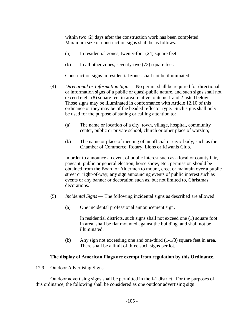within two (2) days after the construction work has been completed. Maximum size of construction signs shall be as follows:

- (a) In residential zones, twenty-four (24) square feet.
- (b) In all other zones, seventy-two (72) square feet.

Construction signs in residential zones shall not be illuminated.

- (4) *Directional or Information Sign* No permit shall be required for directional or information signs of a public or quasi-public nature, and such signs shall not exceed eight (8) square feet in area relative to items 1 and 2 listed below. Those signs may be illuminated in conformance with Article 12.10 of this ordinance or they may be of the beaded reflector type. Such signs shall only be used for the purpose of stating or calling attention to:
	- (a) The name or location of a city, town, village, hospital, community center, public or private school, church or other place of worship;
	- (b) The name or place of meeting of an official or civic body, such as the Chamber of Commerce, Rotary, Lions or Kiwanis Club.

 In order to announce an event of public interest such as a local or county fair, pageant, public or general election, horse show, etc., permission should be obtained from the Board of Aldermen to mount, erect or maintain over a public street or right-of-way, any sign announcing events of public interest such as events or any banner or decoration such as, but not limited to, Christmas decorations.

- (5) *Incidental Signs* The following incidental signs as described are allowed:
	- (a) One incidental professional announcement sign.

 In residential districts, such signs shall not exceed one (1) square foot in area, shall be flat mounted against the building, and shall not be illuminated.

 (b) Any sign not exceeding one and one-third (1-1/3) square feet in area. There shall be a limit of three such signs per lot.

#### **The display of American Flags are exempt from regulation by this Ordinance.**

12.9 Outdoor Advertising Signs

 Outdoor advertising signs shall be permitted in the I-1 district. For the purposes of this ordinance, the following shall be considered as one outdoor advertising sign: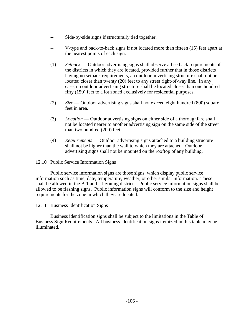- -- Side-by-side signs if structurally tied together.
- -- V-type and back-to-back signs if not located more than fifteen (15) feet apart at the nearest points of each sign.
- (1) *Setback* Outdoor advertising signs shall observe all setback requirements of the districts in which they are located, provided further that in those districts having no setback requirements, an outdoor advertising structure shall not be located closer than twenty (20) feet to any street right-of-way line. In any case, no outdoor advertising structure shall be located closer than one hundred fifty (150) feet to a lot zoned exclusively for residential purposes.
- (2) *Size* Outdoor advertising signs shall not exceed eight hundred (800) square feet in area.
- (3) *Location* Outdoor advertising signs on either side of a thoroughfare shall not be located nearer to another advertising sign on the same side of the street than two hundred (200) feet.
- (4) *Requirements* Outdoor advertising signs attached to a building structure shall not be higher than the wall to which they are attached. Outdoor advertising signs shall not be mounted on the rooftop of any building.

12.10 Public Service Information Signs

 Public service information signs are those signs, which display public service information such as time, date, temperature, weather, or other similar information. These shall be allowed in the B-1 and I-1 zoning districts. Public service information signs shall be allowed to be flashing signs. Public information signs will conform to the size and height requirements for the zone in which they are located.

12.11 Business Identification Signs

 Business identification signs shall be subject to the limitations in the Table of Business Sign Requirements. All business identification signs itemized in this table may be illuminated.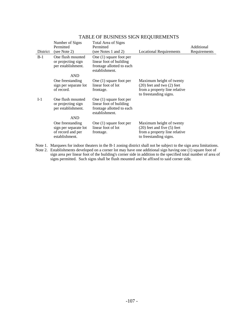|          | Number of Signs<br>Permitted                                                     | Total Area of Signs<br>Permitted                                                                    |                                                                                                                        | Additional   |
|----------|----------------------------------------------------------------------------------|-----------------------------------------------------------------------------------------------------|------------------------------------------------------------------------------------------------------------------------|--------------|
| District | (see Note 2)                                                                     | (see Notes 1 and 2)                                                                                 | <b>Locational Requirements</b>                                                                                         | Requirements |
| $B-1$    | One flush mounted<br>or projecting sign<br>per establishment.                    | One $(1)$ square foot per<br>linear foot of building<br>frontage allotted to each<br>establishment. |                                                                                                                        |              |
|          | <b>AND</b>                                                                       |                                                                                                     |                                                                                                                        |              |
|          | One freestanding<br>sign per separate lot<br>of record.                          | One $(1)$ square foot per<br>linear foot of lot<br>frontage.                                        | Maximum height of twenty<br>$(20)$ feet and two $(2)$ feet<br>from a property line relative<br>to freestanding signs.  |              |
| $I-1$    | One flush mounted<br>or projecting sign<br>per establishment.                    | One $(1)$ square foot per<br>linear foot of building<br>frontage allotted to each<br>establishment. |                                                                                                                        |              |
|          | <b>AND</b>                                                                       |                                                                                                     |                                                                                                                        |              |
|          | One freestanding<br>sign per separate lot<br>of record and per<br>establishment. | One $(1)$ square foot per<br>linear foot of lot<br>frontage.                                        | Maximum height of twenty<br>$(20)$ feet and five $(5)$ feet<br>from a property line relative<br>to freestanding signs. |              |

# TABLE OF BUSINESS SIGN REQUIREMENTS

Note 1. Marquees for indoor theaters in the B-1 zoning district shall not be subject to the sign area limitations. Note 2. Establishments developed on a corner lot may have one additional sign having one (1) square foot of sign area per linear foot of the building's corner side in addition to the specified total number of area of signs permitted. Such signs shall be flush mounted and be affixed to said corner side.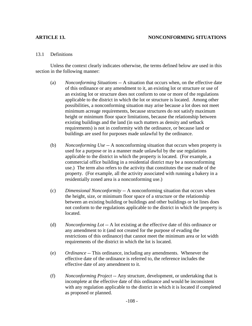# **ARTICLE 13. NONCONFORMING SITUATIONS**

## 13.1 Definitions

 Unless the context clearly indicates otherwise, the terms defined below are used in this section in the following manner:

- (a) *Nonconforming Situations* -- A situation that occurs when, on the effective date of this ordinance or any amendment to it, an existing lot or structure or use of an existing lot or structure does not conform to one or more of the regulations applicable to the district in which the lot or structure is located. Among other possibilities, a nonconforming situation may arise because a lot does not meet minimum acreage requirements, because structures do not satisfy maximum height or minimum floor space limitations, because the relationship between existing buildings and the land (in such matters as density and setback requirements) is not in conformity with the ordinance, or because land or buildings are used for purposes made unlawful by the ordinance.
- (b) *Nonconforming Use* -- A nonconforming situation that occurs when property is used for a purpose or in a manner made unlawful by the use regulations applicable to the district in which the property is located. (For example, a commercial office building in a residential district may be a nonconforming use.) The term also refers to the activity that constitutes the use made of the property. (For example, all the activity associated with running a bakery in a residentially zoned area is a nonconforming use.)
- (c) *Dimensional Nonconformity* -- A nonconforming situation that occurs when the height, size, or minimum floor space of a structure or the relationship between an existing building or buildings and other buildings or lot lines does not conform to the regulations applicable to the district in which the property is located.
- (d) *Nonconforming Lot* -- A lot existing at the effective date of this ordinance or any amendment to it (and not created for the purpose of evading the restrictions of this ordinance) that cannot meet the minimum area or lot width requirements of the district in which the lot is located.
- (e) *Ordinance* -- This ordinance, including any amendments. Whenever the effective date of the ordinance is referred to, the reference includes the effective date of any amendment to it.
- (f) *Nonconforming Project* -- Any structure, development, or undertaking that is incomplete at the effective date of this ordinance and would be inconsistent with any regulation applicable to the district in which it is located if completed as proposed or planned.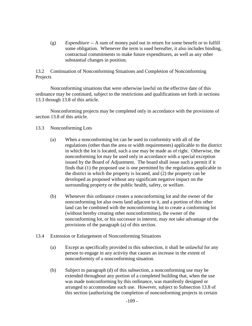(g) *Expenditure* -- A sum of money paid out in return for some benefit or to fulfill some obligation. Whenever the term is used hereafter, it also includes binding, contractual commitments to make future expenditures, as well as any other substantial changes in position.

13.2 Continuation of Nonconforming Situations and Completion of Nonconforming Projects

 Nonconforming situations that were otherwise lawful on the effective date of this ordinance may be continued, subject to the restrictions and qualifications set forth in sections 13.3 through 13.8 of this article.

 Nonconforming projects may be completed only in accordance with the provisions of section 13.8 of this article.

## 13.3 Nonconforming Lots

- (a) When a nonconforming lot can be used in conformity with all of the regulations (other than the area or width requirements) applicable to the district in which the lot is located, such a use may be made as of right. Otherwise, the nonconforming lot may be used only in accordance with a special exception issued by the Board of Adjustment. The board shall issue such a permit if it finds that (1) the proposed use is one permitted by the regulations applicable to the district in which the property is located, and (2) the property can be developed as proposed without any significant negative impact on the surrounding property or the public health, safety, or welfare.
- (b) Whenever this ordinance creates a nonconforming lot and the owner of the nonconforming lot also owns land adjacent to it, and a portion of this other land can be combined with the nonconforming lot to create a conforming lot (without hereby creating other nonconformities), the owner of the nonconforming lot, or his successor in interest, may not take advantage of the provisions of the paragraph (a) of this section.
- 13.4 Extension or Enlargement of Nonconforming Situations
	- (a) Except as specifically provided in this subsection, it shall be unlawful for any person to engage in any activity that causes an increase in the extent of nonconformity of a nonconforming situation.
	- (b) Subject to paragraph (d) of this subsection, a nonconforming use may be extended throughout any portion of a completed building that, when the use was made nonconforming by this ordinance, was manifestly designed or arranged to accommodate such use. However, subject to Subsection 13.8 of this section (authorizing the completion of nonconforming projects in certain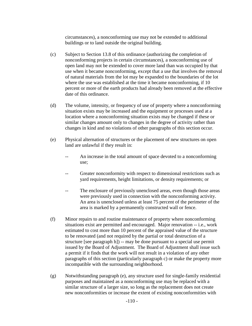circumstances), a nonconforming use may not be extended to additional buildings or to land outside the original building.

- (c) Subject to Section 13.8 of this ordinance (authorizing the completion of nonconforming projects in certain circumstances), a nonconforming use of open land may not be extended to cover more land than was occupied by that use when it became nonconforming, except that a use that involves the removal of natural materials from the lot may be expanded to the boundaries of the lot where the use was established at the time it became nonconforming, if 10 percent or more of the earth products had already been removed at the effective date of this ordinance.
- (d) The volume, intensity, or frequency of use of property where a nonconforming situation exists may be increased and the equipment or processes used at a location where a nonconforming situation exists may be changed if these or similar changes amount only to changes in the degree of activity rather than changes in kind and no violations of other paragraphs of this section occur.
- (e) Physical alternation of structures or the placement of new structures on open land are unlawful if they result in:
	- An increase in the total amount of space devoted to a nonconforming use;
	- Greater nonconformity with respect to dimensional restrictions such as yard requirements, height limitations, or density requirements; or
	- The enclosure of previously unenclosed areas, even though those areas were previously used in connection with the nonconforming activity. An area is unenclosed unless at least 75 percent of the perimeter of the area is marked by a permanently constructed wall or fence.
- (f) Minor repairs to and routine maintenance of property where nonconforming situations exist are permitted and encouraged. Major renovation -- i.e., work estimated to cost more than 10 percent of the appraised value of the structure to be renovated (and not required by the partial or total destruction of a structure [see paragraph h]) -- may be done pursuant to a special use permit issued by the Board of Adjustment. The Board of Adjustment shall issue such a permit if it finds that the work will not result in a violation of any other paragraphs of this section (particularly paragraph c) or make the property more incompatible with the surrounding neighborhood.
- (g) Notwithstanding paragraph (e), any structure used for single-family residential purposes and maintained as a nonconforming use may be replaced with a similar structure of a larger size, so long as the replacement does not create new nonconformities or increase the extent of existing nonconformities with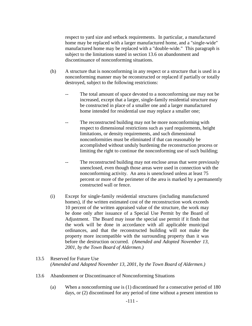respect to yard size and setback requirements. In particular, a manufactured home may be replaced with a larger manufactured home, and a "single-wide" manufactured home may be replaced with a "double-wide." This paragraph is subject to the limitations stated in section 13.6 on abandonment and discontinuance of nonconforming situations.

- (h) A structure that is nonconforming in any respect or a structure that is used in a nonconforming manner may be reconstructed or replaced if partially or totally destroyed, subject to the following restrictions:
	- -- The total amount of space devoted to a nonconforming use may not be increased, except that a larger, single-family residential structure may be constructed in place of a smaller one and a larger manufactured home intended for residential use may replace a smaller one;
	- -- The reconstructed building may not be more nonconforming with respect to dimensional restrictions such as yard requirements, height limitations, or density requirements, and such dimensional nonconformities must be eliminated if that can reasonably be accomplished without unduly burdening the reconstruction process or limiting the right to continue the nonconforming use of such building;
	- -- The reconstructed building may not enclose areas that were previously unenclosed, even though those areas were used in connection with the nonconforming activity. An area is unenclosed unless at least 75 percent or more of the perimeter of the area is marked by a permanently constructed wall or fence.
- (i) Except for single-family residential structures (including manufactured homes), if the written estimated cost of the reconstruction work exceeds 10 percent of the written appraised value of the structure, the work may be done only after issuance of a Special Use Permit by the Board of Adjustment. The Board may issue the special use permit if it finds that the work will be done in accordance with all applicable municipal ordinances, and that the reconstructed building will not make the property more incompatible with the surrounding property than it was before the destruction occurred. *(Amended and Adopted November 13, 2001, by the Town Board of Aldermen.)*

# 13.5 Reserved for Future Use  *(Amended and Adopted November 13, 2001, by the Town Board of Aldermen.)*

- 13.6 Abandonment or Discontinuance of Nonconforming Situations
	- (a) When a nonconforming use is (1) discontinued for a consecutive period of 180 days, or (2) discontinued for any period of time without a present intention to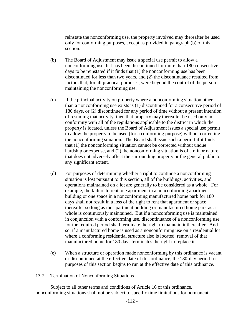reinstate the nonconforming use, the property involved may thereafter be used only for conforming purposes, except as provided in paragraph (b) of this section.

- (b) The Board of Adjustment may issue a special use permit to allow a nonconforming use that has been discontinued for more than 180 consecutive days to be reinstated if it finds that (1) the nonconforming use has been discontinued for less than two years, and (2) the discontinuance resulted from factors that, for all practical purposes, were beyond the control of the person maintaining the nonconforming use.
- (c) If the principal activity on property where a nonconforming situation other than a nonconforming use exists is (1) discontinued for a consecutive period of 180 days, or (2) discontinued for any period of time without a present intention of resuming that activity, then that property may thereafter be used only in conformity with all of the regulations applicable to the district in which the property is located, unless the Board of Adjustment issues a special use permit to allow the property to be used (for a conforming purpose) without correcting the nonconforming situation. The Board shall issue such a permit if it finds that (1) the nonconforming situation cannot be corrected without undue hardship or expense, and (2) the nonconforming situation is of a minor nature that does not adversely affect the surrounding property or the general public to any significant extent.
- (d) For purposes of determining whether a right to continue a nonconforming situation is lost pursuant to this section, all of the buildings, activities, and operations maintained on a lot are generally to be considered as a whole. For example, the failure to rent one apartment in a nonconforming apartment building or one space in a nonconforming manufactured home park for 180 days shall not result in a loss of the right to rent that apartment or space thereafter so long as the apartment building or manufactured home park as a whole is continuously maintained. But if a nonconforming use is maintained in conjunction with a conforming use, discontinuance of a nonconforming use for the required period shall terminate the right to maintain it thereafter. And so, if a manufactured home is used as a nonconforming use on a residential lot where a conforming residential structure also is located, removal of that manufactured home for 180 days terminates the right to replace it.
- (e) When a structure or operation made nonconforming by this ordinance is vacant or discontinued at the effective date of this ordinance, the 180-day period for purposes of this section begins to run at the effective date of this ordinance.

#### 13.7 Termination of Nonconforming Situations

 Subject to all other terms and conditions of Article 16 of this ordinance, nonconforming situations shall not be subject to specific time limitations for permanent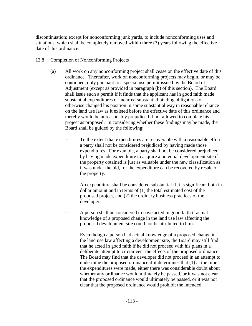discontinuation; except for nonconforming junk yards, to include nonconforming uses and situations, which shall be completely removed within three (3) years following the effective date of this ordinance.

- 13.8 Completion of Nonconforming Projects
	- (a) All work on any nonconforming project shall cease on the effective date of this ordinance. Thereafter, work on nonconforming projects may begin, or may be continued, only pursuant to a special use permit issued by the Board of Adjustment (except as provided in paragraph (b) of this section). The Board shall issue such a permit if it finds that the applicant has in good faith made substantial expenditures or incurred substantial binding obligations or otherwise changed his position in some substantial way in reasonable reliance on the land use law as it existed before the effective date of this ordinance and thereby would be unreasonably prejudiced if not allowed to complete his project as proposed. In considering whether these findings may be made, the Board shall be guided by the following:
		- -- To the extent that expenditures are recoverable with a reasonable effort, a party shall not be considered prejudiced by having made those expenditures. For example, a party shall not be considered prejudiced by having made expenditure to acquire a potential development site if the property obtained is just as valuable under the new classification as it was under the old, for the expenditure can be recovered by resale of the property.
		- An expenditure shall be considered substantial if it is significant both in dollar amount and in terms of (1) the total estimated cost of the proposed project, and (2) the ordinary business practices of the developer.
		- A person shall be considered to have acted in good faith if actual knowledge of a proposed change in the land use law affecting the proposed development site could not be attributed to him.
		- -- Even though a person had actual knowledge of a proposed change in the land use law affecting a development site, the Board may still find that he acted in good faith if he did not proceed with his plans in a deliberate attempt to circumvent the effects of the proposed ordinance. The Board may find that the developer did not proceed in an attempt to undermine the proposed ordinance if it determines that (1) at the time the expenditures were made, either there was considerable doubt about whether any ordinance would ultimately be passed, or it was not clear that the proposed ordinance would ultimately be passed, or it was not clear that the proposed ordinance would prohibit the intended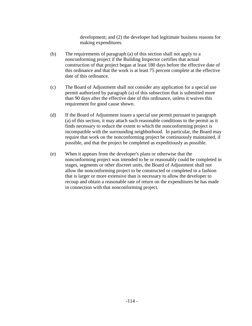development; and (2) the developer had legitimate business reasons for making expenditures.

- (b) The requirements of paragraph (a) of this section shall not apply to a nonconforming project if the Building Inspector certifies that actual construction of that project began at least 180 days before the effective date of this ordinance and that the work is at least 75 percent complete at the effective date of this ordinance.
- (c) The Board of Adjustment shall not consider any application for a special use permit authorized by paragraph (a) of this subsection that is submitted more than 90 days after the effective date of this ordinance, unless it waives this requirement for good cause shown.
- (d) If the Board of Adjustment issues a special use permit pursuant to paragraph (a) of this section, it may attach such reasonable conditions to the permit as it finds necessary to reduce the extent to which the nonconforming project is incompatible with the surrounding neighborhood. In particular, the Board may require that work on the nonconforming project be continuously maintained, if possible, and that the project be completed as expeditiously as possible.
- (e) When it appears from the developer's plans or otherwise that the nonconforming project was intended to be or reasonably could be completed in stages, segments or other discreet units, the Board of Adjustment shall not allow the nonconforming project to be constructed or completed in a fashion that is larger or more extensive than is necessary to allow the developer to recoup and obtain a reasonable rate of return on the expenditures he has made in connection with that nonconforming project.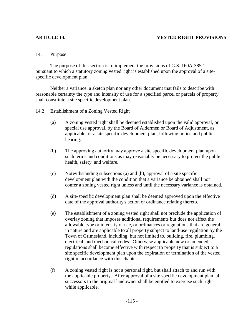# **ARTICLE 14. VESTED RIGHT PROVISIONS**

## 14.1 Purpose

 The purpose of this section is to implement the provisions of G.S. 160A-385.1 pursuant to which a statutory zoning vested right is established upon the approval of a sitespecific development plan.

 Neither a variance, a sketch plan nor any other document that fails to describe with reasonable certainty the type and intensity of use for a specified parcel or parcels of property shall constitute a site specific development plan.

- 14.2 Establishment of a Zoning Vested Right
	- (a) A zoning vested right shall be deemed established upon the valid approval, or special use approval, by the Board of Aldermen or Board of Adjustment, as applicable, of a site specific development plan, following notice and public hearing.
	- (b) The approving authority may approve a site specific development plan upon such terms and conditions as may reasonably be necessary to protect the public health, safety, and welfare.
	- (c) Notwithstanding subsections (a) and (b), approval of a site specific development plan with the condition that a variance be obtained shall not confer a zoning vested right unless and until the necessary variance is obtained.
	- (d) A site-specific development plan shall be deemed approved upon the effective date of the approval authority's action or ordinance relating thereto.
	- (e) The establishment of a zoning vested right shall not preclude the application of overlay zoning that imposes additional requirements but does not affect the allowable type or intensity of use, or ordinances or regulations that are general in nature and are applicable to all property subject to land-use regulation by the Town of Grimesland, including, but not limited to, building, fire, plumbing, electrical, and mechanical codes. Otherwise applicable new or amended regulations shall become effective with respect to property that is subject to a site specific development plan upon the expiration or termination of the vested right in accordance with this chapter.
	- (f) A zoning vested right is not a personal right, but shall attach to and run with the applicable property. After approval of a site specific development plan, all successors to the original landowner shall be entitled to exercise such right while applicable.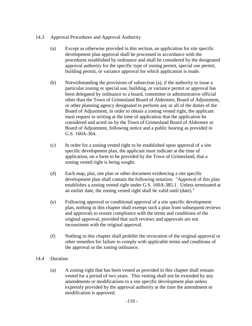# 14.3 Approval Procedures and Approval Authority

- (a) Except as otherwise provided in this section, an application for site specific development plan approval shall be processed in accordance with the procedures established by ordinance and shall be considered by the designated approval authority for the specific type of zoning permit, special use permit, building permit, or variance approval for which application is made.
- (b) Notwithstanding the provisions of subsection (a), if the authority to issue a particular zoning or special use, building, or variance permit or approval has been delegated by ordinance to a board, committee or administrative official other than the Town of Grimesland Board of Aldermen, Board of Adjustment, or other planning agency designated to perform any or all of the duties of the Board of Adjustment, in order to obtain a zoning vested right, the applicant must request in writing at the time of application that the application be considered and acted on by the Town of Grimesland Board of Aldermen or Board of Adjustment, following notice and a public hearing as provided in G.S. 160A-364.
- (c) In order for a zoning vested right to be established upon approval of a site specific development plan, the applicant must indicate at the time of application, on a form to be provided by the Town of Grimesland, that a zoning vested right is being sought.
- (d) Each map, plat, site plan or other document evidencing a site specific development plan shall contain the following notation: "Approval of this plan establishes a zoning vested right under G.S. 160A-385.1. Unless terminated at an earlier date, the zoning vested right shall be valid until (date)."
- (e) Following approval or conditional approval of a site specific development plan, nothing in this chapter shall exempt such a plan from subsequent reviews and approvals to ensure compliance with the terms and conditions of the original approval, provided that such reviews and approvals are not inconsistent with the original approval.
- (f) Nothing in this chapter shall prohibit the revocation of the original approval or other remedies for failure to comply with applicable terms and conditions of the approval or the zoning ordinance.

# 14.4 Duration

(a) A zoning right that has been vested as provided in this chapter shall remain vested for a period of two years. This vesting shall not be extended by any amendments or modifications to a site specific development plan unless expressly provided by the approval authority at the time the amendment or modification is approved.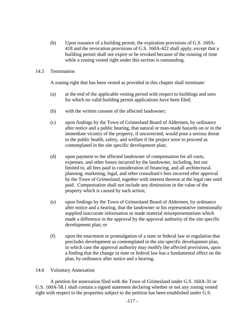(b) Upon issuance of a building permit, the expiration provisions of G.S. 160A-418 and the revocation provisions of G.S. 160A-422 shall apply, except that a building permit shall not expire or be revoked because of the running of time while a zoning vested right under this section is outstanding.

## 14.5 Termination

A zoning right that has been vested as provided in this chapter shall terminate:

- (a) at the end of the applicable vesting period with respect to buildings and uses for which no valid building permit applications have been filed;
- (b) with the written consent of the affected landowner;
- (c) upon findings by the Town of Grimesland Board of Aldermen, by ordinance after notice and a public hearing, that natural or man-made hazards on or in the immediate vicinity of the property, if uncorrected, would pose a serious threat to the public health, safety, and welfare if the project were to proceed as contemplated in the site specific development plan;
- (d) upon payment to the affected landowner of compensation for all costs, expenses, and other losses incurred by the landowner, including, but not limited to, all fees paid in consideration of financing, and all architectural, planning, marketing, legal, and other consultant's fees incurred after approval by the Town of Grimesland, together with interest thereon at the legal rate until paid. Compensation shall not include any diminution in the value of the property which is caused by such action;
- (e) upon findings by the Town of Grimesland Board of Aldermen, by ordinance after notice and a hearing, that the landowner or his representative intentionally supplied inaccurate information or made material misrepresentations which made a difference in the approval by the approval authority of the site specific development plan; or
- (f) upon the enactment or promulgation of a state or federal law or regulation that precludes development as contemplated in the site specific development plan, in which case the approval authority may modify the affected provisions, upon a finding that the change in state or federal law has a fundamental effect on the plan, by ordinance after notice and a hearing.

#### 14.6 Voluntary Annexation

A petition for annexation filed with the Town of Grimesland under G.S. 160A-31 or G.S. 160A-58.1 shall contain a signed statement declaring whether or not any zoning vested right with respect to the properties subject to the petition has been established under G.S.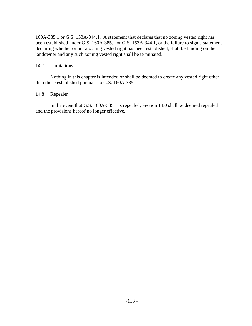160A-385.1 or G.S. 153A-344.1. A statement that declares that no zoning vested right has been established under G.S. 160A-385.1 or G.S. 153A-344.1, or the failure to sign a statement declaring whether or not a zoning vested right has been established, shall be binding on the landowner and any such zoning vested right shall be terminated.

## 14.7 Limitations

Nothing in this chapter is intended or shall be deemed to create any vested right other than those established pursuant to G.S. 160A-385.1.

## 14.8 Repealer

In the event that G.S. 160A-385.1 is repealed, Section 14.0 shall be deemed repealed and the provisions hereof no longer effective.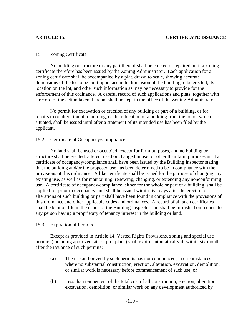#### 15.1 Zoning Certificate

 No building or structure or any part thereof shall be erected or repaired until a zoning certificate therefore has been issued by the Zoning Administrator. Each application for a zoning certificate shall be accompanied by a plat, drawn to scale, showing accurate dimensions of the lot to be built upon, accurate dimension of the building to be erected, its location on the lot, and other such information as may be necessary to provide for the enforcement of this ordinance. A careful record of such applications and plats, together with a record of the action taken thereon, shall be kept in the office of the Zoning Administrator.

 No permit for excavation or erection of any building or part of a building, or for repairs to or alteration of a building, or the relocation of a building from the lot on which it is situated, shall be issued until after a statement of its intended use has been filed by the applicant.

#### 15.2 Certificate of Occupancy/Compliance

 No land shall be used or occupied, except for farm purposes, and no building or structure shall be erected, altered, used or changed in use for other than farm purposes until a certificate of occupancy/compliance shall have been issued by the Building Inspector stating that the building and/or the proposed use has been determined to be in compliance with the provisions of this ordinance. A like certificate shall be issued for the purpose of changing any existing use, as well as for maintaining, renewing, changing, or extending any nonconforming use. A certificate of occupancy/compliance, either for the whole or part of a building, shall be applied for prior to occupancy, and shall be issued within five days after the erection or alterations of such building or part shall have been found in compliance with the provisions of this ordinance and other applicable codes and ordinances. A record of all such certificates shall be kept on file in the office of the Building Inspector and shall be furnished on request to any person having a proprietary of tenancy interest in the building or land.

#### 15.3. Expiration of Permits

Except as provided in Article 14, Vested Rights Provisions, zoning and special use permits (including approved site or plot plans) shall expire automatically if, within six months after the issuance of such permits:

- (a) The use authorized by such permits has not commenced, in circumstances where no substantial construction, erection, alteration, excavation, demolition, or similar work is necessary before commencement of such use; or
- (b) Less than ten percent of the total cost of all construction, erection, alteration, excavation, demolition, or similar work on any development authorized by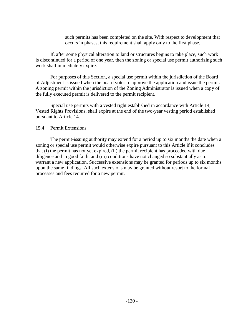such permits has been completed on the site. With respect to development that occurs in phases, this requirement shall apply only to the first phase.

If, after some physical alteration to land or structures begins to take place, such work is discontinued for a period of one year, then the zoning or special use permit authorizing such work shall immediately expire.

For purposes of this Section, a special use permit within the jurisdiction of the Board of Adjustment is issued when the board votes to approve the application and issue the permit. A zoning permit within the jurisdiction of the Zoning Administrator is issued when a copy of the fully executed permit is delivered to the permit recipient.

Special use permits with a vested right established in accordance with Article 14, Vested Rights Provisions, shall expire at the end of the two-year vesting period established pursuant to Article 14.

#### 15.4 Permit Extensions

The permit-issuing authority may extend for a period up to six months the date when a zoning or special use permit would otherwise expire pursuant to this Article if it concludes that (i) the permit has not yet expired, (ii) the permit recipient has proceeded with due diligence and in good faith, and (iii) conditions have not changed so substantially as to warrant a new application. Successive extensions may be granted for periods up to six months upon the same findings. All such extensions may be granted without resort to the formal processes and fees required for a new permit.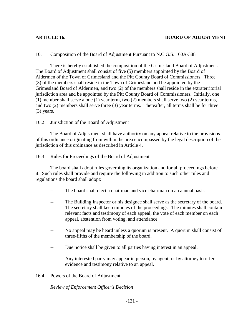# 16.1 Composition of the Board of Adjustment Pursuant to N.C.G.S. 160A-388

 There is hereby established the composition of the Grimesland Board of Adjustment. The Board of Adjustment shall consist of five (5) members appointed by the Board of Aldermen of the Town of Grimesland and the Pitt County Board of Commissioners. Three (3) of the members shall reside in the Town of Grimesland and be appointed by the Grimesland Board of Aldermen, and two (2) of the members shall reside in the extraterritorial jurisdiction area and be appointed by the Pitt County Board of Commissioners. Initially, one (1) member shall serve a one (1) year term, two (2) members shall serve two (2) year terms, and two (2) members shall serve three (3) year terms. Thereafter, all terms shall be for three (3) years.

# 16.2 Jurisdiction of the Board of Adjustment

 The Board of Adjustment shall have authority on any appeal relative to the provisions of this ordinance originating from within the area encompassed by the legal description of the jurisdiction of this ordinance as described in Article 4.

# 16.3 Rules for Proceedings of the Board of Adjustment

 The board shall adopt rules governing its organization and for all proceedings before it. Such rules shall provide and require the following in addition to such other rules and regulations the board shall adopt:

- -- The board shall elect a chairman and vice chairman on an annual basis.
- -- The Building Inspector or his designee shall serve as the secretary of the board. The secretary shall keep minutes of the proceedings. The minutes shall contain relevant facts and testimony of each appeal, the vote of each member on each appeal, abstention from voting, and attendance.
- No appeal may be heard unless a quorum is present. A quorum shall consist of three-fifths of the membership of the board.
- -- Due notice shall be given to all parties having interest in an appeal.
- -- Any interested party may appear in person, by agent, or by attorney to offer evidence and testimony relative to an appeal.

# 16.4 Powers of the Board of Adjustment

*Review of Enforcement Officer's Decision*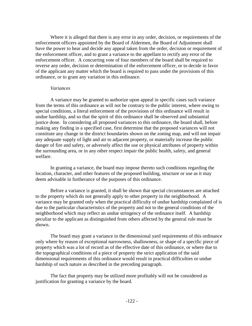Where it is alleged that there is any error in any order, decision, or requirements of the enforcement officers appointed by the Board of Aldermen, the Board of Adjustment shall have the power to hear and decide any appeal taken from the order, decision or requirement of the enforcement officer, and to grant a variance to the appellant to rectify any error of the enforcement officer. A concurring vote of four members of the board shall be required to reverse any order, decision or determination of the enforcement officer, or to decide in favor of the applicant any matter which the board is required to pass under the provisions of this ordinance, or to grant any variation in this ordinance.

#### *Variances*

 A variance may be granted to authorize upon appeal in specific cases such variance from the terms of this ordinance as will not be contrary to the public interest, where owing to special conditions, a literal enforcement of the provisions of this ordinance will result in undue hardship, and so that the spirit of this ordinance shall be observed and substantial justice done. In considering all proposed variances to this ordinance, the board shall, before making any finding in a specified case, first determine that the proposed variances will not constitute any change in the district boundaries shown on the zoning map, and will not impair any adequate supply of light and air to adjacent property, or materially increase the public danger of fire and safety, or adversely affect the use or physical attributes of property within the surrounding area, or in any other respect impair the public health, safety, and general welfare.

 In granting a variance, the board may impose thereto such conditions regarding the location, character, and other features of the proposed building, structure or use as it may deem advisable in furtherance of the purposes of this ordinance.

 Before a variance is granted, it shall be shown that special circumstances are attached to the property which do not generally apply to other property in the neighborhood. A variance may be granted only when the practical difficulty of undue hardship complained of is due to the particular characteristics of the property and not to the general conditions of the neighborhood which may reflect an undue stringency of the ordinance itself. A hardship peculiar to the applicant as distinguished from others affected by the general rule must be shown.

 The board may grant a variance in the dimensional yard requirements of this ordinance only where by reason of exceptional narrowness, shallowness, or shape of a specific piece of property which was a lot of record as of the effective date of this ordinance, or where due to the topographical conditions of a piece of property the strict application of the said dimensional requirements of this ordinance would result in practical difficulties or undue hardship of such nature as described in the preceding paragraph.

 The fact that property may be utilized more profitably will not be considered as justification for granting a variance by the board.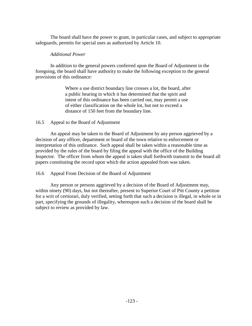The board shall have the power to grant, in particular cases, and subject to appropriate safeguards, permits for special uses as authorized by Article 10.

## *Additional Power*

 In addition to the general powers conferred upon the Board of Adjustment in the foregoing, the board shall have authority to make the following exception to the general provisions of this ordinance:

> Where a use district boundary line crosses a lot, the board, after a public hearing in which it has determined that the spirit and intent of this ordinance has been carried out, may permit a use of either classification on the whole lot, but not to exceed a distance of 150 feet from the boundary line.

# 16.5 Appeal to the Board of Adjustment

 An appeal may be taken to the Board of Adjustment by any person aggrieved by a decision of any officer, department or board of the town relative to enforcement or interpretation of this ordinance. Such appeal shall be taken within a reasonable time as provided by the rules of the board by filing the appeal with the office of the Building Inspector. The officer from whom the appeal is taken shall forthwith transmit to the board all papers constituting the record upon which the action appealed from was taken.

# 16.6 Appeal From Decision of the Board of Adjustment

 Any person or persons aggrieved by a decision of the Board of Adjustment may, within ninety (90) days, but not thereafter, present to Superior Court of Pitt County a petition for a writ of certiorari, duly verified, setting forth that such a decision is illegal, in whole or in part, specifying the grounds of illegality, whereupon such a decision of the board shall be subject to review as provided by law.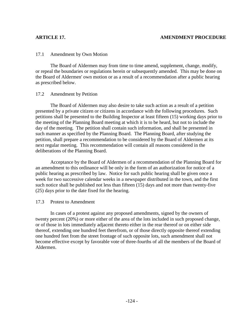## 17.1 Amendment by Own Motion

 The Board of Aldermen may from time to time amend, supplement, change, modify, or repeal the boundaries or regulations herein or subsequently amended. This may be done on the Board of Aldermen' own motion or as a result of a recommendation after a public hearing as prescribed below.

## 17.2 Amendment by Petition

 The Board of Aldermen may also desire to take such action as a result of a petition presented by a private citizen or citizens in accordance with the following procedures. Such petitions shall be presented to the Building Inspector at least fifteen (15) working days prior to the meeting of the Planning Board meeting at which it is to be heard, but not to include the day of the meeting. The petition shall contain such information, and shall be presented in such manner as specified by the Planning Board. The Planning Board, after studying the petition, shall prepare a recommendation to be considered by the Board of Aldermen at its next regular meeting. This recommendation will contain all reasons considered in the deliberations of the Planning Board.

 Acceptance by the Board of Aldermen of a recommendation of the Planning Board for an amendment to this ordinance will be only in the form of an authorization for notice of a public hearing as prescribed by law. Notice for such public hearing shall be given once a week for two successive calendar weeks in a newspaper distributed in the town, and the first such notice shall be published not less than fifteen (15) days and not more than twenty-five (25) days prior to the date fixed for the hearing.

## 17.3 Protest to Amendment

 In cases of a protest against any proposed amendments, signed by the owners of twenty percent (20%) or more either of the area of the lots included in such proposed change, or of those in lots immediately adjacent thereto either in the rear thereof or on either side thereof, extending one hundred feet therefrom, or of those directly opposite thereof extending one hundred feet from the street frontage of such opposite lots, such amendment shall not become effective except by favorable vote of three-fourths of all the members of the Board of Aldermen.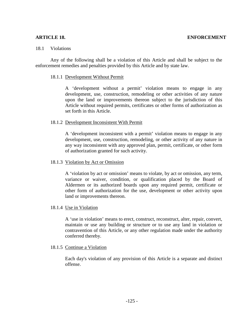#### 18.1 Violations

Any of the following shall be a violation of this Article and shall be subject to the enforcement remedies and penalties provided by this Article and by state law.

#### 18.1.1 Development Without Permit

 A 'development without a permit' violation means to engage in any development, use, construction, remodeling or other activities of any nature upon the land or improvements thereon subject to the jurisdiction of this Article without required permits, certificates or other forms of authorization as set forth in this Article.

## 18.1.2 Development Inconsistent With Permit

A 'development inconsistent with a permit' violation means to engage in any development, use, construction, remodeling, or other activity of any nature in any way inconsistent with any approved plan, permit, certificate, or other form of authorization granted for such activity.

#### 18.1.3 Violation by Act or Omission

A 'violation by act or omission' means to violate, by act or omission, any term, variance or waiver, condition, or qualification placed by the Board of Aldermen or its authorized boards upon any required permit, certificate or other form of authorization for the use, development or other activity upon land or improvements thereon.

## 18.1.4 Use in Violation

A 'use in violation' means to erect, construct, reconstruct, alter, repair, convert, maintain or use any building or structure or to use any land in violation or contravention of this Article, or any other regulation made under the authority conferred thereby.

## 18.1.5 Continue a Violation

Each day's violation of any provision of this Article is a separate and distinct offense.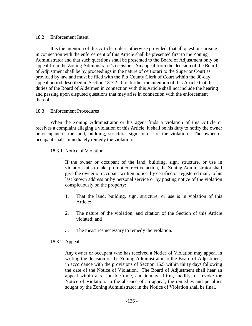## 18.2 Enforcement Intent

It is the intention of this Article, unless otherwise provided, that all questions arising in connection with the enforcement of this Article shall be presented first to the Zoning Administrator and that such questions shall be presented to the Board of Adjustment only on appeal from the Zoning Administrator's decision. An appeal from the decision of the Board of Adjustment shall be by proceedings in the nature of certiorari to the Superior Court as provided by law and must be filed with the Pitt County Clerk of Court within the 30-day appeal period described in Section 18.7.2. It is further the intention of this Article that the duties of the Board of Aldermen in connection with this Article shall not include the hearing and passing upon disputed questions that may arise in connection with the enforcement thereof.

## 18.3 Enforcement Procedures

When the Zoning Administrator or his agent finds a violation of this Article or receives a complaint alleging a violation of this Article, it shall be his duty to notify the owner or occupant of the land, building, structure, sign, or use of the violation. The owner or occupant shall immediately remedy the violation.

## 18.3.1 Notice of Violation

If the owner or occupant of the land, building, sign, structure, or use in violation fails to take prompt corrective action, the Zoning Administrator shall give the owner or occupant written notice, by certified or registered mail, to his last known address or by personal service or by posting notice of the violation conspicuously on the property:

- 1. That the land, building, sign, structure, or use is in violation of this Article;
- 2. The nature of the violation, and citation of the Section of this Article violated; and
- 3. The measures necessary to remedy the violation.

## 18.3.2 Appeal

Any owner or occupant who has received a Notice of Violation may appeal in writing the decision of the Zoning Administrator to the Board of Adjustment, in accordance with the provisions of Section 16.5 within thirty days following the date of the Notice of Violation. The Board of Adjustment shall hear an appeal within a reasonable time, and it may affirm, modify, or revoke the Notice of Violation. In the absence of an appeal, the remedies and penalties sought by the Zoning Administrator in the Notice of Violation shall be final.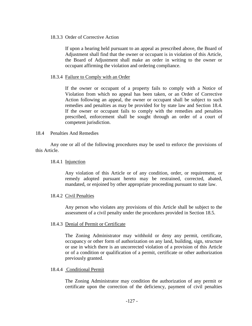## 18.3.3 Order of Corrective Action

If upon a hearing held pursuant to an appeal as prescribed above, the Board of Adjustment shall find that the owner or occupant is in violation of this Article, the Board of Adjustment shall make an order in writing to the owner or occupant affirming the violation and ordering compliance.

## 18.3.4 Failure to Comply with an Order

If the owner or occupant of a property fails to comply with a Notice of Violation from which no appeal has been taken, or an Order of Corrective Action following an appeal, the owner or occupant shall be subject to such remedies and penalties as may be provided for by state law and Section 18.4. If the owner or occupant fails to comply with the remedies and penalties prescribed, enforcement shall be sought through an order of a court of competent jurisdiction.

#### 18.4 Penalties And Remedies

Any one or all of the following procedures may be used to enforce the provisions of this Article.

#### 18.4.1 Injunction

Any violation of this Article or of any condition, order, or requirement, or remedy adopted pursuant hereto may be restrained, corrected, abated, mandated, or enjoined by other appropriate proceeding pursuant to state law.

#### 18.4.2 Civil Penalties

Any person who violates any provisions of this Article shall be subject to the assessment of a civil penalty under the procedures provided in Section 18.5.

## 18.4.3 Denial of Permit or Certificate

The Zoning Administrator may withhold or deny any permit, certificate, occupancy or other form of authorization on any land, building, sign, structure or use in which there is an uncorrected violation of a provision of this Article or of a condition or qualification of a permit, certificate or other authorization previously granted.

#### 18.4.4 Conditional Permit

 The Zoning Administrator may condition the authorization of any permit or certificate upon the correction of the deficiency, payment of civil penalties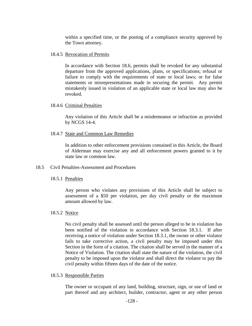within a specified time, or the posting of a compliance security approved by the Town attorney.

## 18.4.5 Revocation of Permits

In accordance with Section 18.6, permits shall be revoked for any substantial departure from the approved applications, plans, or specifications; refusal or failure to comply with the requirements of state or local laws; or for false statements or misrepresentations made in securing the permit. Any permit mistakenly issued in violation of an applicable state or local law may also be revoked.

## 18.4.6 Criminal Penalties

Any violation of this Article shall be a misdemeanor or infraction as provided by NCGS 14-4.

# 18.4.7 State and Common Law Remedies

In addition to other enforcement provisions contained in this Article, the Board of Alderman may exercise any and all enforcement powers granted to it by state law or common law.

## 18.5 Civil Penalties-Assessment and Procedures

# 18.5.1 Penalties

Any person who violates any provisions of this Article shall be subject to assessment of a \$50 per violation, per day civil penalty or the maximum amount allowed by law.

# 18.5.2 Notice

 No civil penalty shall be assessed until the person alleged to be in violation has been notified of the violation in accordance with Section 18.3.1. If after receiving a notice of violation under Section 18.3.1, the owner or other violator fails to take corrective action, a civil penalty may be imposed under this Section in the form of a citation. The citation shall be served in the manner of a Notice of Violation. The citation shall state the nature of the violation, the civil penalty to be imposed upon the violator and shall direct the violator to pay the civil penalty within fifteen days of the date of the notice.

## 18.5.3 Responsible Parties

The owner or occupant of any land, building, structure, sign, or use of land or part thereof and any architect, builder, contractor, agent or any other person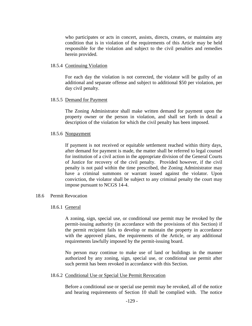who participates or acts in concert, assists, directs, creates, or maintains any condition that is in violation of the requirements of this Article may be held responsible for the violation and subject to the civil penalties and remedies herein provided.

#### 18.5.4 Continuing Violation

For each day the violation is not corrected, the violator will be guilty of an additional and separate offense and subject to additional \$50 per violation, per day civil penalty.

#### 18.5.5 Demand for Payment

The Zoning Administrator shall make written demand for payment upon the property owner or the person in violation, and shall set forth in detail a description of the violation for which the civil penalty has been imposed.

#### 18.5.6 Nonpayment

If payment is not received or equitable settlement reached within thirty days, after demand for payment is made, the matter shall be referred to legal counsel for institution of a civil action in the appropriate division of the General Courts of Justice for recovery of the civil penalty. Provided however, if the civil penalty is not paid within the time prescribed, the Zoning Administrator may have a criminal summons or warrant issued against the violator. Upon conviction, the violator shall be subject to any criminal penalty the court may impose pursuant to NCGS 14-4.

#### 18.6 Permit Revocation

## 18.6.1 General

A zoning, sign, special use, or conditional use permit may be revoked by the permit-issuing authority (in accordance with the provisions of this Section) if the permit recipient fails to develop or maintain the property in accordance with the approved plans, the requirements of the Article, or any additional requirements lawfully imposed by the permit-issuing board.

No person may continue to make use of land or buildings in the manner authorized by any zoning, sign, special use, or conditional use permit after such permit has been revoked in accordance with this Section.

#### 18.6.2 Conditional Use or Special Use Permit Revocation

Before a conditional use or special use permit may be revoked, all of the notice and hearing requirements of Section 10 shall be complied with. The notice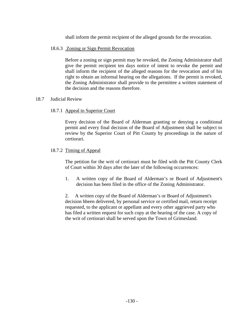shall inform the permit recipient of the alleged grounds for the revocation.

# 18.6.3 Zoning or Sign Permit Revocation

Before a zoning or sign permit may be revoked, the Zoning Administrator shall give the permit recipient ten days notice of intent to revoke the permit and shall inform the recipient of the alleged reasons for the revocation and of his right to obtain an informal hearing on the allegations. If the permit is revoked, the Zoning Administrator shall provide to the permittee a written statement of the decision and the reasons therefore.

## 18.7 Judicial Review

# 18.7.1 Appeal to Superior Court

Every decision of the Board of Alderman granting or denying a conditional permit and every final decision of the Board of Adjustment shall be subject to review by the Superior Court of Pitt County by proceedings in the nature of certiorari.

## 18.7.2 Timing of Appeal

The petition for the writ of certiorari must be filed with the Pitt County Clerk of Court within 30 days after the later of the following occurrences:

1. A written copy of the Board of Alderman's or Board of Adjustment's decision has been filed in the office of the Zoning Administrator.

2. A written copy of the Board of Alderman's or Board of Adjustment's decision hbeen delivered, by personal service or certified mail, return receipt requested, to the applicant or appellant and every other aggrieved party who has filed a written request for such copy at the hearing of the case. A copy of the writ of certiorari shall be served upon the Town of Grimesland.